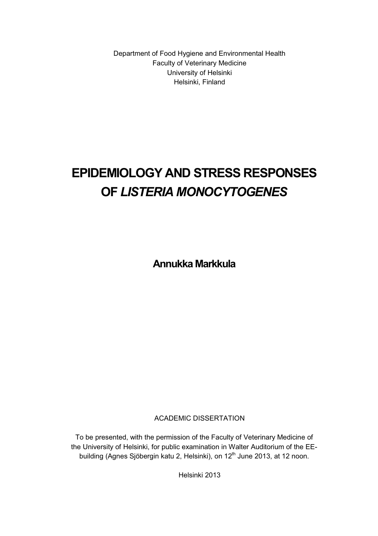Department of Food Hygiene and Environmental Health Faculty of Veterinary Medicine University of Helsinki Helsinki, Finland

# **EPIDEMIOLOGY AND STRESS RESPONSES OF** *LISTERIA MONOCYTOGENES*

**Annukka Markkula** 

ACADEMIC DISSERTATION

To be presented, with the permission of the Faculty of Veterinary Medicine of the University of Helsinki, for public examination in Walter Auditorium of the EEbuilding (Agnes Sjöbergin katu 2, Helsinki), on 12<sup>th</sup> June 2013, at 12 noon.

Helsinki 2013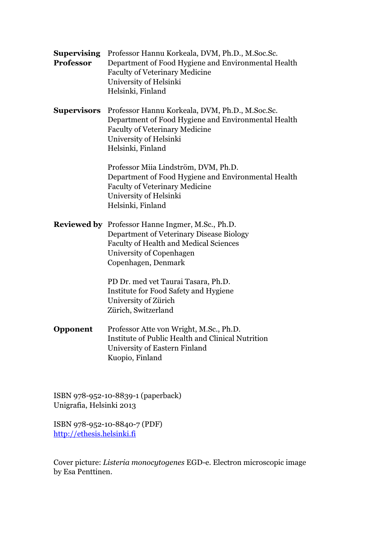| <b>Supervising</b><br><b>Professor</b> | Professor Hannu Korkeala, DVM, Ph.D., M.Soc.Sc.<br>Department of Food Hygiene and Environmental Health<br>Faculty of Veterinary Medicine<br>University of Helsinki<br>Helsinki, Finland                 |
|----------------------------------------|---------------------------------------------------------------------------------------------------------------------------------------------------------------------------------------------------------|
| <b>Supervisors</b>                     | Professor Hannu Korkeala, DVM, Ph.D., M.Soc.Sc.<br>Department of Food Hygiene and Environmental Health<br><b>Faculty of Veterinary Medicine</b><br>University of Helsinki<br>Helsinki, Finland          |
|                                        | Professor Miia Lindström, DVM, Ph.D.<br>Department of Food Hygiene and Environmental Health<br><b>Faculty of Veterinary Medicine</b><br>University of Helsinki<br>Helsinki, Finland                     |
|                                        | <b>Reviewed by</b> Professor Hanne Ingmer, M.Sc., Ph.D.<br>Department of Veterinary Disease Biology<br><b>Faculty of Health and Medical Sciences</b><br>University of Copenhagen<br>Copenhagen, Denmark |
|                                        | PD Dr. med vet Taurai Tasara, Ph.D.<br>Institute for Food Safety and Hygiene<br>University of Zürich<br>Zürich, Switzerland                                                                             |
| Opponent                               | Professor Atte von Wright, M.Sc., Ph.D.<br>Institute of Public Health and Clinical Nutrition<br>University of Eastern Finland<br>Kuopio, Finland                                                        |
|                                        |                                                                                                                                                                                                         |

ISBN 978-952-10-8839-1 (paperback) Unigrafia, Helsinki 2013

ISBN 978-952-10-8840-7 (PDF) http://ethesis.helsinki.fi

Cover picture: *Listeria monocytogenes* EGD-e. Electron microscopic image by Esa Penttinen.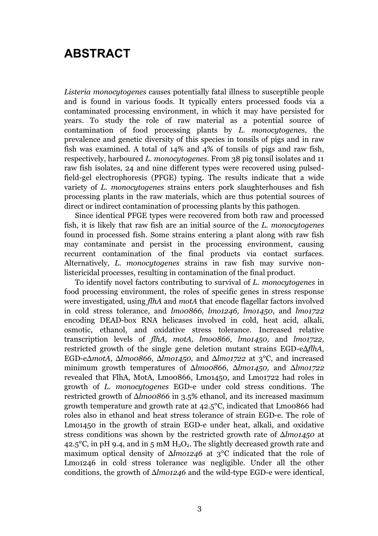# **ABSTRACT**

*Listeria monocytogenes* causes potentially fatal illness to susceptible people and is found in various foods. It typically enters processed foods via a contaminated processing environment, in which it may have persisted for years. To study the role of raw material as a potential source of contamination of food processing plants by *L. monocytogenes*, the prevalence and genetic diversity of this species in tonsils of pigs and in raw fish was examined. A total of 14% and 4% of tonsils of pigs and raw fish, respectively, harboured *L. monocytogenes.* From 38 pig tonsil isolates and 11 raw fish isolates, 24 and nine different types were recovered using pulsedfield-gel electrophoresis (PFGE) typing. The results indicate that a wide variety of *L. monocytogenes* strains enters pork slaughterhouses and fish processing plants in the raw materials, which are thus potential sources of direct or indirect contamination of processing plants by this pathogen*.*

Since identical PFGE types were recovered from both raw and processed fish, it is likely that raw fish are an initial source of the *L. monocytogenes* found in processed fish. Some strains entering a plant along with raw fish may contaminate and persist in the processing environment, causing recurrent contamination of the final products via contact surfaces. Alternatively, *L. monocytogenes* strains in raw fish may survive nonlistericidal processes, resulting in contamination of the final product.

To identify novel factors contributing to survival of *L. monocytogenes* in food processing environment, the roles of specific genes in stress response were investigated, using *flhA* and *motA* that encode flagellar factors involved in cold stress tolerance, and *lmo0866, lmo1246, lmo1450*, and *lmo1722* encoding DEAD-box RNA helicases involved in cold, heat acid, alkali, osmotic, ethanol, and oxidative stress tolerance. Increased relative transcription levels of *flhA, motA, lmo0866, lmo1450,* and *lmo1722,*  restricted growth of the single gene deletion mutant strains EGD-eΔ*flhA,*  EGD-eΔ*motA,* Δ*lmo0866,* Δ*lmo1450,* and Δ*lmo1722* at 3°C, and increased minimum growth temperatures of Δ*lmo0866,* Δ*lmo1450,* and Δ*lmo1722* revealed that FlhA, MotA, Lmo0866, Lmo1450, and Lmo1722 had roles in growth of *L. monocytogenes* EGD-e under cold stress conditions*.* The restricted growth of Δ*lmo0866* in 3.5% ethanol, and its increased maximum growth temperature and growth rate at 42.5°C, indicated that Lmo0866 had roles also in ethanol and heat stress tolerance of strain EGD-e. The role of Lmo1450 in the growth of strain EGD-e under heat, alkali, and oxidative stress conditions was shown by the restricted growth rate of Δ*lmo1450* at 42.5°C, in pH 9.4, and in 5 mM  $H_2O_2$ . The slightly decreased growth rate and maximum optical density of Δ*lmo1246* at 3°C indicated that the role of Lmo1246 in cold stress tolerance was negligible. Under all the other conditions, the growth of Δ*lmo1246* and the wild-type EGD-e were identical,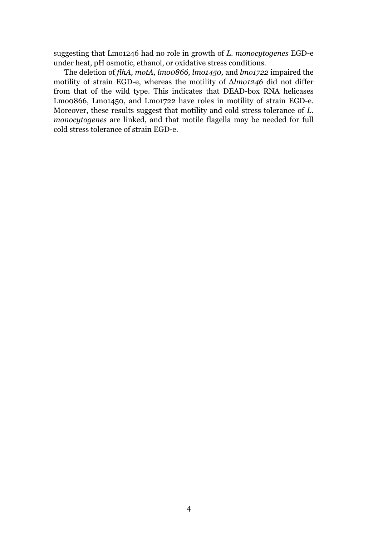suggesting that Lmo1246 had no role in growth of *L. monocytogenes* EGD-e under heat, pH osmotic, ethanol, or oxidative stress conditions.

The deletion of *flhA, motA, lmo0866, lmo1450,* and *lmo1722* impaired the motility of strain EGD-e, whereas the motility of Δ*lmo1246* did not differ from that of the wild type. This indicates that DEAD-box RNA helicases Lmo0866, Lmo1450, and Lmo1722 have roles in motility of strain EGD-e*.*  Moreover, these results suggest that motility and cold stress tolerance of *L. monocytogenes* are linked, and that motile flagella may be needed for full cold stress tolerance of strain EGD-e.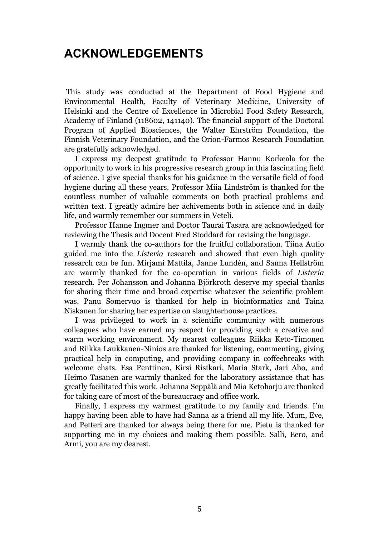# **ACKNOWLEDGEMENTS**

 This study was conducted at the Department of Food Hygiene and Environmental Health, Faculty of Veterinary Medicine, University of Helsinki and the Centre of Excellence in Microbial Food Safety Research, Academy of Finland (118602, 141140). The financial support of the Doctoral Program of Applied Biosciences, the Walter Ehrström Foundation, the Finnish Veterinary Foundation, and the Orion-Farmos Research Foundation are gratefully acknowledged.

I express my deepest gratitude to Professor Hannu Korkeala for the opportunity to work in his progressive research group in this fascinating field of science. I give special thanks for his guidance in the versatile field of food hygiene during all these years. Professor Miia Lindström is thanked for the countless number of valuable comments on both practical problems and written text. I greatly admire her achivements both in science and in daily life, and warmly remember our summers in Veteli.

Professor Hanne Ingmer and Doctor Taurai Tasara are acknowledged for reviewing the Thesis and Docent Fred Stoddard for revising the language.

I warmly thank the co-authors for the fruitful collaboration. Tiina Autio guided me into the *Listeria* research and showed that even high quality research can be fun. Mirjami Mattila, Janne Lundén, and Sanna Hellström are warmly thanked for the co-operation in various fields of *Listeria*  research*.* Per Johansson and Johanna Björkroth deserve my special thanks for sharing their time and broad expertise whatever the scientific problem was. Panu Somervuo is thanked for help in bioinformatics and Taina Niskanen for sharing her expertise on slaughterhouse practices.

I was privileged to work in a scientific community with numerous colleagues who have earned my respect for providing such a creative and warm working environment. My nearest colleagues Riikka Keto-Timonen and Riikka Laukkanen-Ninios are thanked for listening, commenting, giving practical help in computing, and providing company in coffeebreaks with welcome chats. Esa Penttinen, Kirsi Ristkari, Maria Stark, Jari Aho, and Heimo Tasanen are warmly thanked for the laboratory assistance that has greatly facilitated this work. Johanna Seppälä and Mia Ketoharju are thanked for taking care of most of the bureaucracy and office work.

Finally, I express my warmest gratitude to my family and friends. I'm happy having been able to have had Sanna as a friend all my life. Mum, Eve, and Petteri are thanked for always being there for me. Pietu is thanked for supporting me in my choices and making them possible. Salli, Eero, and Armi, you are my dearest.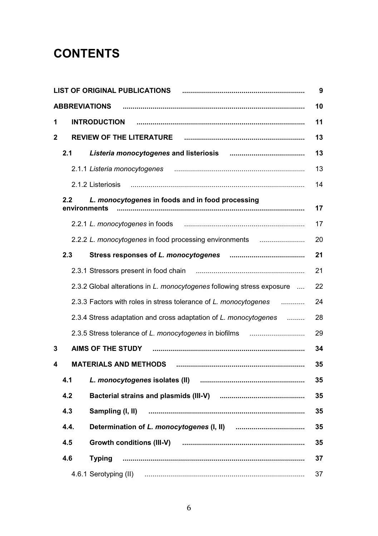# **CONTENTS**

|             |                  | <b>LIST OF ORIGINAL PUBLICATIONS</b>                                   | 9  |
|-------------|------------------|------------------------------------------------------------------------|----|
|             |                  | <b>ABBREVIATIONS</b>                                                   | 10 |
| 1           |                  | <b>INTRODUCTION</b>                                                    | 11 |
| $\mathbf 2$ |                  |                                                                        | 13 |
|             | 2.1              |                                                                        | 13 |
|             |                  | 2.1.1 Listeria monocytogenes                                           | 13 |
|             |                  | 2.1.2 Listeriosis                                                      | 14 |
|             | $2.2\phantom{0}$ | L. monocytogenes in foods and in food processing<br>environments       | 17 |
|             |                  |                                                                        | 17 |
|             |                  | 2.2.2 L. monocytogenes in food processing environments                 | 20 |
|             | 2.3              | Stress responses of L. monocytogenes                                   | 21 |
|             |                  |                                                                        | 21 |
|             |                  | 2.3.2 Global alterations in L. monocytogenes following stress exposure | 22 |
|             |                  | 2.3.3 Factors with roles in stress tolerance of L. monocytogenes       | 24 |
|             |                  | 2.3.4 Stress adaptation and cross adaptation of L. monocytogenes       | 28 |
|             |                  | 2.3.5 Stress tolerance of L. monocytogenes in biofilms                 | 29 |
| 3           |                  | AIMS OF THE STUDY                                                      | 34 |
| 4           |                  |                                                                        | 35 |
|             | 4.1              |                                                                        | 35 |
|             | 4.2              |                                                                        | 35 |
|             | 4.3              | Sampling (I, II)                                                       | 35 |
|             | 4.4.             |                                                                        | 35 |
|             | 4.5              | Growth conditions (III-V)                                              | 35 |
|             | 4.6              | Typing                                                                 | 37 |
|             |                  | 4.6.1 Serotyping (II)                                                  | 37 |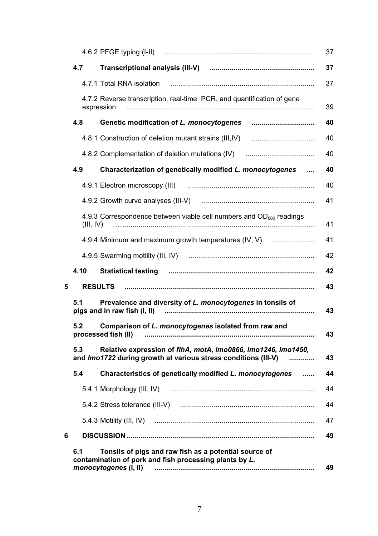|   |           |                                                                                                                                          | 37 |
|---|-----------|------------------------------------------------------------------------------------------------------------------------------------------|----|
|   | 4.7       |                                                                                                                                          | 37 |
|   |           | 4.7.1 Total RNA isolation                                                                                                                | 37 |
|   |           | 4.7.2 Reverse transcription, real-time PCR, and quantification of gene<br>expression                                                     | 39 |
|   | 4.8       | Genetic modification of L. monocytogenes                                                                                                 | 40 |
|   |           |                                                                                                                                          | 40 |
|   |           | 4.8.2 Complementation of deletion mutations (IV)                                                                                         | 40 |
|   | 4.9       | Characterization of genetically modified L. monocytogenes                                                                                | 40 |
|   |           |                                                                                                                                          | 40 |
|   |           |                                                                                                                                          | 41 |
|   | (III, IV) | 4.9.3 Correspondence between viable cell numbers and $OD600$ readings                                                                    | 41 |
|   |           | 4.9.4 Minimum and maximum growth temperatures (IV, V)                                                                                    | 41 |
|   |           |                                                                                                                                          | 42 |
|   | 4.10      | Statistical testing <i>manual communical content of the statistical</i> testing                                                          | 42 |
| 5 |           | <b>RESULTS</b>                                                                                                                           | 43 |
|   | 5.1       | Prevalence and diversity of L. monocytogenes in tonsils of                                                                               | 43 |
|   | 5.2       | Comparison of L. monocytogenes isolated from raw and<br>processed fish (II)                                                              | 43 |
|   | 5.3       | Relative expression of flhA, motA, Imo0866, Imo1246, Imo1450,<br>and Imo1722 during growth at various stress conditions (III-V)          | 43 |
|   |           |                                                                                                                                          |    |
|   | 5.4       | Characteristics of genetically modified L. monocytogenes<br>                                                                             | 44 |
|   |           | 5.4.1 Morphology (III, IV)                                                                                                               | 44 |
|   |           |                                                                                                                                          | 44 |
|   |           | 5.4.3 Motility (III, IV)                                                                                                                 | 47 |
| 6 |           |                                                                                                                                          | 49 |
|   | 6.1       | Tonsils of pigs and raw fish as a potential source of<br>contamination of pork and fish processing plants by L.<br>monocytogenes (I, II) | 49 |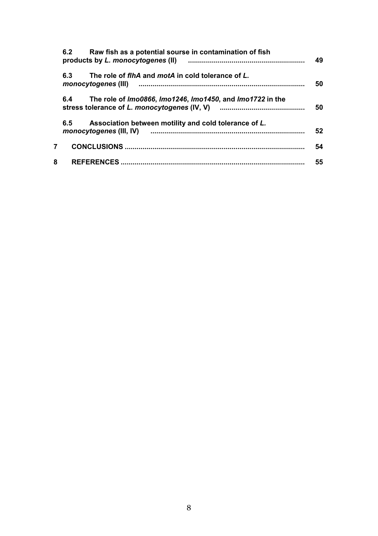|   | Raw fish as a potential sourse in contamination of fish<br>6.2<br>products by L. monocytogenes (II) | 49 |
|---|-----------------------------------------------------------------------------------------------------|----|
|   | The role of flhA and motA in cold tolerance of L.<br>6.3                                            | 50 |
|   | 6.4<br>The role of <i>Imo0866. Imo1246. Imo1450</i> , and <i>Imo1722</i> in the                     | 50 |
|   | Association between motility and cold tolerance of L.<br>6.5                                        | 52 |
| 7 |                                                                                                     | 54 |
| 8 |                                                                                                     | 55 |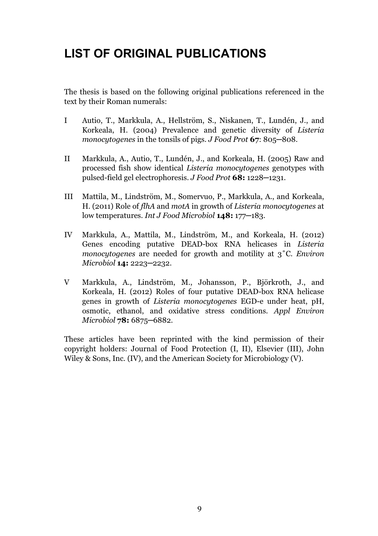# **LIST OF ORIGINAL PUBLICATIONS**

The thesis is based on the following original publications referenced in the text by their Roman numerals:

- I Autio, T., Markkula, A., Hellström, S., Niskanen, T., Lundén, J., and Korkeala, H. (2004) Prevalence and genetic diversity of *Listeria monocytogenes* in the tonsils of pigs. *J Food Prot* **67**: 805─808.
- II Markkula, A., Autio, T., Lundén, J., and Korkeala, H. (2005) Raw and processed fish show identical *Listeria monocytogenes* genotypes with pulsed-field gel electrophoresis. *J Food Prot* **68:** 1228─1231.
- III Mattila, M., Lindström, M., Somervuo, P., Markkula, A., and Korkeala, H. (2011) Role of *flhA* and *motA* in growth of *Listeria monocytogenes* at low temperatures. *Int J Food Microbiol* **148:** 177─183.
- IV Markkula, A., Mattila, M., Lindström, M., and Korkeala, H. (2012) Genes encoding putative DEAD-box RNA helicases in *Listeria monocytogenes* are needed for growth and motility at 3˚C. *Environ Microbiol* **14:** 2223─2232.
- V Markkula, A., Lindström, M., Johansson, P., Björkroth, J., and Korkeala, H. (2012) Roles of four putative DEAD-box RNA helicase genes in growth of *Listeria monocytogenes* EGD-e under heat, pH, osmotic, ethanol, and oxidative stress conditions. *Appl Environ Microbiol* **78:** 6875─6882.

These articles have been reprinted with the kind permission of their copyright holders: Journal of Food Protection (I, II), Elsevier (III), John Wiley & Sons, Inc. (IV), and the American Society for Microbiology (V).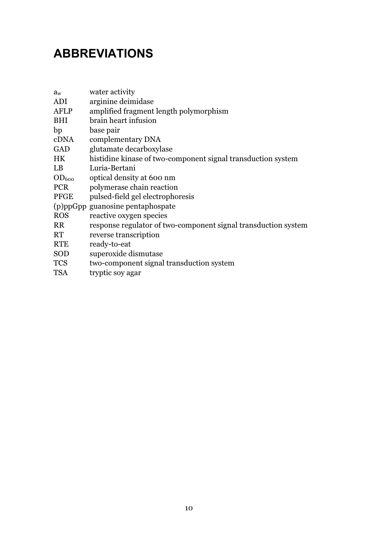# **ABBREVIATIONS**

| a <sub>w</sub>    | water activity                                                 |
|-------------------|----------------------------------------------------------------|
| ADI               | arginine deimidase                                             |
| AFLP              | amplified fragment length polymorphism                         |
| BHI               | brain heart infusion                                           |
| bp                | base pair                                                      |
| cDNA              | complementary DNA                                              |
| GAD               | glutamate decarboxylase                                        |
| HK.               | histidine kinase of two-component signal transduction system   |
| LB                | Luria-Bertani                                                  |
| OD <sub>600</sub> | optical density at 600 nm                                      |
| <b>PCR</b>        | polymerase chain reaction                                      |
| PFGE              | pulsed-field gel electrophoresis                               |
|                   | (p)ppGpp guanosine pentaphospate                               |
| <b>ROS</b>        | reactive oxygen species                                        |
| <b>RR</b>         | response regulator of two-component signal transduction system |
| RT                | reverse transcription                                          |
| <b>RTE</b>        | ready-to-eat                                                   |
| SOD               | superoxide dismutase                                           |
| TCS               | two-component signal transduction system                       |
| TSA               | tryptic soy agar                                               |
|                   |                                                                |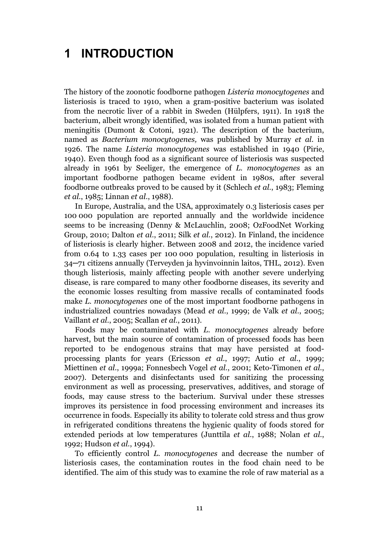# **1 INTRODUCTION**

The history of the zoonotic foodborne pathogen *Listeria monocytogenes* and listeriosis is traced to 1910, when a gram-positive bacterium was isolated from the necrotic liver of a rabbit in Sweden (Hülpfers, 1911). In 1918 the bacterium, albeit wrongly identified, was isolated from a human patient with meningitis (Dumont & Cotoni, 1921). The description of the bacterium, named as *Bacterium monocytogenes,* was published by Murray *et al.* in 1926. The name *Listeria monocytogenes* was established in 1940 (Pirie, 1940). Even though food as a significant source of listeriosis was suspected already in 1961 by Seeliger, the emergence of *L. monocytogenes* as an important foodborne pathogen became evident in 1980s, after several foodborne outbreaks proved to be caused by it (Schlech *et al.*, 1983; Fleming *et al.*, 1985; Linnan *et al.*, 1988).

In Europe, Australia, and the USA, approximately 0.3 listeriosis cases per 100 000 population are reported annually and the worldwide incidence seems to be increasing (Denny & McLauchlin, 2008; OzFoodNet Working Group, 2010; Dalton *et al.*, 2011; Silk *et al.*, 2012). In Finland, the incidence of listeriosis is clearly higher. Between 2008 and 2012, the incidence varied from 0.64 to 1.33 cases per 100 000 population, resulting in listeriosis in 34─71 citizens annually (Terveyden ja hyvinvoinnin laitos, THL, 2012). Even though listeriosis, mainly affecting people with another severe underlying disease, is rare compared to many other foodborne diseases, its severity and the economic losses resulting from massive recalls of contaminated foods make *L. monocytogenes* one of the most important foodborne pathogens in industrialized countries nowadays (Mead *et al.*, 1999; de Valk *et al.*, 2005; Vaillant *et al.*, 2005; Scallan *et al.*, 2011).

Foods may be contaminated with *L. monocytogenes* already before harvest, but the main source of contamination of processed foods has been reported to be endogenous strains that may have persisted at foodprocessing plants for years (Ericsson *et al.*, 1997; Autio *et al.*, 1999; Miettinen *et al.*, 1999a; Fonnesbech Vogel *et al.*, 2001; Keto-Timonen *et al.*, 2007). Detergents and disinfectants used for sanitizing the processing environment as well as processing, preservatives, additives, and storage of foods, may cause stress to the bacterium. Survival under these stresses improves its persistence in food processing environment and increases its occurrence in foods. Especially its ability to tolerate cold stress and thus grow in refrigerated conditions threatens the hygienic quality of foods stored for extended periods at low temperatures (Junttila *et al.*, 1988; Nolan *et al.*, 1992; Hudson *et al.*, 1994).

To efficiently control *L. monocytogenes* and decrease the number of listeriosis cases, the contamination routes in the food chain need to be identified. The aim of this study was to examine the role of raw material as a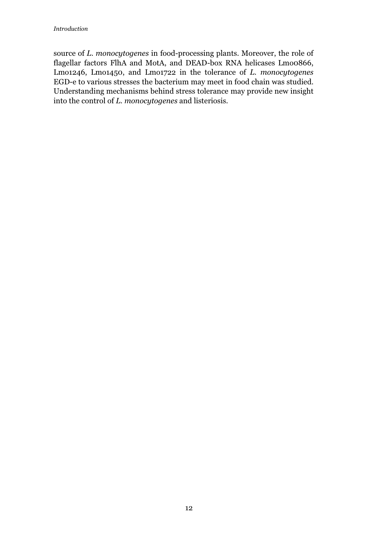source of *L. monocytogenes* in food-processing plants. Moreover, the role of flagellar factors FlhA and MotA, and DEAD-box RNA helicases Lmo0866, Lmo1246, Lmo1450, and Lmo1722 in the tolerance of *L. monocytogenes* EGD-e to various stresses the bacterium may meet in food chain was studied. Understanding mechanisms behind stress tolerance may provide new insight into the control of *L. monocytogenes* and listeriosis.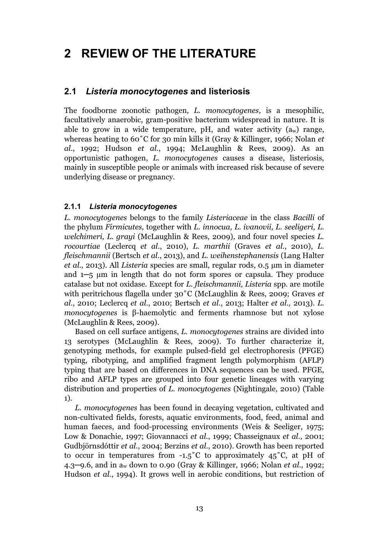# **2 REVIEW OF THE LITERATURE**

## **2.1** *Listeria monocytogenes* **and listeriosis**

The foodborne zoonotic pathogen, *L. monocytogenes*, is a mesophilic, facultatively anaerobic, gram-positive bacterium widespread in nature. It is able to grow in a wide temperature, pH, and water activity  $(a_w)$  range, whereas heating to 60˚C for 30 min kills it (Gray & Killinger, 1966; Nolan *et al.*, 1992; Hudson *et al.*, 1994; McLaughlin & Rees, 2009). As an opportunistic pathogen, *L. monocytogenes* causes a disease, listeriosis, mainly in susceptible people or animals with increased risk because of severe underlying disease or pregnancy.

### **2.1.1** *Listeria monocytogenes*

*L. monocytogenes* belongs to the family *Listeriaceae* in the class *Bacilli* of the phylum *Firmicutes,* together with *L. innocua, L. ivanovii, L. seeligeri, L. welchimeri, L. grayi* (McLaughlin & Rees, 2009)*,* and four novel species *L. rocourtiae* (Leclercq *et al*., 2010), *L. marthii* (Graves *et al.*, 2010), *L. fleischmannii* (Bertsch *et al.*, 2013), and *L. weihenstephanensis* (Lang Halter *et al.,* 2013). All *Listeria* species are small, regular rods, 0.5 μm in diameter and 1─5 μm in length that do not form spores or capsula. They produce catalase but not oxidase. Except for *L. fleischmannii, Listeria* spp. are motile with peritrichous flagella under 30˚C (McLaughlin & Rees, 2009; Graves *et al.*, 2010; Leclercq *et al.*, 2010; Bertsch *et al.*, 2013; Halter *et al.,* 2013). *L. monocytogenes* is β-haemolytic and ferments rhamnose but not xylose (McLaughlin & Rees, 2009).

Based on cell surface antigens, *L. monocytogenes* strains are divided into 13 serotypes (McLaughlin & Rees, 2009). To further characterize it, genotyping methods, for example pulsed-field gel electrophoresis (PFGE) typing, ribotyping, and amplified fragment length polymorphism (AFLP) typing that are based on differences in DNA sequences can be used. PFGE, ribo and AFLP types are grouped into four genetic lineages with varying distribution and properties of *L. monocytogenes* (Nightingale, 2010) (Table 1).

*L. monocytogenes* has been found in decaying vegetation, cultivated and non-cultivated fields, forests, aquatic environments, food, feed, animal and human faeces, and food-processing environments (Weis & Seeliger, 1975; Low & Donachie, 1997; Giovannacci *et al.*, 1999; Chasseignaux *et al.*, 2001; Gudbjörnsdóttir *et al.*, 2004; Berzins *et al.*, 2010). Growth has been reported to occur in temperatures from  $-1.5^{\circ}$ C to approximately  $4.5^{\circ}$ C, at pH of 4.3─9.6, and in aw down to 0.90 (Gray & Killinger, 1966; Nolan *et al.*, 1992; Hudson *et al.*, 1994). It grows well in aerobic conditions, but restriction of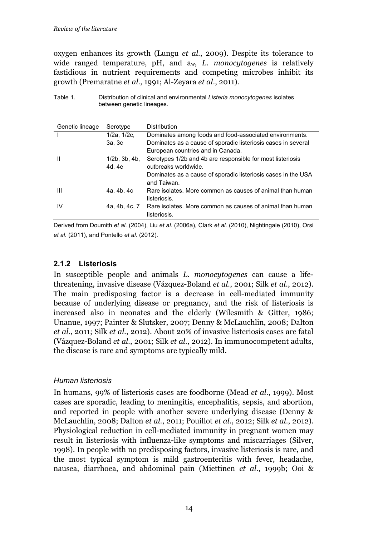oxygen enhances its growth (Lungu *et al.*, 2009). Despite its tolerance to wide ranged temperature, pH, and aw, *L. monocytogenes* is relatively fastidious in nutrient requirements and competing microbes inhibit its growth (Premaratne *et al.*, 1991; Al-Zeyara *et al.*, 2011).

Table 1. Distribution of clinical and environmental *Listeria monocytogenes* isolates between genetic lineages.

| Genetic lineage | Serotype               | <b>Distribution</b>                                           |
|-----------------|------------------------|---------------------------------------------------------------|
|                 | 1/2a, 1/2c,            | Dominates among foods and food-associated environments.       |
|                 | 3a. 3c                 | Dominates as a cause of sporadic listeriosis cases in several |
|                 |                        | European countries and in Canada.                             |
| $\mathbf{I}$    | $1/2b$ , $3b$ , $4b$ , | Serotypes 1/2b and 4b are responsible for most listeriosis    |
|                 | 4d. 4e                 | outbreaks worldwide.                                          |
|                 |                        | Dominates as a cause of sporadic listeriosis cases in the USA |
|                 |                        | and Taiwan.                                                   |
| Ш               | 4a, 4b, 4c             | Rare isolates. More common as causes of animal than human     |
|                 |                        | listeriosis.                                                  |
| IV              | 4a, 4b, 4c, 7          | Rare isolates. More common as causes of animal than human     |
|                 |                        | listeriosis.                                                  |

Derived from Doumith *et al.* (2004), Liu *et al.* (2006a), Clark *et al.* (2010), Nightingale (2010), Orsi *et al.* (2011)*,* and Pontello *et al.* (2012).

### **2.1.2 Listeriosis**

In susceptible people and animals *L. monocytogenes* can cause a lifethreatening, invasive disease (Vázquez-Boland *et al.*, 2001; Silk *et al.*, 2012). The main predisposing factor is a decrease in cell-mediated immunity because of underlying disease or pregnancy, and the risk of listeriosis is increased also in neonates and the elderly (Wilesmith & Gitter, 1986; Unanue, 1997; Painter & Slutsker, 2007; Denny & McLauchlin, 2008; Dalton *et al.*, 2011; Silk *et al.*, 2012). About 20% of invasive listeriosis cases are fatal (Vázquez-Boland *et al.*, 2001; Silk *et al.*, 2012). In immunocompetent adults, the disease is rare and symptoms are typically mild.

#### *Human listeriosis*

In humans, 99% of listeriosis cases are foodborne (Mead *et al.*, 1999). Most cases are sporadic, leading to meningitis, encephalitis, sepsis, and abortion, and reported in people with another severe underlying disease (Denny & McLauchlin, 2008; Dalton *et al.*, 2011; Pouillot *et al.*, 2012; Silk *et al.*, 2012). Physiological reduction in cell-mediated immunity in pregnant women may result in listeriosis with influenza-like symptoms and miscarriages (Silver, 1998). In people with no predisposing factors, invasive listeriosis is rare, and the most typical symptom is mild gastroenteritis with fever, headache, nausea, diarrhoea, and abdominal pain (Miettinen *et al.*, 1999b; Ooi &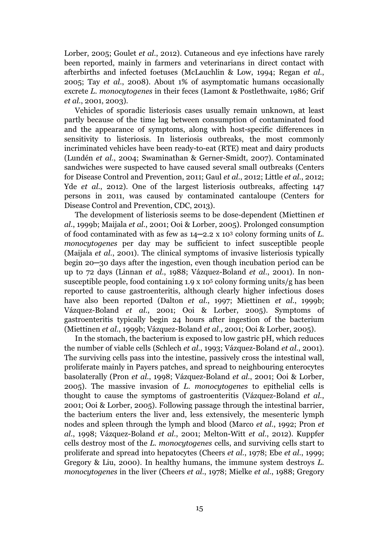Lorber, 2005; Goulet *et al.*, 2012). Cutaneous and eye infections have rarely been reported, mainly in farmers and veterinarians in direct contact with afterbirths and infected foetuses (McLauchlin & Low, 1994; Regan *et al.*, 2005; Tay *et al.*, 2008). About 1% of asymptomatic humans occasionally excrete *L. monocytogenes* in their feces (Lamont & Postlethwaite, 1986; Grif *et al.*, 2001, 2003).

Vehicles of sporadic listeriosis cases usually remain unknown, at least partly because of the time lag between consumption of contaminated food and the appearance of symptoms, along with host-specific differences in sensitivity to listeriosis. In listeriosis outbreaks, the most commonly incriminated vehicles have been ready-to-eat (RTE) meat and dairy products (Lundén *et al.*, 2004; Swaminathan & Gerner-Smidt, 2007). Contaminated sandwiches were suspected to have caused several small outbreaks (Centers for Disease Control and Prevention, 2011; Gaul *et al.*, 2012; Little *et al.*, 2012; Yde *et al.*, 2012). One of the largest listeriosis outbreaks, affecting 147 persons in 2011, was caused by contaminated cantaloupe (Centers for Disease Control and Prevention, CDC, 2013).

The development of listeriosis seems to be dose-dependent (Miettinen *et al.*, 1999b; Maijala *et al.*, 2001; Ooi & Lorber, 2005). Prolonged consumption of food contaminated with as few as 14─2.2 x 103 colony forming units of *L. monocytogenes* per day may be sufficient to infect susceptible people (Maijala *et al.*, 2001). The clinical symptoms of invasive listeriosis typically begin 20─30 days after the ingestion, even though incubation period can be up to 72 days (Linnan *et al.*, 1988; Vázquez-Boland *et al.*, 2001). In nonsusceptible people, food containing 1.9 x 105 colony forming units/g has been reported to cause gastroenteritis, although clearly higher infectious doses have also been reported (Dalton *et al.*, 1997; Miettinen *et al.*, 1999b; Vázquez-Boland *et al.*, 2001; Ooi & Lorber, 2005). Symptoms of gastroenteritis typically begin 24 hours after ingestion of the bacterium (Miettinen *et al.*, 1999b; Vázquez-Boland *et al.*, 2001; Ooi & Lorber, 2005).

In the stomach, the bacterium is exposed to low gastric pH, which reduces the number of viable cells (Schlech *et al.*, 1993; Vázquez-Boland *et al.*, 2001). The surviving cells pass into the intestine, passively cross the intestinal wall, proliferate mainly in Payers patches, and spread to neighbouring enterocytes basolaterally (Pron *et al.*, 1998; Vázquez-Boland *et al.*, 2001; Ooi & Lorber, 2005). The massive invasion of *L. monocytogenes* to epithelial cells is thought to cause the symptoms of gastroenteritis (Vázquez-Boland *et al.*, 2001; Ooi & Lorber, 2005). Following passage through the intestinal barrier, the bacterium enters the liver and, less extensively, the mesenteric lymph nodes and spleen through the lymph and blood (Marco *et al.*, 1992; Pron *et al.*, 1998; Vázquez-Boland *et al.*, 2001; Melton-Witt *et al.*, 2012). Kuppfer cells destroy most of the *L. monocytogenes* cells, and surviving cells start to proliferate and spread into hepatocytes (Cheers *et al.*, 1978; Ebe *et al.*, 1999; Gregory & Liu, 2000). In healthy humans, the immune system destroys *L. monocytogenes* in the liver (Cheers *et al.*, 1978; Mielke *et al.*, 1988; Gregory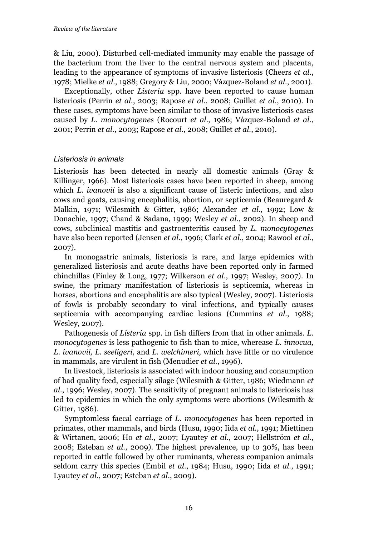& Liu, 2000). Disturbed cell-mediated immunity may enable the passage of the bacterium from the liver to the central nervous system and placenta, leading to the appearance of symptoms of invasive listeriosis (Cheers *et al.*, 1978; Mielke *et al.*, 1988; Gregory & Liu, 2000; Vázquez-Boland *et al.*, 2001).

Exceptionally, other *Listeria* spp. have been reported to cause human listeriosis (Perrin *et al.*, 2003; Rapose *et al.*, 2008; Guillet *et al.*, 2010). In these cases, symptoms have been similar to those of invasive listeriosis cases caused by *L. monocytogenes* (Rocourt *et al.*, 1986; Vázquez-Boland *et al.*, 2001; Perrin *et al.*, 2003; Rapose *et al.*, 2008; Guillet *et al.*, 2010).

#### *Listeriosis in animals*

Listeriosis has been detected in nearly all domestic animals (Gray & Killinger, 1966). Most listeriosis cases have been reported in sheep, among which *L. ivanovii* is also a significant cause of listeric infections, and also cows and goats, causing encephalitis, abortion, or septicemia (Beauregard & Malkin, 1971; Wilesmith & Gitter, 1986; Alexander *et al.*, 1992; Low & Donachie, 1997; Chand & Sadana, 1999; Wesley *et al.*, 2002). In sheep and cows, subclinical mastitis and gastroenteritis caused by *L. monocytogenes*  have also been reported (Jensen *et al.*, 1996; Clark *et al.*, 2004; Rawool *et al.*, 2007).

In monogastric animals, listeriosis is rare, and large epidemics with generalized listeriosis and acute deaths have been reported only in farmed chinchillas (Finley & Long, 1977; Wilkerson *et al.*, 1997; Wesley, 2007). In swine, the primary manifestation of listeriosis is septicemia, whereas in horses, abortions and encephalitis are also typical (Wesley, 2007). Listeriosis of fowls is probably secondary to viral infections, and typically causes septicemia with accompanying cardiac lesions (Cummins *et al.*, 1988; Wesley, 2007).

Pathogenesis of *Listeria* spp. in fish differs from that in other animals. *L. monocytogenes* is less pathogenic to fish than to mice, wherease *L. innocua, L. ivanovii, L. seeligeri,* and *L. welchimeri,* which have little or no virulence in mammals, are virulent in fish (Menudier *et al.*, 1996).

In livestock, listeriosis is associated with indoor housing and consumption of bad quality feed, especially silage (Wilesmith & Gitter, 1986; Wiedmann *et al.*, 1996; Wesley, 2007). The sensitivity of pregnant animals to listeriosis has led to epidemics in which the only symptoms were abortions (Wilesmith & Gitter, 1986).

Symptomless faecal carriage of *L. monocytogenes* has been reported in primates, other mammals, and birds (Husu, 1990; Iida *et al.*, 1991; Miettinen & Wirtanen, 2006; Ho *et al.*, 2007; Lyautey *et al.*, 2007; Hellström *et al.*, 2008; Esteban *et al.*, 2009). The highest prevalence, up to 30%, has been reported in cattle followed by other ruminants, whereas companion animals seldom carry this species (Embil *et al.*, 1984; Husu, 1990; Iida *et al.*, 1991; Lyautey *et al.*, 2007; Esteban *et al.*, 2009).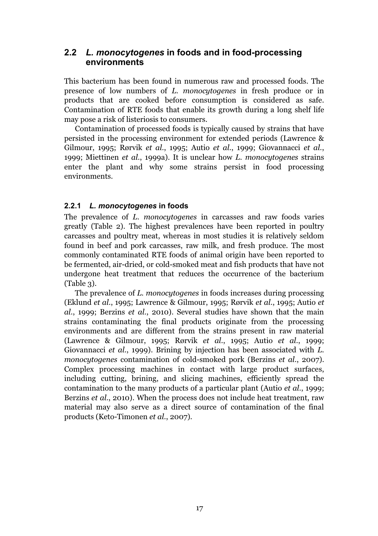### **2.2** *L. monocytogenes* **in foods and in food-processing environments**

This bacterium has been found in numerous raw and processed foods. The presence of low numbers of *L. monocytogenes* in fresh produce or in products that are cooked before consumption is considered as safe. Contamination of RTE foods that enable its growth during a long shelf life may pose a risk of listeriosis to consumers.

Contamination of processed foods is typically caused by strains that have persisted in the processing environment for extended periods (Lawrence & Gilmour, 1995; Rørvik *et al.*, 1995; Autio *et al.*, 1999; Giovannacci *et al.*, 1999; Miettinen *et al.*, 1999a). It is unclear how *L. monocytogenes* strains enter the plant and why some strains persist in food processing environments.

### **2.2.1** *L. monocytogenes* **in foods**

The prevalence of *L. monocytogenes* in carcasses and raw foods varies greatly (Table 2). The highest prevalences have been reported in poultry carcasses and poultry meat, whereas in most studies it is relatively seldom found in beef and pork carcasses, raw milk, and fresh produce. The most commonly contaminated RTE foods of animal origin have been reported to be fermented, air-dried, or cold-smoked meat and fish products that have not undergone heat treatment that reduces the occurrence of the bacterium (Table 3).

The prevalence of *L. monocytogenes* in foods increases during processing (Eklund *et al.*, 1995; Lawrence & Gilmour, 1995; Rørvik *et al.*, 1995; Autio *et al.*, 1999; Berzins *et al.*, 2010). Several studies have shown that the main strains contaminating the final products originate from the processing environments and are different from the strains present in raw material (Lawrence & Gilmour, 1995; Rørvik *et al.*, 1995; Autio *et al.*, 1999; Giovannacci *et al.*, 1999). Brining by injection has been associated with *L. monocytogenes* contamination of cold-smoked pork (Berzins *et al.*, 2007). Complex processing machines in contact with large product surfaces, including cutting, brining, and slicing machines, efficiently spread the contamination to the many products of a particular plant (Autio *et al.*, 1999; Berzins *et al.*, 2010). When the process does not include heat treatment, raw material may also serve as a direct source of contamination of the final products (Keto-Timonen *et al.*, 2007).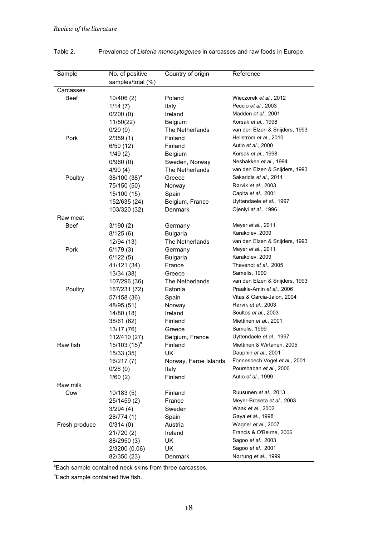| Sample        | No. of positive<br>samples/total (%) | Country of origin           | Reference                      |
|---------------|--------------------------------------|-----------------------------|--------------------------------|
| Carcasses     |                                      |                             |                                |
| <b>Beef</b>   | 10/406 (2)                           | Poland                      | Wieczorek et al., 2012         |
|               | 1/14(7)                              | Italy                       | Peccio et al., 2003            |
|               | 0/200(0)                             | Ireland                     | Madden et al., 2001            |
|               | 11/50(22)                            | Belgium                     | Korsak et al., 1998            |
|               | 0/20(0)                              | The Netherlands             | van den Elzen & Snijders, 1993 |
| Pork          | 2/359(1)                             | Finland                     | Hellström et al., 2010         |
|               | 6/50 (12)                            | Finland                     | Autio et al., 2000             |
|               | 1/49(2)                              | Belgium                     | Korsak et al., 1998            |
|               | 0/960(0)                             | Sweden, Norway              | Nesbakken et al., 1994         |
|               | 4/90 (4)                             | The Netherlands             | van den Elzen & Snijders, 1993 |
| Poultry       | 38/100 (38) <sup>a</sup>             | Greece                      | Sakaridis et al., 2011         |
|               | 75/150 (50)                          | Norway                      | Rørvik et al., 2003            |
|               | 15/100 (15)                          | Spain                       | Capita et al., 2001            |
|               | 152/635 (24)                         | Belgium, France             | Uyttendaele et al., 1997       |
|               | 103/320 (32)                         | Denmark                     | Ojeniyi et al., 1996           |
| Raw meat      |                                      |                             |                                |
| <b>Beef</b>   | 3/190(2)                             | Germany                     | Meyer et al., 2011             |
|               |                                      |                             | Karakolev, 2009                |
|               | 8/125(6)                             | Bulgaria<br>The Netherlands | van den Elzen & Snijders, 1993 |
|               | 12/94 (13)                           |                             | Meyer et al., 2011             |
| Pork          | 6/179(3)                             | Germany                     | Karakolev, 2009                |
|               | 6/122 (5)                            | <b>Bulgaria</b>             |                                |
|               | 41/121 (34)                          | France                      | Thevenot et al., 2005          |
|               | 13/34 (38)                           | Greece                      | Samelis, 1999                  |
|               | 107/296 (36)                         | The Netherlands             | van den Elzen & Snijders, 1993 |
| Poultry       | 167/231 (72)                         | Estonia                     | Praakle-Amin et al., 2006      |
|               | 57/158 (36)                          | Spain                       | Vitas & Garcia-Jalon, 2004     |
|               | 48/95 (51)                           | Norway                      | Rørvik et al., 2003            |
|               | 14/80 (18)                           | Ireland                     | Soultos et al., 2003           |
|               | 38/61 (62)                           | Finland                     | Miettinen et al., 2001         |
|               | 13/17 (76)                           | Greece                      | Samelis, 1999                  |
|               | 112/410 (27)                         | Belgium, France             | Uyttendaele et al., 1997       |
| Raw fish      | $15/103(15)^{b}$                     | Finland                     | Miettinen & Wirtanen, 2005     |
|               | 15/33 (35)                           | <b>UK</b>                   | Dauphin et al., 2001           |
|               | 16/217 (7)                           | Norway, Faroe Islands       | Fonnesbech Vogel et al., 2001  |
|               | 0/26(0)                              | Italy                       | Pourshaban et al., 2000        |
|               | 1/60(2)                              | Finland                     | Autio et al., 1999             |
| Raw milk      |                                      |                             |                                |
| Cow           | 10/183 (5)                           | Finland                     | Ruusunen et al., 2013          |
|               | 25/1459(2)                           | France                      | Meyer-Broseta et al., 2003     |
|               | 3/294 (4)                            | Sweden                      | Waak et al., 2002              |
|               | 28/774 (1)                           | Spain                       | Gaya et al., 1998              |
| Fresh produce | 0/314(0)                             | Austria                     | Wagner et al., 2007            |
|               | 21/720 (2)                           | Ireland                     | Francis & O'Beirne, 2006       |
|               | 88/2950 (3)                          | UK                          | Sagoo et al., 2003             |
|               | 2/3200 (0.06)                        | UK                          | Sagoo et al., 2001             |
|               | 82/350 (23)                          | Denmark                     | Nørrung et al., 1999           |

### Table 2. Prevalence of *Listeria monocytogenes* in carcasses and raw foods in Europe.

<sup>a</sup> Each sample contained neck skins from three carcasses.

**Each sample contained five fish.**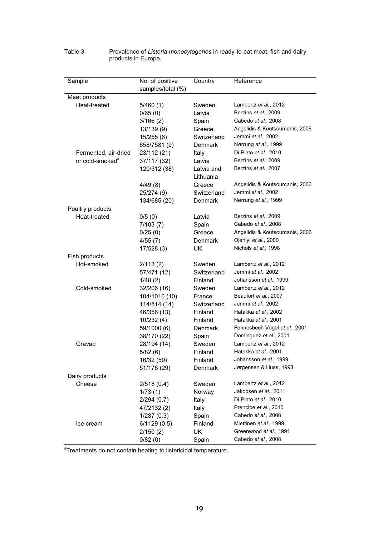| Sample                      | No. of positive   | Country     | Reference                      |
|-----------------------------|-------------------|-------------|--------------------------------|
|                             | samples/total (%) |             |                                |
| <b>Meat products</b>        |                   |             |                                |
| Heat-treated                | 5/460 (1)         | Sweden      | Lambertz et al., 2012          |
|                             | 0/65(0)           | Latvia      | Berzins et al., 2009           |
|                             | 3/166(2)          | Spain       | Cabedo et al., 2008            |
|                             | 13/139 (9)        | Greece      | Angelidis & Koutsoumanis, 2006 |
|                             | 15/255 (6)        | Switzerland | Jemmi et al., 2002             |
|                             | 658/7581 (9)      | Denmark     | Nørrung et al., 1999           |
| Fermented, air-dried        | 23/112 (21)       | Italy       | Di Pinto et al., 2010          |
| or cold-smoked <sup>a</sup> | 37/117 (32)       | Latvia      | Berzins et al., 2009           |
|                             | 120/312 (38)      | Latvia and  | Berzins et al., 2007           |
|                             |                   | Lithuania   |                                |
|                             | 4/49(8)           | Greece      | Angelidis & Koutsoumanis, 2006 |
|                             | 25/274 (9)        | Switzerland | Jemmi et al., 2002             |
|                             | 134/685 (20)      | Denmark     | Nørrung et al., 1999           |
| Poultry products            |                   |             |                                |
| Heat-treated                | 0/5(0)            | Latvia      | Berzins et al., 2009           |
|                             | 7/103(7)          | Spain       | Cabedo et al., 2008            |
|                             | 0/25(0)           | Greece      | Angelidis & Koutsoumanis, 2006 |
|                             | 4/55(7)           | Denmark     | Ojeniyi et al., 2000           |
|                             | 17/528 (3)        | UK          | Nichols et al., 1998           |
| Fish products               |                   |             |                                |
| Hot-smoked                  | 2/113(2)          | Sweden      | Lambertz et al., 2012          |
|                             | 57/471 (12)       | Switzerland | Jemmi et al., 2002             |
|                             | 1/48(2)           | Finland     | Johansson et al., 1999         |
| Cold-smoked                 | 32/206 (16)       | Sweden      | Lambertz et al., 2012          |
|                             | 104/1010 (10)     | France      | Beaufort et al., 2007          |
|                             | 114/814 (14)      | Switzerland | Jemmi et al., 2002             |
|                             | 46/356 (13)       | Finland     | Hatakka et al., 2002           |
|                             | 10/232 (4)        | Finland     | Hatakka et al., 2001           |
|                             | 59/1000 (6)       | Denmark     | Fonnesbech Vogel et al., 2001  |
|                             |                   | Spain       | Dominguez et al., 2001         |
| Gravad                      | 38/170 (22)       | Sweden      | Lambertz et al., 2012          |
|                             | 28/194 (14)       | Finland     | Hatakka et al., 2001           |
|                             | 5/82(6)           |             | Johansson et al., 1999         |
|                             | 16/32 (50)        | Finland     |                                |
|                             | 51/176 (29)       | Denmark     | Jørgensen & Huss, 1998         |
| Dairy products              |                   |             |                                |
| Cheese                      | 2/518(0.4)        | Sweden      | Lambertz et al., 2012          |
|                             | 1/73(1)           | Norway      | Jakobsen et al., 2011          |
|                             | 2/294(0.7)        | Italy       | Di Pinto et al., 2010          |
|                             | 47/2132(2)        | Italy       | Prencipe et al., 2010          |
|                             | 1/287(0.3)        | Spain       | Cabedo et al., 2008            |
| Ice cream                   | 6/1129 (0.5)      | Finland     | Miettinen et al., 1999         |
|                             | 2/150(2)          | UK          | Greenwood et al., 1991         |
|                             | 0/82(0)           | Spain       | Cabedo et al., 2008            |

#### Table 3. Prevalence of *Listeria monocytogenes* in ready-to-eat meat, fish and dairy products in Europe.

<sup>a</sup>Treatments do not contain heating to listericidal temperature.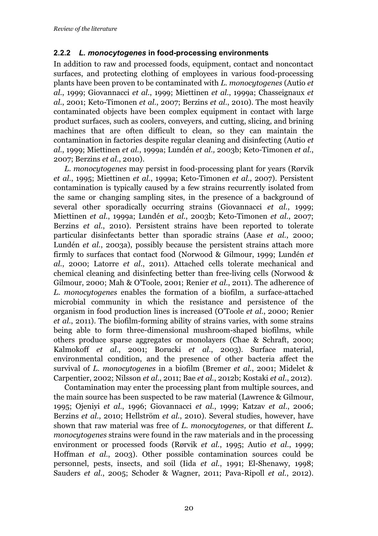### **2.2.2** *L. monocytogenes* **in food-processing environments**

In addition to raw and processed foods, equipment, contact and noncontact surfaces, and protecting clothing of employees in various food-processing plants have been proven to be contaminated with *L. monocytogenes* (Autio *et al.*, 1999; Giovannacci *et al.*, 1999; Miettinen *et al.*, 1999a; Chasseignaux *et al.*, 2001; Keto-Timonen *et al.*, 2007; Berzins *et al.*, 2010). The most heavily contaminated objects have been complex equipment in contact with large product surfaces, such as coolers, conveyers, and cutting, slicing, and brining machines that are often difficult to clean, so they can maintain the contamination in factories despite regular cleaning and disinfecting (Autio *et al.*, 1999; Miettinen *et al.*, 1999a; Lundén *et al.,* 2003b; Keto-Timonen *et al.*, 2007; Berzins *et al.*, 2010).

*L. monocytogenes* may persist in food-processing plant for years (Rørvik *et al.*, 1995; Miettinen *et al.*, 1999a; Keto-Timonen *et al.*, 2007). Persistent contamination is typically caused by a few strains recurrently isolated from the same or changing sampling sites, in the presence of a background of several other sporadically occurring strains (Giovannacci *et al.*, 1999; Miettinen *et al.*, 1999a; Lundén *et al.*, 2003b; Keto-Timonen *et al.*, 2007; Berzins *et al.*, 2010). Persistent strains have been reported to tolerate particular disinfectants better than sporadic strains (Aase *et al.*, 2000; Lundén *et al.*, 2003a), possibly because the persistent strains attach more firmly to surfaces that contact food (Norwood & Gilmour, 1999; Lundén *et al.*, 2000; Latorre *et al.*, 2011). Attached cells tolerate mechanical and chemical cleaning and disinfecting better than free-living cells (Norwood & Gilmour, 2000; Mah & O'Toole, 2001; Renier *et al.*, 2011). The adherence of *L. monocytogenes* enables the formation of a biofilm, a surface-attached microbial community in which the resistance and persistence of the organism in food production lines is increased (O'Toole *et al.*, 2000; Renier *et al.*, 2011). The biofilm-forming ability of strains varies, with some strains being able to form three-dimensional mushroom-shaped biofilms, while others produce sparse aggregates or monolayers (Chae & Schraft, 2000; Kalmokoff *et al.*, 2001; Borucki *et al.*, 2003). Surface material, environmental condition, and the presence of other bacteria affect the survival of *L. monocytogenes* in a biofilm (Bremer *et al.*, 2001; Midelet & Carpentier, 2002; Nilsson *et al.*, 2011; Bae *et al.*, 2012b; Kostaki *et al.*, 2012).

Contamination may enter the processing plant from multiple sources, and the main source has been suspected to be raw material (Lawrence & Gilmour, 1995; Ojeniyi *et al.*, 1996; Giovannacci *et al.*, 1999; Katzav *et al.*, 2006; Berzins *et al.*, 2010; Hellström *et al.*, 2010). Several studies, however, have shown that raw material was free of *L. monocytogenes,* or that different *L. monocytogenes* strains were found in the raw materials and in the processing environment or processed foods (Rørvik *et al.*, 1995; Autio *et al.*, 1999; Hoffman *et al.*, 2003). Other possible contamination sources could be personnel, pests, insects, and soil (Iida *et al.*, 1991; El-Shenawy, 1998; Sauders *et al.*, 2005; Schoder & Wagner, 2011; Pava-Ripoll *et al.*, 2012).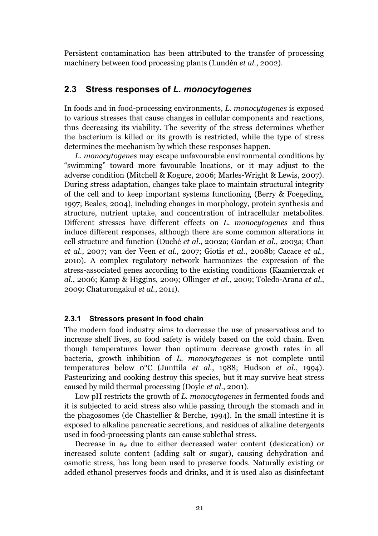Persistent contamination has been attributed to the transfer of processing machinery between food processing plants (Lundén *et al.*, 2002).

### **2.3 Stress responses of** *L. monocytogenes*

In foods and in food-processing environments, *L. monocytogenes* is exposed to various stresses that cause changes in cellular components and reactions, thus decreasing its viability. The severity of the stress determines whether the bacterium is killed or its growth is restricted, while the type of stress determines the mechanism by which these responses happen.

*L. monocytogenes* may escape unfavourable environmental conditions by "swimming" toward more favourable locations, or it may adjust to the adverse condition (Mitchell & Kogure, 2006; Marles-Wright & Lewis, 2007). During stress adaptation, changes take place to maintain structural integrity of the cell and to keep important systems functioning (Berry & Foegeding, 1997; Beales, 2004), including changes in morphology, protein synthesis and structure, nutrient uptake, and concentration of intracellular metabolites. Different stresses have different effects on *L. monocytogenes* and thus induce different responses, although there are some common alterations in cell structure and function (Duché *et al.*, 2002a; Gardan *et al.*, 2003a; Chan *et al.*, 2007; van der Veen *et al.*, 2007; Giotis *et al.*, 2008b; Cacace *et al.*, 2010). A complex regulatory network harmonizes the expression of the stress-associated genes according to the existing conditions (Kazmierczak *et al.*, 2006; Kamp & Higgins, 2009; Ollinger *et al.*, 2009; Toledo-Arana *et al.*, 2009; Chaturongakul *et al.*, 2011).

#### **2.3.1 Stressors present in food chain**

The modern food industry aims to decrease the use of preservatives and to increase shelf lives, so food safety is widely based on the cold chain. Even though temperatures lower than optimum decrease growth rates in all bacteria, growth inhibition of *L. monocytogenes* is not complete until temperatures below 0°C (Junttila *et al.*, 1988; Hudson *et al.*, 1994). Pasteurizing and cooking destroy this species*,* but it may survive heat stress caused by mild thermal processing (Doyle *et al.*, 2001).

Low pH restricts the growth of *L. monocytogenes* in fermented foods and it is subjected to acid stress also while passing through the stomach and in the phagosomes (de Chastellier & Berche, 1994). In the small intestine it is exposed to alkaline pancreatic secretions, and residues of alkaline detergents used in food-processing plants can cause sublethal stress.

Decrease in aw due to either decreased water content (desiccation) or increased solute content (adding salt or sugar), causing dehydration and osmotic stress, has long been used to preserve foods. Naturally existing or added ethanol preserves foods and drinks, and it is used also as disinfectant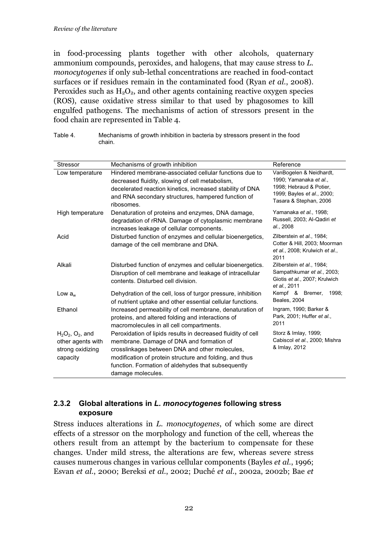in food-processing plants together with other alcohols, quaternary ammonium compounds, peroxides, and halogens, that may cause stress to *L. monocytogenes* if only sub-lethal concentrations are reached in food-contact surfaces or if residues remain in the contaminated food (Ryan *et al.*, 2008). Peroxides such as  $H_2O_2$ , and other agents containing reactive oxygen species (ROS), cause oxidative stress similar to that used by phagosomes to kill engulfed pathogens. The mechanisms of action of stressors present in the food chain are represented in Table 4.

| Stressor                                                                    | Mechanisms of growth inhibition                                                                                                                                                                                                                                                                  | Reference                                                                                                                            |
|-----------------------------------------------------------------------------|--------------------------------------------------------------------------------------------------------------------------------------------------------------------------------------------------------------------------------------------------------------------------------------------------|--------------------------------------------------------------------------------------------------------------------------------------|
| Low temperature                                                             | Hindered membrane-associated cellular functions due to<br>decreased fluidity, slowing of cell metabolism,<br>decelerated reaction kinetics, increased stability of DNA<br>and RNA secondary structures, hampered function of<br>ribosomes.                                                       | VanBogelen & Neidhardt,<br>1990; Yamanaka et al.,<br>1998; Hebraud & Potier,<br>1999; Bayles et al., 2000;<br>Tasara & Stephan, 2006 |
| High temperature                                                            | Denaturation of proteins and enzymes, DNA damage,<br>degradation of rRNA. Damage of cytoplasmic membrane<br>increases leakage of cellular components.                                                                                                                                            | Yamanaka et al., 1998;<br>Russell, 2003; Al-Qadiri et<br>al., 2008                                                                   |
| Acid                                                                        | Disturbed function of enzymes and cellular bioenergetics,<br>damage of the cell membrane and DNA.                                                                                                                                                                                                | Zilberstein et al., 1984;<br>Cotter & Hill, 2003; Moorman<br>et al., 2008; Krulwich et al.,<br>2011                                  |
| Alkali                                                                      | Disturbed function of enzymes and cellular bioenergetics.<br>Disruption of cell membrane and leakage of intracellular<br>contents. Disturbed cell division.                                                                                                                                      | Zilberstein et al., 1984;<br>Sampathkumar et al., 2003;<br>Giotis et al., 2007; Krulwich<br>et al., 2011                             |
| Low $a_w$                                                                   | Dehydration of the cell, loss of turgor pressure, inhibition<br>of nutrient uptake and other essential cellular functions.                                                                                                                                                                       | Kempf & Bremer,<br>1998:<br>Beales, 2004                                                                                             |
| Ethanol                                                                     | Increased permeability of cell membrane, denaturation of<br>proteins, and altered folding and interactions of<br>macromolecules in all cell compartments.                                                                                                                                        | Ingram, 1990; Barker &<br>Park, 2001; Huffer et al.,<br>2011                                                                         |
| $H_2O_2$ , $O_2$ , and<br>other agents with<br>strong oxidizing<br>capacity | Peroxidation of lipids results in decreased fluidity of cell<br>membrane. Damage of DNA and formation of<br>crosslinkages between DNA and other molecules,<br>modification of protein structure and folding, and thus<br>function. Formation of aldehydes that subsequently<br>damage molecules. | Storz & Imlay, 1999;<br>Cabiscol et al., 2000; Mishra<br>& Imlay, 2012                                                               |

Table 4. Mechanisms of growth inhibition in bacteria by stressors present in the food chain.

## **2.3.2 Global alterations in** *L. monocytogenes* **following stress exposure**

Stress induces alterations in *L. monocytogenes*, of which some are direct effects of a stressor on the morphology and function of the cell, whereas the others result from an attempt by the bacterium to compensate for these changes. Under mild stress, the alterations are few, whereas severe stress causes numerous changes in various cellular components (Bayles *et al.*, 1996; Esvan *et al.*, 2000; Bereksi *et al.*, 2002; Duché *et al.*, 2002a, 2002b; Bae *et*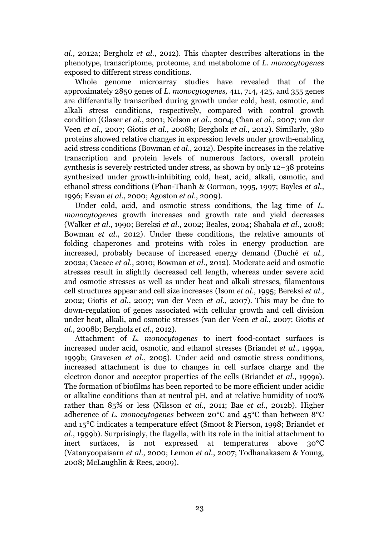*al.*, 2012a; Bergholz *et al.*, 2012). This chapter describes alterations in the phenotype, transcriptome, proteome, and metabolome of *L. monocytogenes*  exposed to different stress conditions.

Whole genome microarray studies have revealed that of the approximately 2850 genes of *L. monocytogenes,* 411, 714, 425, and 355 genes are differentially transcribed during growth under cold, heat, osmotic, and alkali stress conditions, respectively, compared with control growth condition (Glaser *et al.*, 2001; Nelson *et al.*, 2004; Chan *et al.*, 2007; van der Veen *et al.*, 2007; Giotis *et al.*, 2008b; Bergholz *et al.*, 2012). Similarly, 380 proteins showed relative changes in expression levels under growth-enabling acid stress conditions (Bowman *et al.*, 2012). Despite increases in the relative transcription and protein levels of numerous factors, overall protein synthesis is severely restricted under stress, as shown by only 12–38 proteins synthesized under growth-inhibiting cold, heat, acid, alkali, osmotic, and ethanol stress conditions (Phan-Thanh & Gormon, 1995, 1997; Bayles *et al.*, 1996; Esvan *et al.*, 2000; Agoston *et al.*, 2009).

Under cold, acid, and osmotic stress conditions, the lag time of *L. monocytogenes* growth increases and growth rate and yield decreases (Walker *et al.*, 1990; Bereksi *et al.*, 2002; Beales, 2004; Shabala *et al.*, 2008; Bowman *et al.*, 2012). Under these conditions, the relative amounts of folding chaperones and proteins with roles in energy production are increased, probably because of increased energy demand (Duché *et al.*, 2002a; Cacace *et al.*, 2010; Bowman *et al.*, 2012). Moderate acid and osmotic stresses result in slightly decreased cell length, whereas under severe acid and osmotic stresses as well as under heat and alkali stresses, filamentous cell structures appear and cell size increases (Isom *et al.*, 1995; Bereksi *et al.*, 2002; Giotis *et al.*, 2007; van der Veen *et al.*, 2007). This may be due to down-regulation of genes associated with cellular growth and cell division under heat, alkali, and osmotic stresses (van der Veen *et al.*, 2007; Giotis *et al.*, 2008b; Bergholz *et al.*, 2012).

Attachment of *L. monocytogenes* to inert food-contact surfaces is increased under acid, osmotic, and ethanol stresses (Briandet *et al.*, 1999a, 1999b; Gravesen *et al.*, 2005). Under acid and osmotic stress conditions, increased attachment is due to changes in cell surface charge and the electron donor and acceptor properties of the cells (Briandet *et al.*, 1999a). The formation of biofilms has been reported to be more efficient under acidic or alkaline conditions than at neutral pH, and at relative humidity of 100% rather than 85% or less (Nilsson *et al.*, 2011; Bae *et al.*, 2012b). Higher adherence of *L. monocytogenes* between 20°C and 45°C than between 8°C and 15°C indicates a temperature effect (Smoot & Pierson, 1998; Briandet *et al.*, 1999b). Surprisingly, the flagella, with its role in the initial attachment to inert surfaces, is not expressed at temperatures above 30°C (Vatanyoopaisarn *et al.*, 2000; Lemon *et al.*, 2007; Todhanakasem & Young, 2008; McLaughlin & Rees, 2009).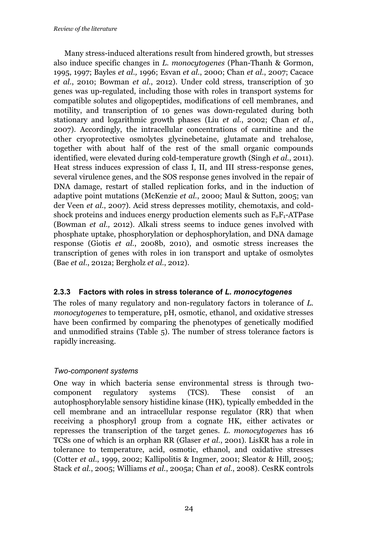Many stress-induced alterations result from hindered growth, but stresses also induce specific changes in *L. monocytogenes* (Phan-Thanh & Gormon, 1995, 1997; Bayles *et al.,* 1996; Esvan *et al.*, 2000; Chan *et al.*, 2007; Cacace *et al.*, 2010; Bowman *et al.*, 2012). Under cold stress, transcription of 30 genes was up-regulated, including those with roles in transport systems for compatible solutes and oligopeptides, modifications of cell membranes, and motility, and transcription of 10 genes was down-regulated during both stationary and logarithmic growth phases (Liu *et al.*, 2002; Chan *et al.*, 2007). Accordingly, the intracellular concentrations of carnitine and the other cryoprotective osmolytes glycinebetaine, glutamate and trehalose, together with about half of the rest of the small organic compounds identified, were elevated during cold-temperature growth (Singh *et al.*, 2011). Heat stress induces expression of class I, II, and III stress-response genes, several virulence genes, and the SOS response genes involved in the repair of DNA damage, restart of stalled replication forks, and in the induction of adaptive point mutations (McKenzie *et al.*, 2000; Maul & Sutton, 2005; van der Veen *et al.*, 2007). Acid stress depresses motility, chemotaxis, and coldshock proteins and induces energy production elements such as  $F_0F_1$ -ATPase (Bowman *et al.,* 2012). Alkali stress seems to induce genes involved with phosphate uptake, phosphorylation or dephosphorylation, and DNA damage response (Giotis *et al.*, 2008b, 2010), and osmotic stress increases the transcription of genes with roles in ion transport and uptake of osmolytes (Bae *et al.*, 2012a; Bergholz *et al.*, 2012).

#### **2.3.3 Factors with roles in stress tolerance of** *L. monocytogenes*

The roles of many regulatory and non-regulatory factors in tolerance of *L. monocytogenes* to temperature, pH, osmotic, ethanol, and oxidative stresses have been confirmed by comparing the phenotypes of genetically modified and unmodified strains (Table 5). The number of stress tolerance factors is rapidly increasing.

### *Two-component systems*

One way in which bacteria sense environmental stress is through twocomponent regulatory systems (TCS). These consist of an autophosphorylable sensory histidine kinase (HK), typically embedded in the cell membrane and an intracellular response regulator (RR) that when receiving a phosphoryl group from a cognate HK, either activates or represses the transcription of the target genes. *L. monocytogenes* has 16 TCSs one of which is an orphan RR (Glaser *et al.*, 2001). LisKR has a role in tolerance to temperature, acid, osmotic, ethanol, and oxidative stresses (Cotter *et al.*, 1999, 2002; Kallipolitis & Ingmer, 2001; Sleator & Hill, 2005; Stack *et al.*, 2005; Williams *et al.*, 2005a; Chan *et al.*, 2008). CesRK controls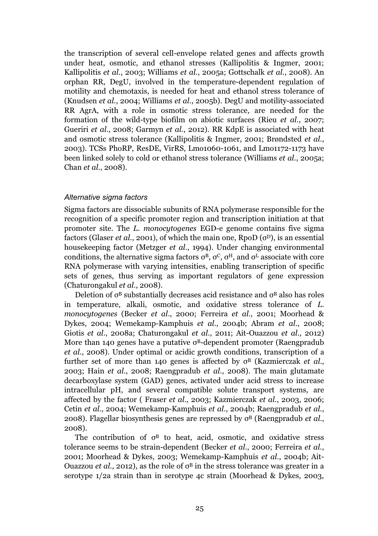the transcription of several cell-envelope related genes and affects growth under heat, osmotic, and ethanol stresses (Kallipolitis & Ingmer, 2001; Kallipolitis *et al.*, 2003; Williams *et al.*, 2005a; Gottschalk *et al.*, 2008). An orphan RR, DegU, involved in the temperature-dependent regulation of motility and chemotaxis, is needed for heat and ethanol stress tolerance of (Knudsen *et al.*, 2004; Williams *et al.*, 2005b). DegU and motility-associated RR AgrA, with a role in osmotic stress tolerance*,* are needed for the formation of the wild-type biofilm on abiotic surfaces (Rieu *et al.*, 2007; Gueriri *et al.*, 2008; Garmyn *et al.*, 2012)*.* RR KdpE is associated with heat and osmotic stress tolerance (Kallipolitis & Ingmer, 2001; Brøndsted *et al.*, 2003). TCSs PhoRP, ResDE, VirRS, Lmo1060-1061, and Lmo1172-1173 have been linked solely to cold or ethanol stress tolerance (Williams *et al.*, 2005a; Chan *et al.*, 2008).

#### *Alternative sigma factors*

Sigma factors are dissociable subunits of RNA polymerase responsible for the recognition of a specific promoter region and transcription initiation at that promoter site. The *L. monocytogenes* EGD-e genome contains five sigma factors (Glaser *et al.*, 2001), of which the main one,  $RpoD(\sigma^D)$ , is an essential housekeeping factor (Metzger *et al.*, 1994). Under changing environmental conditions, the alternative sigma factors  $\sigma^B$ ,  $\sigma^C$ ,  $\sigma^H$ , and  $\sigma^L$  associate with core RNA polymerase with varying intensities, enabling transcription of specific sets of genes, thus serving as important regulators of gene expression (Chaturongakul *et al.*, 2008).

Deletion of  $\sigma^{\text{\tiny B}}$  substantially decreases acid resistance and  $\sigma^{\text{\tiny B}}$  also has roles in temperature, alkali, osmotic, and oxidative stress tolerance of *L. monocytogenes* (Becker *et al*., 2000; Ferreira *et al*., 2001; Moorhead & Dykes, 2004; Wemekamp-Kamphuis *et al*., 2004b; Abram *et al*., 2008; Giotis *et al*., 2008a; Chaturongakul *et al*., 2011; Ait-Ouazzou *et al*., 2012) More than 140 genes have a putative  $\sigma^B$ -dependent promoter (Raengpradub *et al.*, 2008). Under optimal or acidic growth conditions, transcription of a further set of more than 140 genes is affected by  $\sigma^B$  (Kazmierczak *et al.*, 2003; Hain *et al.*, 2008; Raengpradub *et al.*, 2008). The main glutamate decarboxylase system (GAD) genes, activated under acid stress to increase intracellular pH, and several compatible solute transport systems, are affected by the factor ( Fraser *et al.*, 2003; Kazmierczak *et al.*, 2003, 2006; Cetin *et al.*, 2004; Wemekamp-Kamphuis *et al.*, 2004b; Raengpradub *et al.*, 2008). Flagellar biosynthesis genes are repressed by σB (Raengpradub *et al.*, 2008).

The contribution of  $\sigma^B$  to heat, acid, osmotic, and oxidative stress tolerance seems to be strain-dependent (Becker *et al.*, 2000; Ferreira *et al.*, 2001; Moorhead & Dykes, 2003; Wemekamp-Kamphuis *et al.*, 2004b; Ait-Ouazzou *et al.*, 2012), as the role of  $\sigma^B$  in the stress tolerance was greater in a serotype 1/2a strain than in serotype 4c strain (Moorhead & Dykes, 2003,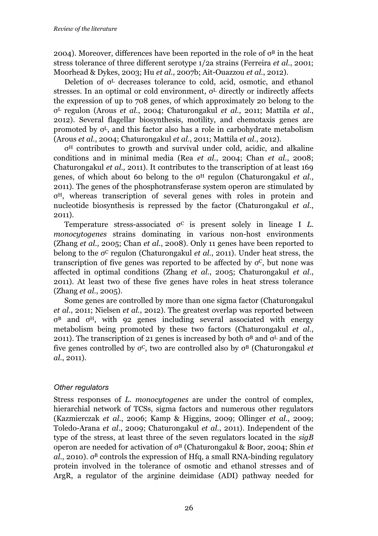2004). Moreover, differences have been reported in the role of  $\sigma^B$  in the heat stress tolerance of three different serotype 1/2a strains (Ferreira *et al.*, 2001; Moorhead & Dykes, 2003; Hu *et al.*, 2007b; Ait-Ouazzou *et al.*, 2012).

Deletion of σL decreases tolerance to cold, acid, osmotic, and ethanol stresses. In an optimal or cold environment,  $\sigma^L$  directly or indirectly affects the expression of up to 708 genes, of which approximately 20 belong to the σL regulon (Arous *et al.*, 2004; Chaturongakul *et al.*, 2011; Mattila *et al.*, 2012). Several flagellar biosynthesis, motility, and chemotaxis genes are promoted by  $\sigma^L$ , and this factor also has a role in carbohydrate metabolism (Arous *et al.*, 2004; Chaturongakul *et al.*, 2011; Mattila *et al.*, 2012)*.* 

σH contributes to growth and survival under cold, acidic, and alkaline conditions and in minimal media (Rea *et al.*, 2004; Chan *et al.*, 2008; Chaturongakul *et al.,* 2011). It contributes to the transcription of at least 169 genes, of which about 60 belong to the σH regulon (Chaturongakul *et al.*, 2011). The genes of the phosphotransferase system operon are stimulated by σH, whereas transcription of several genes with roles in protein and nucleotide biosynthesis is repressed by the factor (Chaturongakul *et al.*, 2011).

Temperature stress-associated  $\sigma^C$  is present solely in lineage I *L*. *monocytogenes* strains dominating in various non-host environments (Zhang *et al.*, 2005; Chan *et al.*, 2008). Only 11 genes have been reported to belong to the σC regulon (Chaturongakul *et al.*, 2011). Under heat stress, the transcription of five genes was reported to be affected by  $\sigma^c$ , but none was affected in optimal conditions (Zhang *et al.*, 2005; Chaturongakul *et al.*, 2011). At least two of these five genes have roles in heat stress tolerance (Zhang *et al.*, 2005).

Some genes are controlled by more than one sigma factor (Chaturongakul *et al.*, 2011; Nielsen *et al.*, 2012). The greatest overlap was reported between σB and σH, with 92 genes including several associated with energy metabolism being promoted by these two factors (Chaturongakul *et al.*, 2011). The transcription of 21 genes is increased by both  $\sigma^B$  and  $\sigma^L$  and of the five genes controlled by σC, two are controlled also by σB (Chaturongakul *et al.*, 2011).

### *Other regulators*

Stress responses of *L. monocytogenes* are under the control of complex, hierarchial network of TCSs, sigma factors and numerous other regulators (Kazmierczak *et al.*, 2006; Kamp & Higgins, 2009; Ollinger *et al.*, 2009; Toledo-Arana *et al.*, 2009; Chaturongakul *et al.*, 2011). Independent of the type of the stress, at least three of the seven regulators located in the *sigB*  operon are needed for activation of σB (Chaturongakul & Boor, 2004; Shin *et*   $al$ , 2010).  $\sigma^B$  controls the expression of Hfq, a small RNA-binding regulatory protein involved in the tolerance of osmotic and ethanol stresses and of ArgR, a regulator of the arginine deimidase (ADI) pathway needed for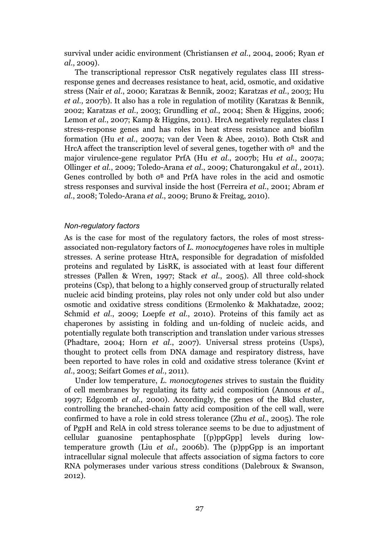survival under acidic environment (Christiansen *et al.*, 2004, 2006; Ryan *et al.*, 2009).

The transcriptional repressor CtsR negatively regulates class III stressresponse genes and decreases resistance to heat, acid, osmotic, and oxidative stress (Nair *et al.*, 2000; Karatzas & Bennik, 2002; Karatzas *et al.*, 2003; Hu *et al.*, 2007b). It also has a role in regulation of motility (Karatzas & Bennik, 2002; Karatzas *et al.*, 2003; Grundling *et al.*, 2004; Shen & Higgins, 2006; Lemon *et al.*, 2007; Kamp & Higgins, 2011). HrcA negatively regulates class I stress-response genes and has roles in heat stress resistance and biofilm formation (Hu *et al.*, 2007a; van der Veen & Abee, 2010). Both CtsR and HrcA affect the transcription level of several genes, together with  $\sigma^B$  and the major virulence-gene regulator PrfA (Hu *et al.*, 2007b; Hu *et al.*, 2007a; Ollinger *et al.*, 2009; Toledo-Arana *et al.*, 2009; Chaturongakul *et al.*, 2011). Genes controlled by both  $\sigma^B$  and PrfA have roles in the acid and osmotic stress responses and survival inside the host (Ferreira *et al.*, 2001; Abram *et al.*, 2008; Toledo-Arana *et al.*, 2009; Bruno & Freitag, 2010).

#### *Non-regulatory factors*

As is the case for most of the regulatory factors, the roles of most stressassociated non-regulatory factors of *L. monocytogenes* have roles in multiple stresses. A serine protease HtrA, responsible for degradation of misfolded proteins and regulated by LisRK, is associated with at least four different stresses (Pallen & Wren, 1997; Stack *et al.*, 2005). All three cold-shock proteins (Csp), that belong to a highly conserved group of structurally related nucleic acid binding proteins, play roles not only under cold but also under osmotic and oxidative stress conditions (Ermolenko & Makhatadze, 2002; Schmid *et al.*, 2009; Loepfe *et al.*, 2010)*.* Proteins of this family act as chaperones by assisting in folding and un-folding of nucleic acids, and potentially regulate both transcription and translation under various stresses (Phadtare, 2004; Horn *et al.*, 2007). Universal stress proteins (Usps), thought to protect cells from DNA damage and respiratory distress, have been reported to have roles in cold and oxidative stress tolerance (Kvint *et al.*, 2003; Seifart Gomes *et al.*, 2011)*.*

Under low temperature, *L. monocytogenes* strives to sustain the fluidity of cell membranes by regulating its fatty acid composition (Annous *et al.*, 1997; Edgcomb *et al.*, 2000). Accordingly, the genes of the Bkd cluster, controlling the branched-chain fatty acid composition of the cell wall, were confirmed to have a role in cold stress tolerance (Zhu *et al.*, 2005). The role of PgpH and RelA in cold stress tolerance seems to be due to adjustment of cellular guanosine pentaphosphate [(p)ppGpp] levels during lowtemperature growth (Liu *et al.*, 2006b). The (p)ppGpp is an important intracellular signal molecule that affects association of sigma factors to core RNA polymerases under various stress conditions (Dalebroux & Swanson, 2012).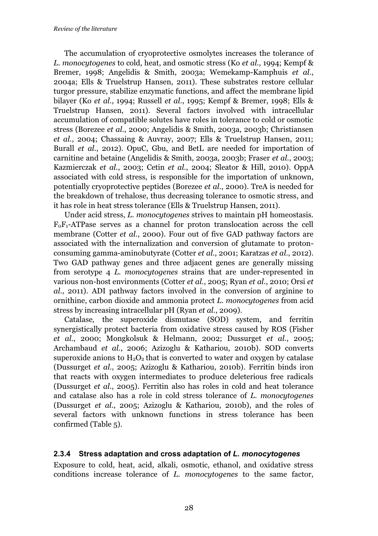The accumulation of cryoprotective osmolytes increases the tolerance of *L. monocytogenes* to cold, heat, and osmotic stress (Ko *et al.*, 1994; Kempf & Bremer, 1998; Angelidis & Smith, 2003a; Wemekamp-Kamphuis *et al.*, 2004a; Ells & Truelstrup Hansen, 2011). These substrates restore cellular turgor pressure, stabilize enzymatic functions, and affect the membrane lipid bilayer (Ko *et al.*, 1994; Russell *et al.*, 1995; Kempf & Bremer, 1998; Ells & Truelstrup Hansen, 2011). Several factors involved with intracellular accumulation of compatible solutes have roles in tolerance to cold or osmotic stress (Borezee *et al.*, 2000; Angelidis & Smith, 2003a, 2003b; Christiansen *et al.*, 2004; Chassaing & Auvray, 2007; Ells & Truelstrup Hansen, 2011; Burall *et al.*, 2012). OpuC, Gbu, and BetL are needed for importation of carnitine and betaine (Angelidis & Smith, 2003a, 2003b; Fraser *et al.*, 2003; Kazmierczak *et al.*, 2003; Cetin *et al.*, 2004; Sleator & Hill, 2010). OppA associated with cold stress, is responsible for the importation of unknown, potentially cryoprotective peptides (Borezee *et al.*, 2000). TreA is needed for the breakdown of trehalose, thus decreasing tolerance to osmotic stress, and it has role in heat stress tolerance (Ells & Truelstrup Hansen, 2011).

Under acid stress, *L. monocytogenes* strives to maintain pH homeostasis.  $F_0F_1$ -ATPase serves as a channel for proton translocation across the cell membrane (Cotter *et al.*, 2000). Four out of five GAD pathway factors are associated with the internalization and conversion of glutamate to protonconsuming gamma-aminobutyrate (Cotter *et al.*, 2001; Karatzas *et al.*, 2012). Two GAD pathway genes and three adjacent genes are generally missing from serotype 4 *L. monocytogenes* strains that are under-represented in various non-host environments (Cotter *et al.*, 2005; Ryan *et al.*, 2010; Orsi *et al.*, 2011). ADI pathway factors involved in the conversion of arginine to ornithine, carbon dioxide and ammonia protect *L. monocytogenes* from acid stress by increasing intracellular pH (Ryan *et al.*, 2009).

Catalase*,* the superoxide dismutase (SOD) system, and ferritin synergistically protect bacteria from oxidative stress caused by ROS (Fisher *et al.*, 2000; Mongkolsuk & Helmann, 2002; Dussurget *et al.*, 2005; Archambaud *et al.*, 2006; Azizoglu & Kathariou, 2010b). SOD converts superoxide anions to  $H_2O_2$  that is converted to water and oxygen by catalase (Dussurget *et al.*, 2005; Azizoglu & Kathariou, 2010b). Ferritin binds iron that reacts with oxygen intermediates to produce deleterious free radicals (Dussurget *et al.*, 2005). Ferritin also has roles in cold and heat tolerance and catalase also has a role in cold stress tolerance of *L. monocytogenes* (Dussurget *et al.*, 2005; Azizoglu & Kathariou, 2010b), and the roles of several factors with unknown functions in stress tolerance has been confirmed (Table 5).

### **2.3.4 Stress adaptation and cross adaptation of** *L. monocytogenes*

Exposure to cold, heat, acid, alkali, osmotic, ethanol, and oxidative stress conditions increase tolerance of *L. monocytogenes* to the same factor,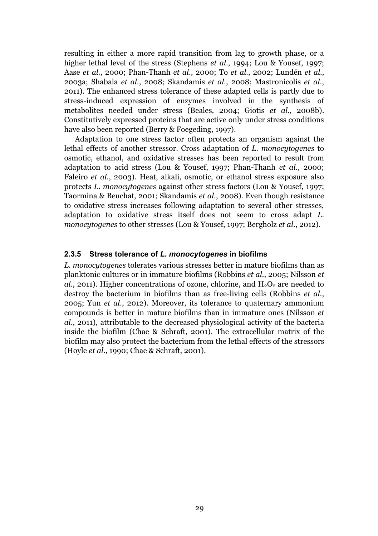resulting in either a more rapid transition from lag to growth phase, or a higher lethal level of the stress (Stephens *et al.*, 1994; Lou & Yousef, 1997; Aase *et al.*, 2000; Phan-Thanh *et al.*, 2000; To *et al.*, 2002; Lundén *et al.*, 2003a; Shabala *et al.*, 2008; Skandamis *et al.*, 2008; Mastronicolis *et al.*, 2011). The enhanced stress tolerance of these adapted cells is partly due to stress-induced expression of enzymes involved in the synthesis of metabolites needed under stress (Beales, 2004; Giotis *et al.*, 2008b). Constitutively expressed proteins that are active only under stress conditions have also been reported (Berry & Foegeding, 1997).

Adaptation to one stress factor often protects an organism against the lethal effects of another stressor. Cross adaptation of *L. monocytogenes* to osmotic, ethanol, and oxidative stresses has been reported to result from adaptation to acid stress (Lou & Yousef, 1997; Phan-Thanh *et al.*, 2000; Faleiro *et al.*, 2003). Heat, alkali, osmotic, or ethanol stress exposure also protects *L. monocytogenes* against other stress factors (Lou & Yousef, 1997; Taormina & Beuchat, 2001; Skandamis *et al.*, 2008). Even though resistance to oxidative stress increases following adaptation to several other stresses, adaptation to oxidative stress itself does not seem to cross adapt *L. monocytogenes* to other stresses (Lou & Yousef, 1997; Bergholz *et al.*, 2012).

#### **2.3.5 Stress tolerance of** *L. monocytogenes* **in biofilms**

*L. monocytogenes* tolerates various stresses better in mature biofilms than as planktonic cultures or in immature biofilms (Robbins *et al.*, 2005; Nilsson *et*   $al$ , 2011). Higher concentrations of ozone, chlorine, and  $H_2O_2$  are needed to destroy the bacterium in biofilms than as free-living cells (Robbins *et al.*, 2005; Yun *et al.*, 2012). Moreover, its tolerance to quaternary ammonium compounds is better in mature biofilms than in immature ones (Nilsson *et al.*, 2011), attributable to the decreased physiological activity of the bacteria inside the biofilm (Chae & Schraft, 2001). The extracellular matrix of the biofilm may also protect the bacterium from the lethal effects of the stressors (Hoyle *et al.*, 1990; Chae & Schraft, 2001).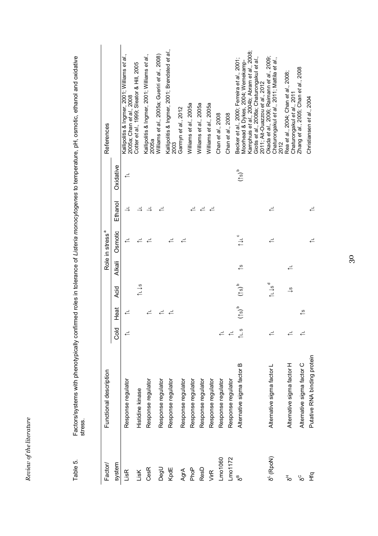Review of the literature *Review of the literature*  Factors/systems with phenotypically confirmed roles in tolerance of *Listeria monocytogene*s to temperature, pH, osmotic, ethanol and oxidative<br>stress. Factors/systems with phenotypically confirmed roles in tolerance of *Listeria monocytogenes* to temperature, pH, osmotic, ethanol and oxidative Table 5. Table 5.

| Factor/               | ption<br>Functional descrip                                   |                    |                     |                             |          | Role in stress <sup>a</sup> |                          |                      | References                                                                                                                                         |
|-----------------------|---------------------------------------------------------------|--------------------|---------------------|-----------------------------|----------|-----------------------------|--------------------------|----------------------|----------------------------------------------------------------------------------------------------------------------------------------------------|
| system                |                                                               | old<br>O           | Heat                | Acid                        | Alkali   | Osmotic                     | Ethanol                  | Oxidative            |                                                                                                                                                    |
| LisR                  | Response regulator                                            | $\rightleftarrows$ | ≓                   |                             |          | $\rightleftarrows$          | $\Rightarrow$            | $\leftarrow$         | Kallipolitis & Ingmer, 2001; Williams et al.,<br>2005a; Chan et al., 2008                                                                          |
| LisK                  | Histidine kinase                                              |                    |                     | $\approx$                   |          |                             | $\Rightarrow$            |                      | Cotter et al., 1999; Sleator & Hill, 2005                                                                                                          |
| CesR                  | Response regulator                                            |                    |                     |                             |          |                             |                          |                      | Kallipolitis & Ingmer, 2001; Williams et al.,<br>2005a                                                                                             |
| DegU                  | Response regulator                                            |                    |                     |                             |          |                             |                          |                      | Williams et al., 2005a; Gueriri et al., 2008)                                                                                                      |
| KpdE                  | Response regulator                                            |                    |                     |                             |          |                             |                          |                      | Kallipolitis & Ingmer, 2001; Brøndsted et al.,<br>2003                                                                                             |
| AgrA                  | Response regulator                                            |                    |                     |                             |          |                             |                          |                      | Garmyn et al., 2012                                                                                                                                |
| PhoP                  | Response regulator                                            |                    |                     |                             |          |                             |                          |                      | Williams et al., 2005a                                                                                                                             |
| ResD                  | Response regulator                                            |                    |                     |                             |          |                             | $\overline{\phantom{a}}$ |                      | Williams et al., 2005a                                                                                                                             |
| VirR                  | Response regulator                                            |                    |                     |                             |          |                             |                          |                      | Williams et al., 2005a                                                                                                                             |
| Lmo1060               | $\overline{\pi}$<br>Response regulato                         | $\rightleftarrows$ |                     |                             |          |                             |                          |                      | Chan et al., 2008                                                                                                                                  |
| Lmo1172               | Response regulator                                            | ≓                  |                     |                             |          |                             |                          |                      | Chan et al., 2008                                                                                                                                  |
| m<br>O                | factor B<br>Altemative sigma                                  | 1∟, s              | $(1s)$ <sup>d</sup> | $\frac{1}{q}(5)$            | $\infty$ |                             |                          | $\mathfrak{a}^{(s)}$ | Becker et al., 2000; Ferreira et al., 2001;<br>Moorhead & Dykes, 2004; Wemekamp-                                                                   |
|                       |                                                               |                    |                     |                             |          |                             |                          |                      | Kamphuis et al., 2004b; Abram et al., 2008;<br>Giotis <i>et al.,</i> 2008a; Chaturongakul <i>et al.,</i><br>2011; Ait-Ouazzou <i>et al., 2</i> 012 |
| δ <sup>ι</sup> (RpoN) | factor L<br>Altemative sigma f                                |                    |                     | ∕L↓s                        |          |                             |                          |                      | Okada et al., 2006; Raimann et al., 2009;<br>Chaturongakul et a/., 2011; Mattila et a/.,<br>2012                                                   |
| ≖<br>∞                | factor H<br>Alternative sigma                                 | ≓                  |                     | $\stackrel{0}{\rightarrow}$ | ≓        |                             |                          |                      | Rea et al., 2004; Chan et al., 2008;<br>Chaturongakul et al., 2011                                                                                 |
| £<br>ိဝ               | Putative RNA binding protein<br>factor C<br>Alternative sigma |                    | $\frac{8}{3}$       |                             |          | ≓                           |                          |                      | Zhang et al., 2005; Chan et al., 2008<br>Christiansen et al., 2004                                                                                 |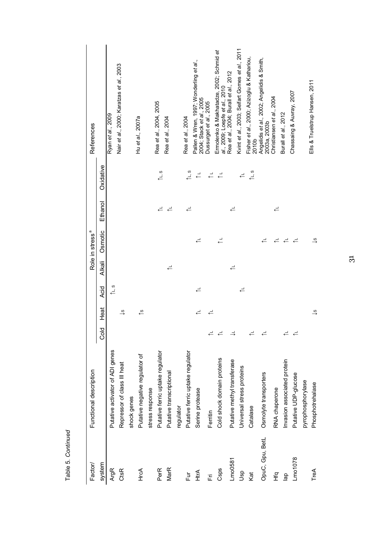| Factor/         | Functional description             |                    |                             |      |                    | Role in stress <sup>a</sup>     |                    |                                          | References                                                                |
|-----------------|------------------------------------|--------------------|-----------------------------|------|--------------------|---------------------------------|--------------------|------------------------------------------|---------------------------------------------------------------------------|
| system          |                                    | Cold               | Heat                        | Acid | Alkali             | Osmotic                         | Ethanol            | Oxidative                                |                                                                           |
| <b>ArgR</b>     | ADI genes<br>Putative activator of |                    |                             | ° ⊤) |                    |                                 |                    |                                          | Ryan et al., 2009                                                         |
| CtsR            | Il heat<br>Repressor of class II   |                    | $\stackrel{0}{\rightarrow}$ |      |                    |                                 |                    |                                          | Nair et al., 2000; Karatzas et al., 2003                                  |
|                 | shock genes                        |                    |                             |      |                    |                                 |                    |                                          |                                                                           |
| HrcA            | Putative negative regulator of     |                    | ৻ঃ                          |      |                    |                                 |                    |                                          | Hu et al., 2007a                                                          |
|                 | stress response                    |                    |                             |      |                    |                                 |                    |                                          |                                                                           |
| PerR            | Putative ferric uptake regulator   |                    |                             |      |                    |                                 | $\rightleftarrows$ | ی<br>د آ                                 | Rea et al., 2004, 2005                                                    |
| MarR            | Putative transcriptional           |                    |                             |      | $\rightleftarrows$ |                                 | $\rightleftarrows$ |                                          | Rea et al., 2004                                                          |
|                 | regulator                          |                    |                             |      |                    |                                 |                    |                                          |                                                                           |
| Fur             | Putative ferric uptake regulator   |                    |                             |      |                    |                                 | ≓                  | $\tilde{\Gamma}$ s                       | Rea et al., 2004                                                          |
| HtrA            | Serine protease                    |                    | ≓                           | ↵    |                    | ≓                               |                    | $\overline{\phantom{a}}$                 | Pallen & Wren, 1997; Wonderling et al.,<br>2004; Stack et al., 2005       |
| Ë               | Ferritin                           | ≓                  | ≓                           |      |                    |                                 |                    | $\overline{\phantom{a}}$                 | Dussurget et al., 2005                                                    |
| Csps            | Cold shock domain proteins         | $\rightleftarrows$ |                             |      |                    | $\overline{\phantom{a}}$        |                    | $\stackrel{\rightharpoonup}{\leftarrow}$ | Ermolenko & Makhatadze, 2002; Schmid et<br>al., 2009; Loepfe et al., 2010 |
| Lm00581         | Putative methyl transferase        | $\Rightarrow$      |                             |      | ≓                  |                                 | ≓                  |                                          | Rea et al., 2004; Burall et al., 2012                                     |
| dsp             | Universal stress proteins          |                    |                             | ≓    |                    |                                 |                    | $\rightleftarrows$                       | Kvint et al., 2003; Seifart Gomes et al., 2011                            |
| Kat             | Catalase                           | ≓                  |                             |      |                    |                                 |                    | $\uparrow$ s                             | Fisher et al., 2000; Azizoglu & Kathariou,<br>2010b                       |
| OpuC, Gpu, BetL | Osmolyte transporters              | ≓                  |                             |      |                    | ≓                               |                    |                                          | Angelidis <i>et al</i> ., 2002; Angelidis & Smith,<br>2003a, 2003b        |
| ۹£<br>H         | RNA chaperone                      |                    |                             |      |                    | ≓                               | $\rightleftarrows$ |                                          | Christiansen <i>et al.</i> , 2004                                         |
| $\frac{a}{b}$   | Invasion associated protein        | ≓                  |                             |      |                    | ≓                               |                    |                                          | Burall et al., 2012                                                       |
| $Lm$ o 1078     | Putative UDP-glucose               | ↵                  |                             |      |                    | ↵                               |                    |                                          | Chassaing & Auvray, 2007                                                  |
|                 | pyrophosphorylase                  |                    |                             |      |                    |                                 |                    |                                          |                                                                           |
| TreA            | Phosphotrehalase                   |                    | $\stackrel{0}{\rightarrow}$ |      |                    | $\stackrel{\circ}{\rightarrow}$ |                    |                                          | Ells & Truelstrup Hansen, 2011                                            |

Table 5. Continued Table 5. *Continued*

31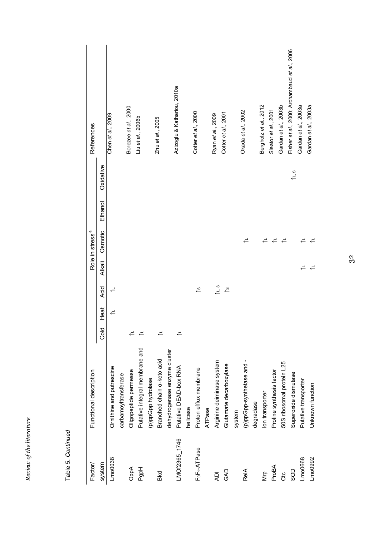| iteratur<br>F        |  |
|----------------------|--|
| )† the<br>è<br>cevev |  |

| ۱ |
|---|
|   |
| ı |
| ι |
|   |
| r |
|   |
|   |

| Factor/                               | Functional description          |                    |                    |                                 |                    | Role in stress <sup>a</sup> |         |           | References                                   |
|---------------------------------------|---------------------------------|--------------------|--------------------|---------------------------------|--------------------|-----------------------------|---------|-----------|----------------------------------------------|
| system                                |                                 | Cold               | Heat               | Acid                            | <b>Alkali</b>      | Osmotic                     | Ethanol | Oxidative |                                              |
| $Lm$ o $0038$                         | Ornithine and putrescine        |                    | $\rightleftarrows$ |                                 |                    |                             |         |           | Chen et al., 2009                            |
|                                       | carbamoyltransferase            |                    |                    |                                 |                    |                             |         |           |                                              |
| OppA                                  | Oligopeptide permease           | ≓                  |                    |                                 |                    |                             |         |           | Borezee et al., 2000                         |
| PgpH                                  | Putative integral membrane and  | $\rightleftarrows$ |                    |                                 |                    |                             |         |           | Liu et al., 2006b                            |
|                                       | (p)ppGpp hydrolase              |                    |                    |                                 |                    |                             |         |           |                                              |
| Bkd                                   | Branched chain a-keto acid      | ≓                  |                    |                                 |                    |                             |         |           | Zhu et al., 2005                             |
|                                       | dehydrogenase enzyme cluster    |                    |                    |                                 |                    |                             |         |           |                                              |
| LMOf2365_1746                         | <b>RNA</b><br>Putative DEAD-box | ≓                  |                    |                                 |                    |                             |         |           | Azizoglu & Kathariou, 2010a                  |
|                                       | helicase                        |                    |                    |                                 |                    |                             |         |           |                                              |
| F <sub>o</sub> F <sub>1</sub> -ATPase | Proton efflux membrane          |                    |                    | $\overset{\circ}{\rightarrow}$  |                    |                             |         |           | Cotter et al., 2000                          |
|                                       | ATPase                          |                    |                    |                                 |                    |                             |         |           |                                              |
| ЙV                                    | system<br>Arginine deiminase    |                    |                    | $\tilde{\Gamma}$                |                    |                             |         |           | Ryan et al., 2009                            |
| GAD                                   | Glutamate decarboxylase         |                    |                    | $\stackrel{\circ}{\rightarrow}$ |                    |                             |         |           | Cotter et al., 2001                          |
|                                       | system                          |                    |                    |                                 |                    |                             |         |           |                                              |
| ReIA                                  | (p)ppGpp-synthetase and -       |                    |                    |                                 |                    | €                           |         |           | Okada et al., 2002                           |
|                                       | degradase                       |                    |                    |                                 |                    |                             |         |           |                                              |
| Мm                                    | lon transporter                 |                    |                    |                                 |                    | $\rightleftarrows$          |         |           | Bergholz et al., 2012                        |
| ProBA                                 | Proline synthesis factor        |                    |                    |                                 |                    | $\rightleftarrows$          |         |           | Sleator et al., 2001                         |
| čto                                   | 50S ribosomal protein L25       |                    |                    |                                 |                    | $\rightleftarrows$          |         |           | Gardan et al., 2003b                         |
| SOD                                   | Superoxide dismutase            |                    |                    |                                 |                    |                             |         | ° بال     | Fisher et al., 2000; Archambaud et al., 2006 |
| Lmo0668                               | Putative transporter            |                    |                    |                                 | $\rightleftarrows$ | €                           |         |           | Gardan et al., 2003a                         |
| Lmo0992                               | Unknown function                |                    |                    |                                 | $\rightleftarrows$ | ≓                           |         |           | Gardan et al., 2003a                         |
|                                       |                                 |                    |                    |                                 |                    |                             |         |           |                                              |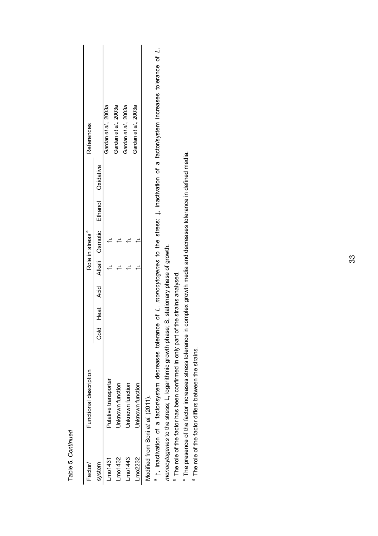| Factor                            | Functional description |  |  | Role in stress <sup>a</sup> |                                                 | <b>References</b>    |
|-----------------------------------|------------------------|--|--|-----------------------------|-------------------------------------------------|----------------------|
| system                            |                        |  |  |                             | Cold Heat Acid Alkali Osmotic Ethanol Oxidative |                      |
| $L$ mo1431                        | utative transporter    |  |  |                             |                                                 | Gardan et al., 2003a |
| $- m 0 1432$                      | Inknown function       |  |  |                             |                                                 | Gardan et al., 2003a |
| $-$ mo $1443$                     | Inknown function       |  |  |                             |                                                 | Gardan et al., 2003a |
| mo2232                            | Inknown function       |  |  |                             |                                                 | Gardan et al., 2003a |
| Modified from Soni et al. (2011). |                        |  |  |                             |                                                 |                      |

Table 5. Continued Table 5. *Continued*

a 1, inactivation of a factor/system decreases tolerance of L. monocytogenes to the stress; L. inactivation of a factor/system increases tolerance of L. ↑, inactivation of a factor/system decreases tolerance of *L. monocytogenes* to the stress; ↓, inactivation of a factor/system increases tolerance of *L.*  monocytogenes to the stress; L, logarithmic growth phase; S, stationary phase of growth. *monocytogenes* to the stress; L, logarithmic growth phase; S, stationary phase of growth.

<sup>b</sup> The role of the factor has been confirmed in only part of the strains analysed. b The role of the factor has been confirmed in only part of the strains analysed.

<sup>6</sup> The presence of the factor increases stress tolerance in complex growth media and decreases tolerance in defined media.  $^{\circ}$  The presence of the factor increases stress tolerance in complex growth media and decreases tolerance in defined media.

<sup>d</sup> The role of the factor differs between the strains.  $<sup>d</sup>$  The role of the factor differs between the strains.</sup>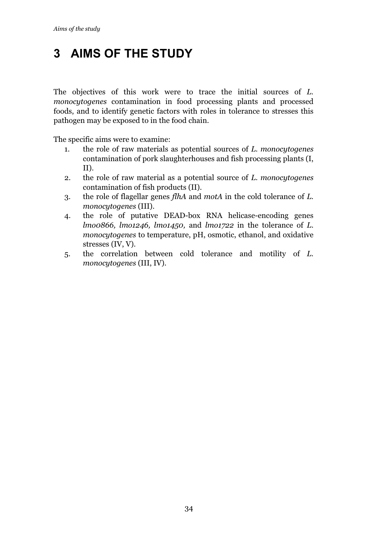# **3 AIMS OF THE STUDY**

The objectives of this work were to trace the initial sources of *L. monocytogenes* contamination in food processing plants and processed foods, and to identify genetic factors with roles in tolerance to stresses this pathogen may be exposed to in the food chain.

The specific aims were to examine:

- 1. the role of raw materials as potential sources of *L. monocytogenes*  contamination of pork slaughterhouses and fish processing plants (I, II).
- 2. the role of raw material as a potential source of *L. monocytogenes*  contamination of fish products (II).
- 3. the role of flagellar genes *flhA* and *motA* in the cold tolerance of *L. monocytogenes* (III).
- 4. the role of putative DEAD-box RNA helicase-encoding genes *lmo0866, lmo1246, lmo1450,* and *lmo1722* in the tolerance of *L. monocytogenes* to temperature, pH, osmotic, ethanol, and oxidative stresses (IV, V)*.*
- 5. the correlation between cold tolerance and motility of *L. monocytogenes* (III, IV)*.*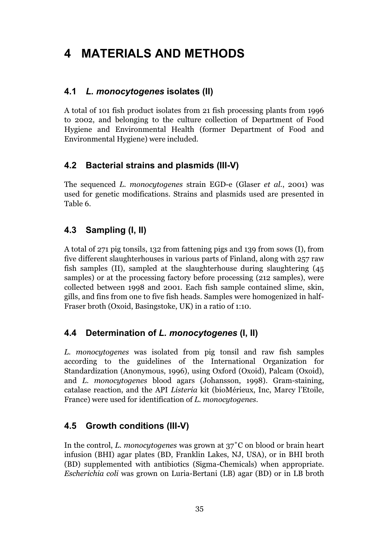# **4 MATERIALS AND METHODS**

## **4.1** *L. monocytogenes* **isolates (II)**

A total of 101 fish product isolates from 21 fish processing plants from 1996 to 2002, and belonging to the culture collection of Department of Food Hygiene and Environmental Health (former Department of Food and Environmental Hygiene) were included.

# **4.2 Bacterial strains and plasmids (III-V)**

The sequenced *L. monocytogenes* strain EGD-e (Glaser *et al.*, 2001) was used for genetic modifications. Strains and plasmids used are presented in Table 6.

# **4.3 Sampling (I, II)**

A total of 271 pig tonsils, 132 from fattening pigs and 139 from sows (I), from five different slaughterhouses in various parts of Finland, along with 257 raw fish samples (II), sampled at the slaughterhouse during slaughtering (45 samples) or at the processing factory before processing (212 samples), were collected between 1998 and 2001. Each fish sample contained slime, skin, gills, and fins from one to five fish heads. Samples were homogenized in half-Fraser broth (Oxoid, Basingstoke, UK) in a ratio of 1:10.

## **4.4 Determination of** *L. monocytogenes* **(I, II)**

*L. monocytogenes* was isolated from pig tonsil and raw fish samples according to the guidelines of the International Organization for Standardization (Anonymous, 1996), using Oxford (Oxoid), Palcam (Oxoid), and *L. monocytogenes* blood agars (Johansson, 1998). Gram-staining, catalase reaction, and the API *Listeria* kit (bioMérieux, Inc, Marcy l'Etoile, France) were used for identification of *L. monocytogenes*.

## **4.5 Growth conditions (III-V)**

In the control, *L. monocytogenes* was grown at 37˚C on blood or brain heart infusion (BHI) agar plates (BD, Franklin Lakes, NJ, USA), or in BHI broth (BD) supplemented with antibiotics (Sigma-Chemicals) when appropriate. *Escherichia coli* was grown on Luria-Bertani (LB) agar (BD) or in LB broth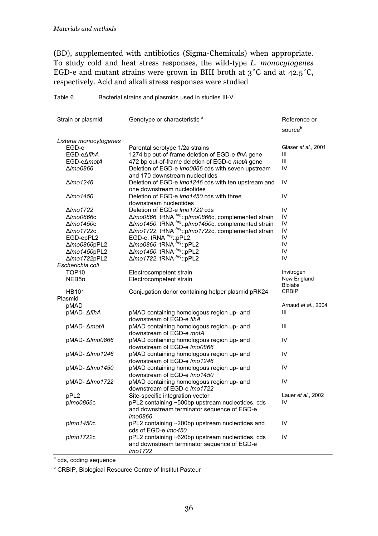(BD), supplemented with antibiotics (Sigma-Chemicals) when appropriate. To study cold and heat stress responses, the wild-type *L. monocytogenes*  EGD-e and mutant strains were grown in BHI broth at  $3^{\circ}$ C and at  $42.5^{\circ}$ C, respectively. Acid and alkali stress responses were studied

| Strain or plasmid      | Genotype or characteristic <sup>a</sup>                                             | Reference or        |
|------------------------|-------------------------------------------------------------------------------------|---------------------|
|                        |                                                                                     | sourceb             |
|                        |                                                                                     |                     |
| Listeria monocytogenes |                                                                                     |                     |
| EGD-e                  | Parental serotype 1/2a strains                                                      | Glaser et al., 2001 |
| EGD-e∆flhA             | 1274 bp out-of-frame deletion of EGD-e flhA gene                                    | Ш                   |
| EGD-e∆motA             | 472 bp out-of-frame deletion of EGD-e motA gene                                     | Ш                   |
| <b>∆</b> mo0866        | Deletion of EGD-e Imo0866 cds with seven upstream<br>and 170 downstream nucleotides | IV                  |
| ∆lmo1246               | Deletion of EGD-e Imo1246 cds with ten upstream and                                 | IV                  |
| $\Delta$ Imo 1450      | one downstream nucleotides<br>Deletion of EGD-e Imo1450 cds with three              | IV                  |
|                        | downstream nucleotides                                                              |                     |
| ∆lmo1722               | Deletion of EGD-e Imo1722 cds                                                       | IV                  |
| ∆ <i>lmo0866</i> c     |                                                                                     | IV                  |
| $\Delta$ lmo1450c      |                                                                                     | IV                  |
| ∆ <i>lmo1722</i> c     |                                                                                     | IV                  |
| EGD-epPL2              |                                                                                     | IV                  |
| ∆Imo0866pPL2           | $\Delta$ <i>lmo0866</i> , tRNA $\frac{\lambda_{rg}}{\lambda_{rg}}$ :pPL2            | IV                  |
| ∆Imo1450pPL2           | ∆Imo1450, tRNA Arg::pPL2                                                            | IV                  |
| ∆Imo1722pPL2           | ΔImo1722, tRNA Arg:: pPL2                                                           | IV                  |
| Escherichia coli       |                                                                                     |                     |
| TOP <sub>10</sub>      | Electrocompetent strain                                                             | Invitrogen          |
| $NEB5\alpha$           | Electrocompetent strain                                                             | New England         |
|                        |                                                                                     | <b>Biolabs</b>      |
| HB101                  | Conjugation donor containing helper plasmid pRK24                                   | <b>CRBIP</b>        |
| Plasmid                |                                                                                     |                     |
| pMAD                   |                                                                                     | Arnaud et al., 2004 |
| pMAD- ∆flhA            | pMAD containing homologous region up- and                                           | Ш                   |
|                        | downstream of EGD-e flhA                                                            |                     |
|                        |                                                                                     | Ш                   |
| pMAD- ∆ <i>motA</i>    | pMAD containing homologous region up- and                                           |                     |
|                        | downstream of EGD-e motA                                                            |                     |
| pMAD- Δ <i>lmo0866</i> | pMAD containing homologous region up- and                                           | IV                  |
|                        | downstream of EGD-e Imo0866                                                         |                     |
| pMAD- △/mo1246         | pMAD containing homologous region up- and                                           | IV                  |
|                        | downstream of EGD-e Imo1246                                                         |                     |
| pMAD- Δ/mo1450         | pMAD containing homologous region up- and<br>downstream of EGD-e Imo1450            | IV                  |
|                        |                                                                                     |                     |
| pMAD-∆ <i>lmo1722</i>  | pMAD containing homologous region up- and<br>downstream of EGD-e Imo1722            | IV                  |
| pPL2                   | Site-specific integration vector                                                    | Lauer et al., 2002  |
| plmo0866c              | pPL2 containing ~500bp upstream nucleotides, cds                                    | IV                  |
|                        |                                                                                     |                     |
|                        | and downstream terminator sequence of EGD-e                                         |                     |
|                        | Imo0866                                                                             |                     |
| plmo1450c              | pPL2 containing ~200bp upstream nucleotides and                                     | IV                  |
|                        | cds of EGD-e Imo450                                                                 |                     |
| plmo1722c              | pPL2 containing ~620bp upstream nucleotides, cds                                    | IV                  |
|                        | and downstream terminator sequence of EGD-e                                         |                     |
|                        | Imo1722                                                                             |                     |

Table 6. Bacterial strains and plasmids used in studies III-V.

<sup>a</sup> cds, coding sequence

**<sup>b</sup> CRBIP, Biological Resource Centre of Institut Pasteur**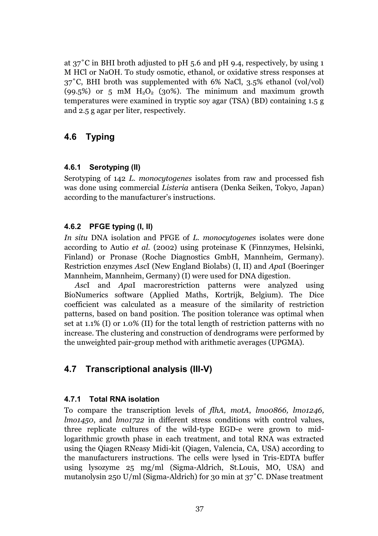at 37˚C in BHI broth adjusted to pH 5.6 and pH 9.4, respectively, by using 1 M HCl or NaOH. To study osmotic, ethanol, or oxidative stress responses at 37˚C, BHI broth was supplemented with 6% NaCl, 3.5% ethanol (vol/vol)  $(99.5\%)$  or 5 mM H<sub>2</sub>O<sub>2</sub> (30%). The minimum and maximum growth temperatures were examined in tryptic soy agar (TSA) (BD) containing 1.5 g and 2.5 g agar per liter, respectively.

# **4.6 Typing**

#### **4.6.1 Serotyping (II)**

Serotyping of 142 *L. monocytogenes* isolates from raw and processed fish was done using commercial *Listeria* antisera (Denka Seiken, Tokyo, Japan) according to the manufacturer's instructions.

#### **4.6.2 PFGE typing (I, II)**

*In situ* DNA isolation and PFGE of *L. monocytogenes* isolates were done according to Autio *et al.* (2002) using proteinase K (Finnzymes, Helsinki, Finland) or Pronase (Roche Diagnostics GmbH, Mannheim, Germany)*.* Restriction enzymes *Asc*I (New England Biolabs) (I, II) and *Apa*I (Boeringer Mannheim, Mannheim, Germany) (I) were used for DNA digestion.

*Asc*I and *Apa*I macrorestriction patterns were analyzed using BioNumerics software (Applied Maths, Kortrijk, Belgium). The Dice coefficient was calculated as a measure of the similarity of restriction patterns, based on band position. The position tolerance was optimal when set at 1.1% (I) or 1.0% (II) for the total length of restriction patterns with no increase. The clustering and construction of dendrograms were performed by the unweighted pair-group method with arithmetic averages (UPGMA).

# **4.7 Transcriptional analysis (III-V)**

#### **4.7.1 Total RNA isolation**

To compare the transcription levels of *flhA, motA*, *lmo0866, lmo1246, lmo1450*, and *lmo1722* in different stress conditions with control values, three replicate cultures of the wild-type EGD-e were grown to midlogarithmic growth phase in each treatment, and total RNA was extracted using the Qiagen RNeasy Midi-kit (Qiagen, Valencia, CA, USA) according to the manufacturers instructions. The cells were lysed in Tris-EDTA buffer using lysozyme 25 mg/ml (Sigma-Aldrich, St.Louis, MO, USA) and mutanolysin 250 U/ml (Sigma-Aldrich) for 30 min at 37˚C. DNase treatment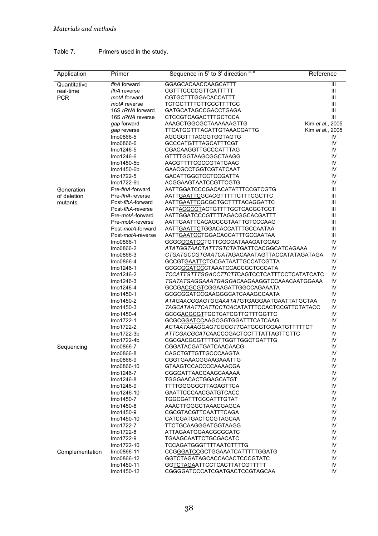#### Table 7. Primers used in the study.

| Application     | Primer                  | Sequence in 5' to 3' direction a, b                                               | Reference        |
|-----------------|-------------------------|-----------------------------------------------------------------------------------|------------------|
| Quantitative    | flhA forward            | GGAGCACAACCAAGCATTT                                                               | $\mathbf{III}$   |
| real-time       | flhA reverse            | CGTTTCCCCGTTCATTTTT                                                               | Ш                |
| <b>PCR</b>      | motA forward            | CGTGCTTTGGACACCATTT                                                               | Ш                |
|                 | motA reverse            | TCTGCTTTTCTTCCCTTTTCC                                                             | Ш                |
|                 | 16S rRNA forward        | GATGCATAGCCGACCTGAGA                                                              | Ш                |
|                 | 16S rRNA reverse        | CTCCGTCAGACTTTGCTCCA                                                              | Ш                |
|                 | gap forward             | AAAGCTGGCGCTAAAAAAGTTG                                                            | Kim et al., 2005 |
|                 | gap reverse             | TTCATGGTTTACATTGTAAACGATTG                                                        | Kim et al., 2005 |
|                 | Imo0866-5               | AGCGGTTTACGGTGGTAGTG                                                              | IV               |
|                 | Imo0866-6               | <b>GCCCATGTTTAGCATTTCGT</b>                                                       | IV               |
|                 | lmo1246-5               | <b>CGACAAGGTTGCCCATTTAG</b>                                                       | IV               |
|                 | lmo1246-6               | GTTTTGGTAAGCGGCTAAGG                                                              | IV               |
|                 | Imo1450-5b              | AACGTTTTCGCCGTATGAAC                                                              | IV               |
|                 | Imo1450-6b              | <b>GAACGCCTGGTCGTATCAAT</b>                                                       | IV               |
|                 | Imo1722-5               | <b>GACATTGGCTCCTCCGATTA</b>                                                       | IV               |
|                 | lmo1722-6b              | ACGGAAGTAATCCGTTCGTG                                                              | IV               |
| Generation      | Pre-flhA-forward        | AATTGGATCCCGACACATATTTCCGTCGTG                                                    | Ш                |
| of deletion     | Pre-flhA-reverse        | AATTGAATTCGCACGTTTTTCTTTCGCTTC                                                    | Ш                |
| mutants         | Post-flhA-forward       | AATTGAATTCGCGCTGCTTTTACAGGATTC                                                    | Ш                |
|                 | Post-flhA-reverse       | AATTACGCGTACTGTTTTGCTCACGCTCCT                                                    | Ш                |
|                 | Pre-motA-forward        | AATTGGATCCCGTTTTAGACGGCACGATTT                                                    | Ш                |
|                 | Pre-motA-reverse        | AATTGAATTCACAGCCGTAATTGTCCCAAG                                                    | Ш                |
|                 | Post-motA-forward       | AATTGAATTCTGGACACCATTTGCCAATAA                                                    | Ш                |
|                 | Post-motA-reverse       | AATTGAATCCTGGACACCATTTGCCAATAA                                                    | Ш                |
|                 | Imo0866-1               | GCGCGGATCCTGTTCGCGATAAAGATGCAG                                                    | IV               |
|                 | Imo0866-2               | ATATGGTAACTATTTGTCTATGATTCACGGCATCAGAAA                                           | IV               |
|                 | Imo0866-3               |                                                                                   | IV               |
|                 | Imo0866-4               | <b>GCCGTGAATTCTGCGATAATTGCCATCGTTA</b>                                            | IV               |
|                 | Imo1246-1               | GCGCGGATCCCTAAATCCACCGCTCCCATA                                                    | IV               |
|                 | lmo1246-2               | TCCATTGTTTGGACCTTCTTCAGTCCTCATTTCCTCATATCATC                                      | IV               |
|                 | Imo1246-3               | TGATATGAGGAAATGAGGACAAGAAGGTCCAAACAATGGAAA                                        | IV               |
|                 | lmo1246-4               | GCCGACGCGTCGGAAGATTGGCCAGAAATA                                                    | IV               |
|                 | Imo1450-1               | GCGCGGATCCGAAGGGCATCAAAGCCAATA                                                    | IV               |
|                 | Imo1450-2               | ATAGAACGGAGTGGAAATATGTGAGGAATGAATTATGCTAA                                         | IV               |
|                 | Imo1450-3               | TAGCATAATTCATTCCTCACATATTTCCACTCCGTTCTATACC                                       | IV               |
|                 | Imo1450-4               | GCCGACGCGTTGCTCATCGTTGTTTGGTTC                                                    | IV               |
|                 | Imo1722-1               | GCGCGGATCCAAGCGGTGGATTTCATCAAG                                                    | IV<br>IV         |
|                 | Imo1722-2               | ACTAATAAAGGAGTCGGGTTGATGCGTCGAATGTTTTTCT<br>ATTCGACGCATCAACCCGACTCCTTTATTAGTTCTTC | IV               |
|                 | lmo1722-3b              |                                                                                   | IV               |
|                 | Imo1722-4b<br>Imo0866-7 | CGCGACGCGTTTTGTTGGTTGGCTGATTTG<br>CGGATACGATGATCAACAACG                           | IV               |
| Sequencing      | Imo0866-8               | CAGCTGTTGTTGCCCAAGTA                                                              | IV               |
|                 | Imo0866-9               | CGGTGAAACGGAAGAAATTG                                                              | IV               |
|                 | Imo0866-10              | GTAAGTCCACCCCAAAACGA                                                              | IV               |
|                 | Imo1246-7               | CGGGATTAACCAAGCAAAAA                                                              | IV               |
|                 | Imo1246-8               | TGGGAACACTGGAGCATGT                                                               | IV               |
|                 | lmo1246-9               | <b>TTTTGGGGGCTTAGAGTTCA</b>                                                       | IV               |
|                 | Imo1246-10              | GAATTCCCAACGATGTCACC                                                              | IV               |
|                 | Imo1450-7               | TGGCGATTTCCCATTTGTAT                                                              | IV               |
|                 | Imo1450-8               | AAACTTGGGCTAAACGAGCA                                                              | IV               |
|                 | Imo1450-9               | CGCGTACGTTCAATTTCAGA                                                              | IV               |
|                 | Imo1450-10              | CATCGATGACTCCGTAGCAA                                                              | IV               |
|                 | Imo1722-7               | TTCTGCAAGGGATGGTAAGG                                                              | IV               |
|                 | Imo1722-8               | ATTAGAATGGAACGCGCATC                                                              | IV               |
|                 | Imo1722-9               | TGAAGCAATTCTGCGACATC                                                              | IV               |
|                 | Imo1722-10              | TCCAGATGGGTTTTAATCTTTTG                                                           | IV               |
| Complementation | Imo0866-11              | CCGGGATCCGCTGGAAATCATTTTTGGATG                                                    | IV               |
|                 | Imo0866-12              | GGTCTAGATAGCACCACACTCCCGTATC                                                      | IV               |
|                 | Imo1450-11              | GGTCTAGAATTCCTCACTTATCGTTTTT                                                      | IV               |
|                 | Imo1450-12              | CGGGGATCCCATCGATGACTCCGTAGCAA                                                     | IV               |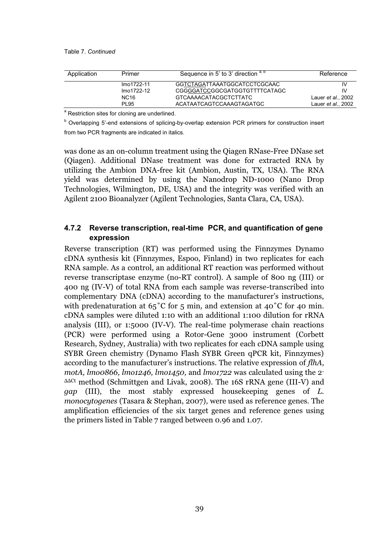| Application | Primer      | Sequence in 5' to 3' direction a, b | Reference                  |
|-------------|-------------|-------------------------------------|----------------------------|
|             | lmo1722-11  | GGTCTAGATTAAATGGCATCCTCGCAAC        | IV                         |
|             | lmo1722-12  | CGGGGATCCGGCGATGGTGTTTTCATAGC       | IV                         |
|             | <b>NC16</b> | GTCAAAACATACGCTCTTATC               | Lauer <i>et al.</i> , 2002 |
|             | <b>PL95</b> | ACATAATCAGTCCAAAGTAGATGC            | Lauer <i>et al.</i> , 2002 |

<sup>a</sup> Restriction sites for cloning are underlined.

<sup>b</sup> Overlapping 5'-end extensions of splicing-by-overlap extension PCR primers for construction insert from two PCR fragments are indicated in italics.

was done as an on-column treatment using the Qiagen RNase-Free DNase set (Qiagen). Additional DNase treatment was done for extracted RNA by utilizing the Ambion DNA-free kit (Ambion, Austin, TX, USA). The RNA yield was determined by using the Nanodrop ND-1000 (Nano Drop Technologies, Wilmington, DE, USA) and the integrity was verified with an Agilent 2100 Bioanalyzer (Agilent Technologies, Santa Clara, CA, USA).

#### **4.7.2 Reverse transcription, real-time PCR, and quantification of gene expression**

Reverse transcription (RT) was performed using the Finnzymes Dynamo cDNA synthesis kit (Finnzymes, Espoo, Finland) in two replicates for each RNA sample. As a control, an additional RT reaction was performed without reverse transcriptase enzyme (no-RT control). A sample of 800 ng (III) or 400 ng (IV-V) of total RNA from each sample was reverse-transcribed into complementary DNA (cDNA) according to the manufacturer's instructions, with predenaturation at  $65^{\circ}$ C for 5 min, and extension at  $40^{\circ}$ C for 40 min. cDNA samples were diluted 1:10 with an additional 1:100 dilution for rRNA analysis (III), or 1:5000 (IV-V). The real-time polymerase chain reactions (PCR) were performed using a Rotor-Gene 3000 instrument (Corbett Research, Sydney, Australia) with two replicates for each cDNA sample using SYBR Green chemistry (Dynamo Flash SYBR Green qPCR kit, Finnzymes) according to the manufacturer's instructions. The relative expression of *flhA, motA, lmo0866, lmo1246, lmo1450,* and *lmo1722* was calculated using the 2- ΔΔCt method (Schmittgen and Livak, 2008). The 16S rRNA gene (III-V) and *gap* (III), the most stably expressed housekeeping genes of *L. monocytogenes* (Tasara & Stephan, 2007)*,* were used as reference genes. The amplification efficiencies of the six target genes and reference genes using the primers listed in Table 7 ranged between 0.96 and 1.07.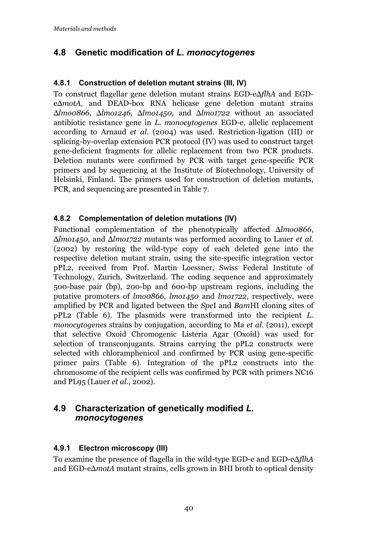# **4.8 Genetic modification of** *L. monocytogenes*

#### **4.8.1 Construction of deletion mutant strains (III, IV)**

To construct flagellar gene deletion mutant strains EGD-eΔ*flhA* and EGDeΔ*motA,* and DEAD-box RNA helicase gene deletion mutant strains Δ*lmo0866,* Δ*lmo1246,* Δ*lmo1450,* and Δ*lmo1722* without an associated antibiotic resistance gene in *L. monocytogenes* EGD-e, allelic replacement according to Arnaud *et al.* (2004) was used. Restriction-ligation (III) or splicing-by-overlap extension PCR protocol (IV) was used to construct target gene-deficient fragments for allelic replacement from two PCR products. Deletion mutants were confirmed by PCR with target gene-specific PCR primers and by sequencing at the Institute of Biotechnology, University of Helsinki, Finland. The primers used for construction of deletion mutants, PCR, and sequencing are presented in Table 7.

#### **4.8.2 Complementation of deletion mutations (IV)**

Functional complementation of the phenotypically affected Δ*lmo0866*, Δ*lmo1450,* and Δ*lmo1722* mutants was performed according to Lauer *et al.*  (2002) by restoring the wild-type copy of each deleted gene into the respective deletion mutant strain, using the site-specific integration vector pPL2, received from Prof. Martin Loessner, Swiss Federal Institute of Technology, Zurich, Switzerland. The coding sequence and approximately 500-base pair (bp), 200-bp and 600-bp upstream regions, including the putative promoters of *lmo0866*, *lmo1450* and *lmo1722*, respectively, were amplified by PCR and ligated between the *Spe*I and *Bam*HI cloning sites of pPL2 (Table 6). The plasmids were transformed into the recipient *L. monocytogenes* strains by conjugation, according to Ma *et al*. (2011), except that selective Oxoid Chromogenic Listeria Agar (Oxoid) was used for selection of transconjugants. Strains carrying the pPL2 constructs were selected with chloramphenicol and confirmed by PCR using gene-specific primer pairs (Table 6). Integration of the pPL2 constructs into the chromosome of the recipient cells was confirmed by PCR with primers NC16 and PL95 (Lauer *et al.*, 2002).

## **4.9 Characterization of genetically modified** *L. monocytogenes*

#### **4.9.1 Electron microscopy (III)**

To examine the presence of flagella in the wild-type EGD-e and EGD-e∆*flhA* and EGD-e∆*motA* mutant strains, cells grown in BHI broth to optical density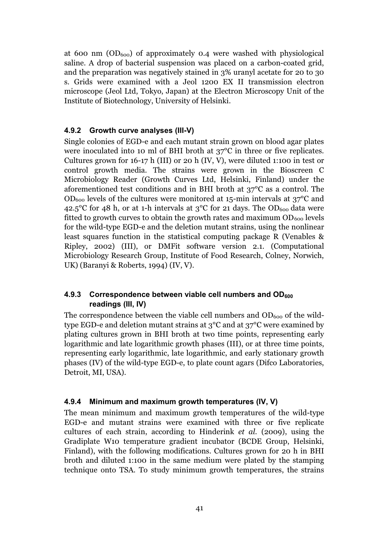at 600 nm  $(OD_{600})$  of approximately 0.4 were washed with physiological saline. A drop of bacterial suspension was placed on a carbon-coated grid, and the preparation was negatively stained in 3% uranyl acetate for 20 to 30 s. Grids were examined with a Jeol 1200 EX II transmission electron microscope (Jeol Ltd, Tokyo, Japan) at the Electron Microscopy Unit of the Institute of Biotechnology, University of Helsinki.

#### **4.9.2 Growth curve analyses (III-V)**

Single colonies of EGD-e and each mutant strain grown on blood agar plates were inoculated into 10 ml of BHI broth at 37°C in three or five replicates. Cultures grown for  $16-17$  h (III) or 20 h (IV, V), were diluted 1:100 in test or control growth media. The strains were grown in the Bioscreen C Microbiology Reader (Growth Curves Ltd, Helsinki, Finland) under the aforementioned test conditions and in BHI broth at 37°C as a control. The  $OD<sub>600</sub>$  levels of the cultures were monitored at 15-min intervals at 37°C and 42.5°C for 48 h, or at 1-h intervals at  $3^{\circ}$ C for 21 days. The OD<sub>600</sub> data were fitted to growth curves to obtain the growth rates and maximum  $OD_{600}$  levels for the wild-type EGD-e and the deletion mutant strains, using the nonlinear least squares function in the statistical computing package R (Venables & Ripley, 2002) (III), or DMFit software version 2.1. (Computational Microbiology Research Group, Institute of Food Research, Colney, Norwich, UK) (Baranyi & Roberts, 1994) (IV, V).

#### 4.9.3 Correspondence between viable cell numbers and OD<sub>600</sub> **readings (III, IV)**

The correspondence between the viable cell numbers and  $OD_{600}$  of the wildtype EGD-e and deletion mutant strains at 3°C and at 37°C were examined by plating cultures grown in BHI broth at two time points, representing early logarithmic and late logarithmic growth phases (III), or at three time points, representing early logarithmic, late logarithmic, and early stationary growth phases (IV) of the wild-type EGD-e, to plate count agars (Difco Laboratories, Detroit, MI, USA).

#### **4.9.4 Minimum and maximum growth temperatures (IV, V)**

The mean minimum and maximum growth temperatures of the wild-type EGD-e and mutant strains were examined with three or five replicate cultures of each strain, according to Hinderink *et al.* (2009), using the Gradiplate W10 temperature gradient incubator (BCDE Group, Helsinki, Finland), with the following modifications. Cultures grown for 20 h in BHI broth and diluted 1:100 in the same medium were plated by the stamping technique onto TSA. To study minimum growth temperatures, the strains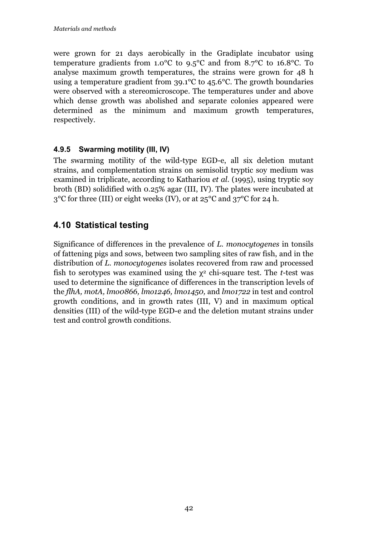were grown for 21 days aerobically in the Gradiplate incubator using temperature gradients from 1.0°C to 9.5°C and from 8.7°C to 16.8°C. To analyse maximum growth temperatures, the strains were grown for 48 h using a temperature gradient from 39.1°C to 45.6°C. The growth boundaries were observed with a stereomicroscope. The temperatures under and above which dense growth was abolished and separate colonies appeared were determined as the minimum and maximum growth temperatures, respectively.

## **4.9.5 Swarming motility (III, IV)**

The swarming motility of the wild-type EGD-e, all six deletion mutant strains, and complementation strains on semisolid tryptic soy medium was examined in triplicate, according to Kathariou *et al.* (1995), using tryptic soy broth (BD) solidified with 0.25% agar (III, IV). The plates were incubated at  $3^{\circ}$ C for three (III) or eight weeks (IV), or at  $25^{\circ}$ C and  $37^{\circ}$ C for 24 h.

# **4.10 Statistical testing**

Significance of differences in the prevalence of *L. monocytogenes* in tonsils of fattening pigs and sows, between two sampling sites of raw fish, and in the distribution of *L. monocytogenes* isolates recovered from raw and processed fish to serotypes was examined using the  $\chi^2$  chi-square test. The *t*-test was used to determine the significance of differences in the transcription levels of the *flhA, motA, lmo0866, lmo1246, lmo1450,* and *lmo1722* in test and control growth conditions, and in growth rates (III, V) and in maximum optical densities (III) of the wild-type EGD-e and the deletion mutant strains under test and control growth conditions.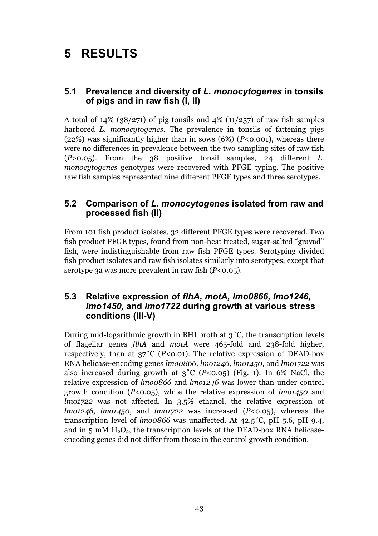# **5 RESULTS**

## **5.1 Prevalence and diversity of** *L. monocytogenes* **in tonsils of pigs and in raw fish (I, II)**

A total of  $14\%$  ( $38/271$ ) of pig tonsils and  $4\%$  ( $11/257$ ) of raw fish samples harbored *L. monocytogenes.* The prevalence in tonsils of fattening pigs (22%) was significantly higher than in sows (6%) (*P*<0.001), whereas there were no differences in prevalence between the two sampling sites of raw fish (*P*>0.05). From the 38 positive tonsil samples, 24 different *L. monocytogenes* genotypes were recovered with PFGE typing. The positive raw fish samples represented nine different PFGE types and three serotypes.

## **5.2 Comparison of** *L. monocytogenes* **isolated from raw and processed fish (II)**

From 101 fish product isolates, 32 different PFGE types were recovered. Two fish product PFGE types, found from non-heat treated, sugar-salted "gravad" fish, were indistinguishable from raw fish PFGE types. Serotyping divided fish product isolates and raw fish isolates similarly into serotypes, except that serotype 3a was more prevalent in raw fish (*P<*0.05).

#### **5.3 Relative expression of** *flhA, motA, lmo0866, lmo1246, lmo1450,* **and** *lmo1722* **during growth at various stress conditions (III-V)**

During mid-logarithmic growth in BHI broth at 3˚C, the transcription levels of flagellar genes *flhA* and *motA* were 465-fold and 238-fold higher, respectively, than at  $37^{\circ}$ C (*P*<0.01). The relative expression of DEAD-box RNA helicase-encoding genes *lmo0866, lmo1246, lmo1450,* and *lmo1722* was also increased during growth at  $3^{\circ}C$  (*P*<0.05) (Fig. 1). In 6% NaCl, the relative expression of *lmo0866* and *lmo1246* was lower than under control growth condition (*P*<0.05), while the relative expression of *lmo1450* and *lmo1722* was not affected. In 3.5% ethanol, the relative expression of *lmo1246, lmo1450,* and *lmo1722* was increased (*P*<0.05), whereas the transcription level of *lmo0866* was unaffected*.* At 42.5˚C, pH 5.6, pH 9.4, and in  $5 \text{ mM } H_2O_2$ , the transcription levels of the DEAD-box RNA helicaseencoding genes did not differ from those in the control growth condition.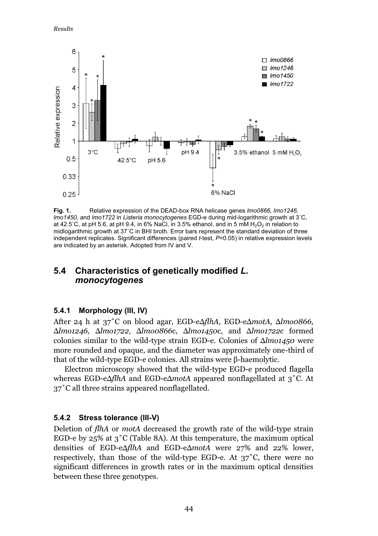*Results* 



**Fig. 1.** Relative expression of the DEAD-box RNA helicase genes *lmo0866, lmo1246, lmo1450,* and *lmo1722* in *Listeria monocytogenes* EGD-e during mid-logarithmic growth at 3˚C, at 42.5°C, at pH 5.6, at pH 9.4, in 6% NaCl, in 3.5% ethanol, and in 5 mM  $H_2O_2$  in relation to midlogarithmic growth at 37˚C in BHI broth. Error bars represent the standard deviation of three independent replicates. Significant differences (paired *t*-test, *P*<0.05) in relative expression levels are indicated by an asterisk. Adopted from IV and V.

# **5.4 Characteristics of genetically modified** *L. monocytogenes*

#### **5.4.1 Morphology (III, IV)**

After 24 h at 37˚C on blood agar, EGD-eΔ*flhA,* EGD-eΔ*motA,* Δ*lmo0866,*  Δ*lmo1246,* Δ*lmo1722,* Δ*lmo0866*c, Δ*lmo1450*c, and Δ*lmo1722*c formed colonies similar to the wild-type strain EGD-e. Colonies of Δ*lmo1450* were more rounded and opaque, and the diameter was approximately one-third of that of the wild-type EGD-e colonies. All strains were β-haemolytic.

Electron microscopy showed that the wild-type EGD-e produced flagella whereas EGD-eΔ*flhA* and EGD-eΔ*motA* appeared nonflagellated at 3˚C. At 37˚C all three strains appeared nonflagellated.

#### **5.4.2 Stress tolerance (III-V)**

Deletion of *flhA* or *motA* decreased the growth rate of the wild-type strain EGD-e by 25% at  $3^{\circ}$ C (Table 8A). At this temperature, the maximum optical densities of EGD-eΔ*flhA* and EGD-eΔ*motA* were 27% and 22% lower, respectively, than those of the wild-type EGD-e. At 37˚C, there were no significant differences in growth rates or in the maximum optical densities between these three genotypes.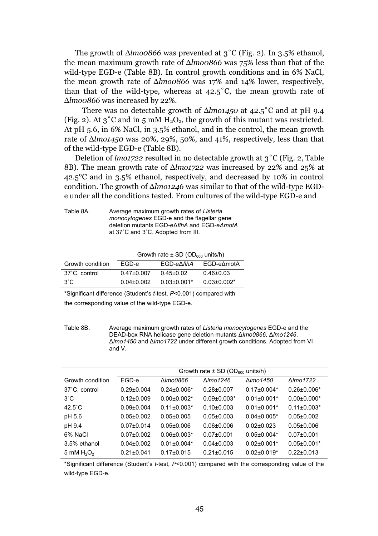The growth of Δ*lmo0866* was prevented at 3˚C (Fig. 2). In 3.5% ethanol, the mean maximum growth rate of Δ*lmo0866* was 75% less than that of the wild-type EGD-e (Table 8B). In control growth conditions and in 6% NaCl, the mean growth rate of Δ*lmo0866* was 17% and 14% lower, respectively, than that of the wild-type, whereas at  $42.5^{\circ}$ C, the mean growth rate of Δ*lmo0866* was increased by 22%.

 There was no detectable growth of Δ*lmo1450* at 42.5˚C and at pH 9.4 (Fig. 2). At  $3^{\circ}$ C and in 5 mM  $H_2O_2$ , the growth of this mutant was restricted. At pH 5.6, in 6% NaCl, in 3.5% ethanol, and in the control, the mean growth rate of Δ*lmo1450* was 20%, 29%, 50%, and 41%, respectively, less than that of the wild-type EGD-e (Table 8B).

Deletion of *lmo1722* resulted in no detectable growth at 3˚C (Fig. 2, Table 8B). The mean growth rate of Δ*lmo1722* was increased by 22% and 25% at 42.5°C and in 3.5% ethanol, respectively, and decreased by 10% in control condition. The growth of Δ*lmo1246* was similar to that of the wild-type EGDe under all the conditions tested. From cultures of the wild-type EGD-e and

| Table 8A. | Average maximum growth rates of Listeria          |
|-----------|---------------------------------------------------|
|           | <i>monocytogenes</i> EGD-e and the flagellar gene |
|           | deletion mutants EGD-e∆flhA and EGD-e∆motA        |
|           | at 37°C and 3°C. Adopted from III.                |
|           |                                                   |

|                  | Growth rate $\pm$ SD (OD <sub>600</sub> units/h) |                 |                   |  |
|------------------|--------------------------------------------------|-----------------|-------------------|--|
| Growth condition | FGD-e                                            | FGD-eAflhA      | EGD-e∆motA        |  |
| 37°C, control    | $0.47 + 0.007$                                   | $0.45 + 0.02$   | $0.46 \pm 0.03$   |  |
| $3^\circ C$      | $0.04 + 0.002$                                   | $0.03 + 0.001*$ | $0.03 \pm 0.002*$ |  |

\*Significant difference (Student's *t*-test, *P*<0.001) compared with the corresponding value of the wild-type EGD-e.

Table 8B. Average maximum growth rates of *Listeria monocytogenes* EGD-e and the DEAD-box RNA helicase gene deletion mutants Δ*lmo0866*, Δ*lmo1246*, Δ*lmo1450* and Δ*lmo1722* under different growth conditions. Adopted from VI and V.

|                  | Growth rate $\pm$ SD (OD <sub>600</sub> units/h) |                   |                   |                   |                   |  |
|------------------|--------------------------------------------------|-------------------|-------------------|-------------------|-------------------|--|
| Growth condition | EGD-e                                            | <b>Δ</b> Imo0866  | Almo1246          | ΔImo1450          | Δlmo1722          |  |
| 37°C, control    | $0.29 \pm 0.004$                                 | $0.24 \pm 0.006*$ | $0.28 + 0.007$    | $0.17 \pm 0.004*$ | $0.26 \pm 0.006*$ |  |
| $3^\circ$ C      | $0.12 \pm 0.009$                                 | $0.00 \pm 0.002*$ | $0.09 \pm 0.003*$ | $0.01 \pm 0.001*$ | $0.00 \pm 0.000*$ |  |
| $42.5^{\circ}$ C | $0.09 + 0.004$                                   | $0.11 + 0.003*$   | $0.10 + 0.003$    | $0.01 + 0.001*$   | $0.11 \pm 0.003*$ |  |
| pH 5.6           | $0.05 + 0.002$                                   | $0.05 + 0.005$    | $0.05 + 0.003$    | $0.04 + 0.005*$   | $0.05 + 0.002$    |  |
| pH 9.4           | $0.07 + 0.014$                                   | 0.05+0.006        | $0.06 + 0.006$    | $0.02 + 0.023$    | $0.05 \pm 0.006$  |  |
| 6% NaCl          | $0.07 + 0.002$                                   | $0.06 + 0.003*$   | $0.07 + 0.001$    | $0.05 + 0.004*$   | $0.07 \pm 0.001$  |  |
| 3.5% ethanol     | $0.04 + 0.002$                                   | $0.01 + 0.004*$   | $0.04 + 0.003$    | $0.02 + 0.001*$   | $0.05 \pm 0.001*$ |  |
| 5 mM $H_2O_2$    | $0.21 \pm 0.041$                                 | $0.17 \pm 0.015$  | $0.21 \pm 0.015$  | $0.02 \pm 0.019*$ | $0.22 \pm 0.013$  |  |

\*Significant difference (Student's *t*-test, *P*<0.001) compared with the corresponding value of the wild-type EGD-e.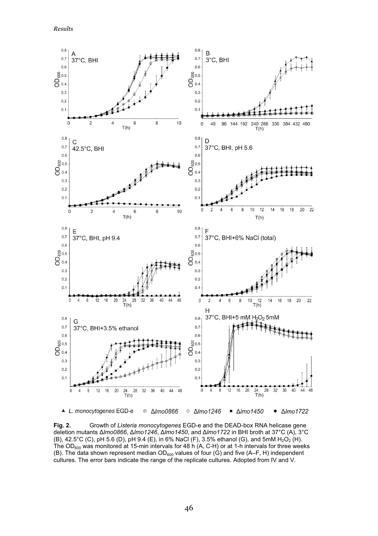*Results* 



**Fig. 2.** Growth of *Listeria monocytogenes* EGD-e and the DEAD-box RNA helicase gene deletion mutants Δ*lmo0866*, Δ*lmo1246*, Δ*lmo1450*, and Δ*lmo1722* in BHI broth at 37°C (A), 3°C (B),  $42.5^{\circ}$ C (C), pH 5.6 (D), pH 9.4 (E), in 6% NaCl (F), 3.5% ethanol (G), and 5mM H<sub>2</sub>O<sub>2</sub> (H). The OD<sub>600</sub> was monitored at 15-min intervals for 48 h (A, C-H) or at 1-h intervals for three weeks (B). The data shown represent median  $OD_{600}$  values of four (G) and five (A–F, H) independent cultures. The error bars indicate the range of the replicate cultures. Adopted from IV and V.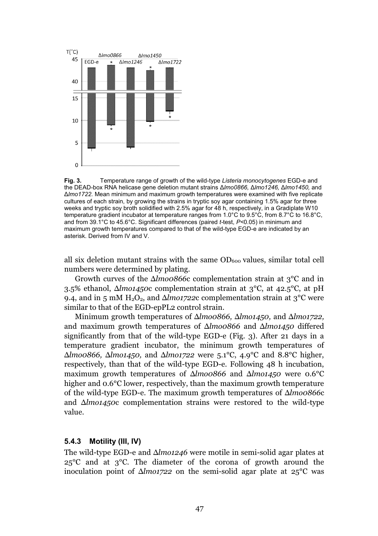

**Fig. 3.** Temperature range of growth of the wild-type *Listeria monocytogenes* EGD-e and the DEAD-box RNA helicase gene deletion mutant strains Δ*lmo0866,* Δ*lmo1246,* Δ*lmo1450,* and Δ*lmo1722.* Mean minimum and maximum growth temperatures were examined with five replicate cultures of each strain, by growing the strains in tryptic soy agar containing 1.5% agar for three weeks and tryptic soy broth solidified with 2.5% agar for 48 h, respectively, in a Gradiplate W10 temperature gradient incubator at temperature ranges from 1.0°C to 9.5°C, from 8.7°C to 16.8°C, and from 39.1°C to 45.6°C. Significant differences (paired *t-*test, *P<*0.05) in minimum and maximum growth temperatures compared to that of the wild-type EGD-e are indicated by an asterisk. Derived from IV and V.

all six deletion mutant strains with the same  $OD<sub>600</sub>$  values, similar total cell numbers were determined by plating.

Growth curves of the Δ*lmo0866*c complementation strain at 3°C and in 3.5% ethanol, Δ*lmo1450*c complementation strain at 3°C, at 42.5°C, at pH 9.4, and in 5 mM  $H_2O_2$ , and  $\Delta l$ *mo1722c* complementation strain at 3<sup>°</sup>C were similar to that of the EGD-epPL2 control strain.

Minimum growth temperatures of Δ*lmo0866,* Δ*lmo1450,* and Δ*lmo1722,*  and maximum growth temperatures of Δ*lmo0866* and Δ*lmo1450* differed significantly from that of the wild-type EGD-e (Fig. 3). After 21 days in a temperature gradient incubator, the minimum growth temperatures of Δ*lmo0866,* Δ*lmo1450,* and Δ*lmo1722* were 5.1°C, 4.9°C and 8.8°C higher, respectively, than that of the wild-type EGD-e. Following 48 h incubation, maximum growth temperatures of Δ*lmo0866* and Δ*lmo1450* were 0.6°C higher and 0.6°C lower, respectively, than the maximum growth temperature of the wild-type EGD-e. The maximum growth temperatures of Δ*lmo0866*c and Δ*lmo1450*c complementation strains were restored to the wild-type value.

#### **5.4.3 Motility (III, IV)**

The wild-type EGD-e and Δ*lmo1246* were motile in semi-solid agar plates at 25°C and at 3°C. The diameter of the corona of growth around the inoculation point of Δ*lmo1722* on the semi-solid agar plate at 25°C was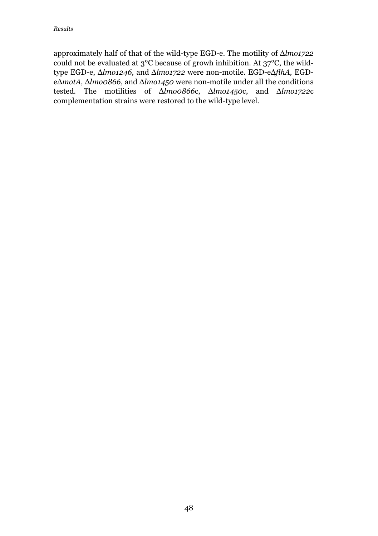approximately half of that of the wild-type EGD-e. The motility of Δ*lmo1722*  could not be evaluated at 3°C because of growh inhibition. At 37°C, the wildtype EGD-e, Δ*lmo1246,* and Δ*lmo1722* were non-motile. EGD-eΔ*flhA,* EGDeΔ*motA,* Δ*lmo0866,* and Δ*lmo1450* were non-motile under all the conditions tested. The motilities of Δ*lmo0866*c, Δ*lmo1450*c, and Δ*lmo1722*c complementation strains were restored to the wild-type level.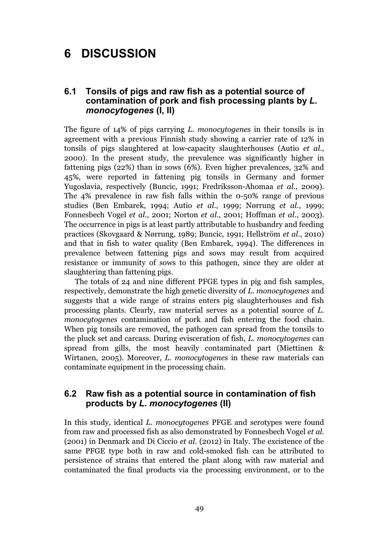# **6 DISCUSSION**

#### **6.1 Tonsils of pigs and raw fish as a potential source of contamination of pork and fish processing plants by** *L. monocytogenes* **(I, II)**

The figure of 14% of pigs carrying *L. monocytogenes* in their tonsils is in agreement with a previous Finnish study showing a carrier rate of 12% in tonsils of pigs slaughtered at low-capacity slaughterhouses (Autio *et al.*, 2000). In the present study, the prevalence was significantly higher in fattening pigs (22%) than in sows (6%). Even higher prevalences, 32% and 45%, were reported in fattening pig tonsils in Germany and former Yugoslavia, respectively (Buncic, 1991; Fredriksson-Ahomaa *et al.,* 2009). The 4% prevalence in raw fish falls within the 0-50% range of previous studies (Ben Embarek, 1994; Autio *et al.*, 1999; Nørrung *et al.*, 1999; Fonnesbech Vogel *et al.*, 2001; Norton *et al.*, 2001; Hoffman *et al.*, 2003). The occurrence in pigs is at least partly attributable to husbandry and feeding practices (Skovgaard & Nørrung, 1989; Buncic, 1991; Hellström *et al.*, 2010) and that in fish to water quality (Ben Embarek, 1994). The differences in prevalence between fattening pigs and sows may result from acquired resistance or immunity of sows to this pathogen, since they are older at slaughtering than fattening pigs.

The totals of 24 and nine different PFGE types in pig and fish samples, respectively, demonstrate the high genetic diversity of *L. monocytogenes* and suggests that a wide range of strains enters pig slaughterhouses and fish processing plants. Clearly, raw material serves as a potential source of *L. monocytogenes* contamination of pork and fish entering the food chain. When pig tonsils are removed, the pathogen can spread from the tonsils to the pluck set and carcass. During evisceration of fish, *L. monocytogenes* can spread from gills, the most heavily contaminated part (Miettinen & Wirtanen, 2005). Moreover, *L. monocytogenes* in these raw materials can contaminate equipment in the processing chain.

#### **6.2 Raw fish as a potential source in contamination of fish products by** *L. monocytogenes* **(II)**

In this study, identical *L. monocytogenes* PFGE and serotypes were found from raw and processed fish as also demonstrated by Fonnesbech Vogel *et al.*  (2001) in Denmark and Di Ciccio *et al.* (2012) in Italy. The excistence of the same PFGE type both in raw and cold-smoked fish can be attributed to persistence of strains that entered the plant along with raw material and contaminated the final products via the processing environment, or to the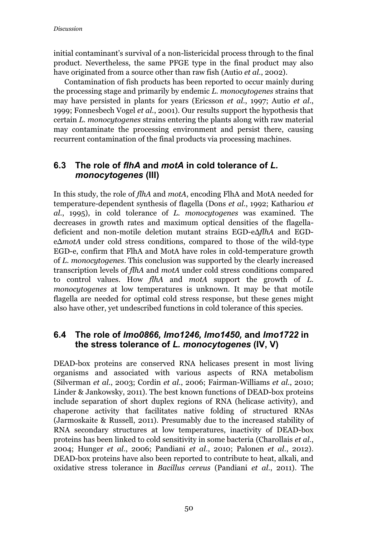initial contaminant's survival of a non-listericidal process through to the final product. Nevertheless, the same PFGE type in the final product may also have originated from a source other than raw fish (Autio *et al.*, 2002).

Contamination of fish products has been reported to occur mainly during the processing stage and primarily by endemic *L. monocytogenes* strains that may have persisted in plants for years (Ericsson *et al.*, 1997; Autio *et al.*, 1999; Fonnesbech Vogel *et al.*, 2001). Our results support the hypothesis that certain *L. monocytogenes* strains entering the plants along with raw material may contaminate the processing environment and persist there, causing recurrent contamination of the final products via processing machines.

# **6.3 The role of** *flhA* **and** *motA* **in cold tolerance of** *L. monocytogenes* **(III)**

In this study, the role of *flhA* and *motA*, encoding FlhA and MotA needed for temperature-dependent synthesis of flagella (Dons *et al.*, 1992; Kathariou *et al.*, 1995), in cold tolerance of *L. monocytogenes* was examined. The decreases in growth rates and maximum optical densities of the flagelladeficient and non-motile deletion mutant strains EGD-eΔ*flhA* and EGDeΔ*motA* under cold stress conditions, compared to those of the wild-type EGD-e, confirm that FlhA and MotA have roles in cold-temperature growth of *L. monocytogenes*. This conclusion was supported by the clearly increased transcription levels of *flhA* and *motA* under cold stress conditions compared to control values. How *flhA* and *motA* support the growth of *L. monocytogenes* at low temperatures is unknown. It may be that motile flagella are needed for optimal cold stress response, but these genes might also have other, yet undescribed functions in cold tolerance of this species*.* 

#### **6.4 The role of** *lmo0866, lmo1246, lmo1450,* **and** *lmo1722* **in the stress tolerance of** *L. monocytogenes* **(IV, V)**

DEAD-box proteins are conserved RNA helicases present in most living organisms and associated with various aspects of RNA metabolism (Silverman *et al.*, 2003; Cordin *et al.*, 2006; Fairman-Williams *et al.*, 2010; Linder & Jankowsky, 2011). The best known functions of DEAD-box proteins include separation of short duplex regions of RNA (helicase activity), and chaperone activity that facilitates native folding of structured RNAs (Jarmoskaite & Russell, 2011). Presumably due to the increased stability of RNA secondary structures at low temperatures, inactivity of DEAD-box proteins has been linked to cold sensitivity in some bacteria (Charollais *et al.*, 2004; Hunger *et al.*, 2006; Pandiani *et al.*, 2010; Palonen *et al.*, 2012). DEAD-box proteins have also been reported to contribute to heat, alkali, and oxidative stress tolerance in *Bacillus cereus* (Pandiani *et al.*, 2011). The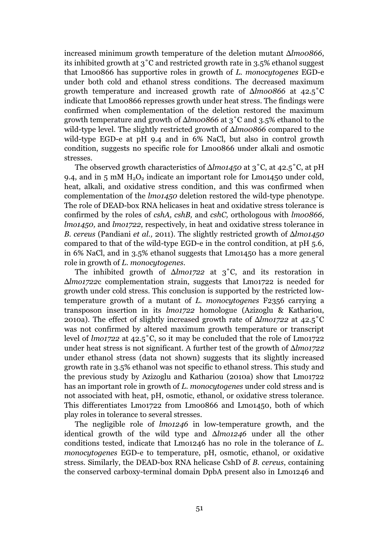increased minimum growth temperature of the deletion mutant Δ*lmo0866*, its inhibited growth at 3˚C and restricted growth rate in 3.5% ethanol suggest that Lmo0866 has supportive roles in growth of *L. monocytogenes* EGD-e under both cold and ethanol stress conditions. The decreased maximum growth temperature and increased growth rate of Δ*lmo0866* at 42.5˚C indicate that Lmo0866 represses growth under heat stress. The findings were confirmed when complementation of the deletion restored the maximum growth temperature and growth of Δ*lmo0866* at 3˚C and 3.5% ethanol to the wild-type level. The slightly restricted growth of Δ*lmo0866* compared to the wild-type EGD-e at pH 9.4 and in 6% NaCl, but also in control growth condition, suggests no specific role for Lmo0866 under alkali and osmotic stresses.

The observed growth characteristics of Δ*lmo1450* at 3˚C, at 42.5˚C, at pH 9.4, and in 5 mM  $H_2O_2$  indicate an important role for Lmo1450 under cold, heat, alkali, and oxidative stress condition, and this was confirmed when complementation of the *lmo1450* deletion restored the wild-type phenotype. The role of DEAD-box RNA helicases in heat and oxidative stress tolerance is confirmed by the roles of *cshA, cshB,* and *cshC,* orthologous with *lmo0866, lmo1450,* and *lmo1722,* respectively, in heat and oxidative stress tolerance in *B. cereus* (Pandiani *et al.,* 2011). The slightly restricted growth of Δ*lmo1450*  compared to that of the wild-type EGD-e in the control condition, at pH 5.6, in 6% NaCl, and in 3.5% ethanol suggests that Lmo1450 has a more general role in growth of *L. monocytogenes.* 

The inhibited growth of Δ*lmo1722* at 3˚C, and its restoration in Δ*lmo1722*c complementation strain, suggests that Lmo1722 is needed for growth under cold stress*.* This conclusion is supported by the restricted lowtemperature growth of a mutant of *L. monocytogenes* F2356 carrying a transposon insertion in its *lmo1722* homologue (Azizoglu & Kathariou, 2010a). The effect of slightly increased growth rate of Δ*lmo1722* at 42.5˚C was not confirmed by altered maximum growth temperature or transcript level of *lmo1722* at 42.5˚C, so it may be concluded that the role of Lmo1722 under heat stress is not significant. A further test of the growth of Δ*lmo1722*  under ethanol stress (data not shown) suggests that its slightly increased growth rate in 3.5% ethanol was not specific to ethanol stress. This study and the previous study by Azizoglu and Kathariou (2010a) show that Lmo1722 has an important role in growth of *L. monocytogenes* under cold stress and is not associated with heat, pH, osmotic, ethanol, or oxidative stress tolerance. This differentiates Lmo1722 from Lmo0866 and Lmo1450, both of which play roles in tolerance to several stresses.

The negligible role of *lmo1246* in low-temperature growth, and the identical growth of the wild type and Δ*lmo1246* under all the other conditions tested, indicate that Lmo1246 has no role in the tolerance of *L. monocytogenes* EGD-e to temperature, pH, osmotic, ethanol, or oxidative stress. Similarly, the DEAD-box RNA helicase CshD of *B. cereus*, containing the conserved carboxy-terminal domain DpbA present also in Lmo1246 and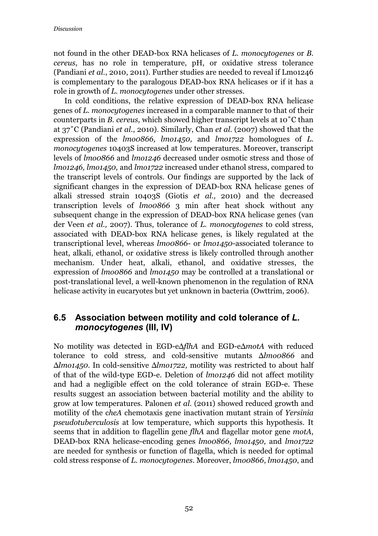not found in the other DEAD-box RNA helicases of *L. monocytogenes* or *B. cereus*, has no role in temperature, pH, or oxidative stress tolerance (Pandiani *et al.*, 2010, 2011). Further studies are needed to reveal if Lmo1246 is complementary to the paralogous DEAD-box RNA helicases or if it has a role in growth of *L. monocytogenes* under other stresses.

In cold conditions, the relative expression of DEAD-box RNA helicase genes of *L. monocytogenes* increased in a comparable manner to that of their counterparts in *B. cereus,* which showed higher transcript levels at 10˚C than at 37˚C (Pandiani *et al.*, 2010). Similarly, Chan *et al.* (2007) showed that the expression of the *lmo0866, lmo1450,* and *lmo1722* homologues of *L. monocytogenes* 10403S increased at low temperatures. Moreover, transcript levels of *lmo0866* and *lmo1246* decreased under osmotic stress and those of *lmo1246, lmo1450,* and *lmo1722* increased under ethanol stress, compared to the transcript levels of controls. Our findings are supported by the lack of significant changes in the expression of DEAD-box RNA helicase genes of alkali stressed strain 10403S (Giotis *et al.,* 2010) and the decreased transcription levels of *lmo0866* 3 min after heat shock without any subsequent change in the expression of DEAD-box RNA helicase genes (van der Veen *et al.,* 2007). Thus, tolerance of *L. monocytogenes* to cold stress, associated with DEAD-box RNA helicase genes, is likely regulated at the transcriptional level, whereas *lmo0866*- or *lmo1450*-associated tolerance to heat, alkali, ethanol, or oxidative stress is likely controlled through another mechanism. Under heat, alkali, ethanol, and oxidative stresses, the expression of *lmo0866* and *lmo1450* may be controlled at a translational or post-translational level, a well-known phenomenon in the regulation of RNA helicase activity in eucaryotes but yet unknown in bacteria (Owttrim, 2006).

## **6.5 Association between motility and cold tolerance of** *L. monocytogenes* **(III, IV)**

No motility was detected in EGD-eΔ*flhA* and EGD-eΔ*motA* with reduced tolerance to cold stress*,* and cold-sensitive mutants Δ*lmo0866* and Δ*lmo1450*. In cold-sensitive Δ*lmo1722,* motility was restricted to about half of that of the wild-type EGD-e. Deletion of *lmo1246* did not affect motility and had a negligible effect on the cold tolerance of strain EGD-e. These results suggest an association between bacterial motility and the ability to grow at low temperatures. Palonen *et al.* (2011) showed reduced growth and motility of the c*heA* chemotaxis gene inactivation mutant strain of *Yersinia pseudotuberculosis* at low temperature, which supports this hypothesis. It seems that in addition to flagellin gene *flhA* and flagellar motor gene *motA*, DEAD-box RNA helicase-encoding genes *lmo0866, lmo1450,* and *lmo1722* are needed for synthesis or function of flagella, which is needed for optimal cold stress response of *L. monocytogenes.* Moreover, *lmo0866*, *lmo1450*, and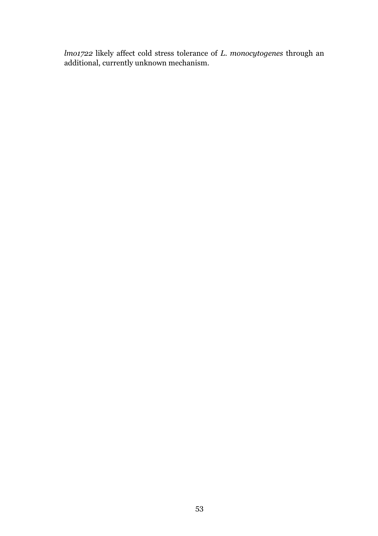*lmo1722* likely affect cold stress tolerance of *L. monocytogenes* through an additional, currently unknown mechanism.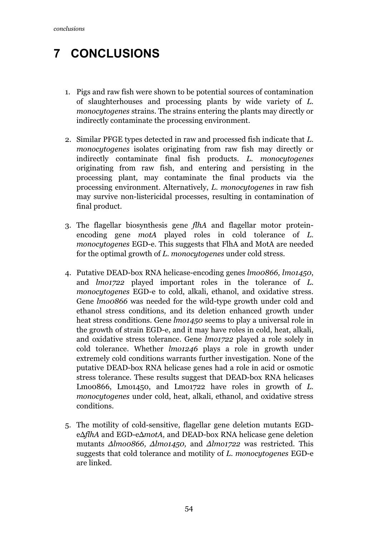# **7 CONCLUSIONS**

- 1. Pigs and raw fish were shown to be potential sources of contamination of slaughterhouses and processing plants by wide variety of *L. monocytogenes* strains. The strains entering the plants may directly or indirectly contaminate the processing environment.
- 2. Similar PFGE types detected in raw and processed fish indicate that *L. monocytogenes* isolates originating from raw fish may directly or indirectly contaminate final fish products. *L. monocytogenes*  originating from raw fish, and entering and persisting in the processing plant, may contaminate the final products via the processing environment. Alternatively, *L. monocytogenes* in raw fish may survive non-listericidal processes, resulting in contamination of final product.
- 3. The flagellar biosynthesis gene *flhA* and flagellar motor proteinencoding gene *motA* played roles in cold tolerance of *L. monocytogenes* EGD-e. This suggests that FlhA and MotA are needed for the optimal growth of *L. monocytogenes* under cold stress*.*
- 4. Putative DEAD-box RNA helicase-encoding genes *lmo0866, lmo1450*, and *lmo1722* played important roles in the tolerance of *L. monocytogenes* EGD-e to cold, alkali, ethanol, and oxidative stress. Gene *lmo0866* was needed for the wild-type growth under cold and ethanol stress conditions, and its deletion enhanced growth under heat stress conditions. Gene *lmo1450* seems to play a universal role in the growth of strain EGD-e, and it may have roles in cold, heat, alkali, and oxidative stress tolerance. Gene *lmo1722* played a role solely in cold tolerance. Whether *lmo1246* plays a role in growth under extremely cold conditions warrants further investigation. None of the putative DEAD-box RNA helicase genes had a role in acid or osmotic stress tolerance. These results suggest that DEAD-box RNA helicases Lmo0866, Lmo1450, and Lmo1722 have roles in growth of *L. monocytogenes* under cold, heat, alkali, ethanol, and oxidative stress conditions.
- 5. The motility of cold-sensitive, flagellar gene deletion mutants EGDeΔ*flhA* and EGD-eΔ*motA,* and DEAD-box RNA helicase gene deletion mutants *Δlmo0866, Δlmo1450,* and *Δlmo1722* was restricted. This suggests that cold tolerance and motility of *L. monocytogenes* EGD-e are linked.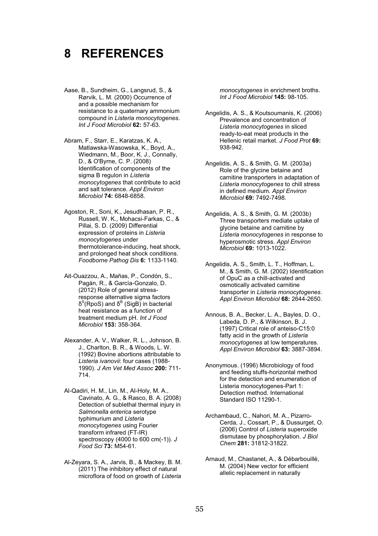# **8 REFERENCES**

- Aase, B., Sundheim, G., Langsrud, S., & Rørvik, L. M. (2000) Occurrence of and a possible mechanism for resistance to a quaternary ammonium compound in *Listeria monocytogenes*. *Int J Food Microbiol* **62:** 57-63.
- Abram, F., Starr, E., Karatzas, K. A., Matlawska-Wasowska, K., Boyd, A., Wiedmann, M., Boor, K. J., Connally, D., & O'Byrne, C. P. (2008) Identification of components of the sigma B regulon in *Listeria monocytogenes* that contribute to acid and salt tolerance. *Appl Environ Microbiol* **74:** 6848-6858.
- Agoston, R., Soni, K., Jesudhasan, P. R., Russell, W. K., Mohacsi-Farkas, C., & Pillai, S. D. (2009) Differential expression of proteins in *Listeria monocytogenes* under thermotolerance-inducing, heat shock, and prolonged heat shock conditions. *Foodborne Pathog Dis* **6:** 1133-1140.
- Ait-Ouazzou, A., Mañas, P., Condón, S., Pagán, R., & García-Gonzalo, D. (2012) Role of general stressresponse alternative sigma factors δ<sup>S</sup>(RpoS) and  $\delta^B$  (SigB) in bacterial heat resistance as a function of treatment medium pH. *Int J Food Microbiol* **153:** 358-364.
- Alexander, A. V., Walker, R. L., Johnson, B. J., Charlton, B. R., & Woods, L. W. (1992) Bovine abortions attributable to *Listeria ivanovii*: four cases (1988- 1990). *J Am Vet Med Assoc* **200:** 711- 714.
- Al-Qadiri, H. M., Lin, M., Al-Holy, M. A., Cavinato, A. G., & Rasco, B. A. (2008) Detection of sublethal thermal injury in *Salmonella enterica* serotype typhimurium and *Listeria monocytogenes* using Fourier transform infrared (FT-IR) spectroscopy (4000 to 600 cm(-1)). *J Food Sci* **73:** M54-61.
- Al-Zeyara, S. A., Jarvis, B., & Mackey, B. M. (2011) The inhibitory effect of natural microflora of food on growth of *Listeria*

*monocytogenes* in enrichment broths. *Int J Food Microbiol* **145:** 98-105.

- Angelidis, A. S., & Koutsoumanis, K. (2006) Prevalence and concentration of *Listeria monocytogenes* in sliced ready-to-eat meat products in the Hellenic retail market. *J Food Prot* **69:**  938-942.
- Angelidis, A. S., & Smith, G. M. (2003a) Role of the glycine betaine and carnitine transporters in adaptation of *Listeria monocytogenes* to chill stress in defined medium. *Appl Environ Microbiol* **69:** 7492-7498.
- Angelidis, A. S., & Smith, G. M. (2003b) Three transporters mediate uptake of glycine betaine and carnitine by *Listeria monocytogenes* in response to hyperosmotic stress. *Appl Environ Microbiol* **69:** 1013-1022.
- Angelidis, A. S., Smith, L. T., Hoffman, L. M., & Smith, G. M. (2002) Identification of OpuC as a chill-activated and osmotically activated carnitine transporter in *Listeria monocytogenes*. *Appl Environ Microbiol* **68:** 2644-2650.
- Annous, B. A., Becker, L. A., Bayles, D. O., Labeda, D. P., & Wilkinson, B. J. (1997) Critical role of anteiso-C15:0 fatty acid in the growth of *Listeria monocytogenes* at low temperatures. *Appl Environ Microbiol* **63:** 3887-3894.
- Anonymous. (1996) Microbiology of food and feeding stuffs-horizontal method for the detection and enumeration of Listeria monocytogenes-Part 1: Detection method. International Standard ISO 11290-1.
- Archambaud, C., Nahori, M. A., Pizarro-Cerda, J., Cossart, P., & Dussurget, O. (2006) Control of *Listeria* superoxide dismutase by phosphorylation. *J Biol Chem* **281:** 31812-31822.
- Arnaud, M., Chastanet, A., & Débarbouillé, M. (2004) New vector for efficient allelic replacement in naturally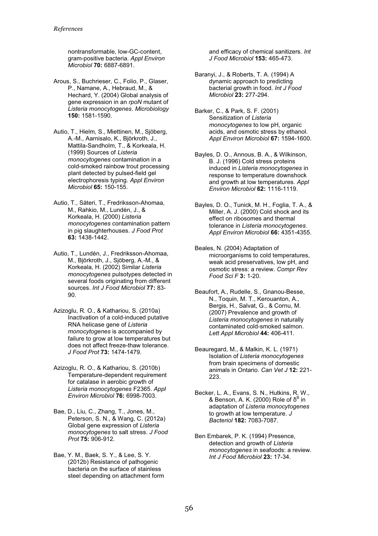nontransformable, low-GC-content, gram-positive bacteria. *Appl Environ Microbiol* **70:** 6887-6891.

- Arous, S., Buchrieser, C., Folio, P., Glaser, P., Namane, A., Hebraud, M., & Hechard, Y. (2004) Global analysis of gene expression in an *rpoN* mutant of *Listeria monocytogenes*. *Microbiology*  **150:** 1581-1590.
- Autio, T., Hielm, S., Miettinen, M., Sjöberg, A.-M., Aarnisalo, K., Björkroth, J., Mattila-Sandholm, T., & Korkeala, H. (1999) Sources of *Listeria monocytogenes* contamination in a cold-smoked rainbow trout processing plant detected by pulsed-field gel electrophoresis typing. *Appl Environ Microbiol* **65:** 150-155.
- Autio, T., Säteri, T., Fredriksson-Ahomaa, M., Rahkio, M., Lundén, J., & Korkeala, H. (2000) *Listeria monocytogenes* contamination pattern in pig slaughterhouses. *J Food Prot*  **63:** 1438-1442.
- Autio, T., Lundén, J., Fredriksson-Ahomaa, M., Björkroth, J., Sjöberg, A.-M., & Korkeala, H. (2002) Similar *Listeria monocytogenes* pulsotypes detected in several foods originating from different sources. *Int J Food Microbiol* **77:** 83- 90.
- Azizoglu, R. O., & Kathariou, S. (2010a) Inactivation of a cold-induced putative RNA helicase gene of *Listeria monocytogenes* is accompanied by failure to grow at low temperatures but does not affect freeze-thaw tolerance. *J Food Prot* **73:** 1474-1479.
- Azizoglu, R. O., & Kathariou, S. (2010b) Temperature-dependent requirement for catalase in aerobic growth of *Listeria monocytogenes* F2365. *Appl Environ Microbiol* **76:** 6998-7003.
- Bae, D., Liu, C., Zhang, T., Jones, M., Peterson, S. N., & Wang, C. (2012a) Global gene expression of *Listeria monocytogenes* to salt stress. *J Food Prot* **75:** 906-912.
- Bae, Y. M., Baek, S. Y., & Lee, S. Y. (2012b) Resistance of pathogenic bacteria on the surface of stainless steel depending on attachment form

and efficacy of chemical sanitizers. *Int J Food Microbiol* **153:** 465-473.

- Baranyi, J., & Roberts, T. A. (1994) A dynamic approach to predicting bacterial growth in food. *Int J Food Microbiol* **23:** 277-294.
- Barker, C., & Park, S. F. (2001) Sensitization of *Listeria monocytogenes* to low pH, organic acids, and osmotic stress by ethanol. *Appl Environ Microbiol* **67:** 1594-1600.
- Bayles, D. O., Annous, B. A., & Wilkinson, B. J. (1996) Cold stress proteins induced in *Listeria monocytogenes* in response to temperature downshock and growth at low temperatures. *Appl Environ Microbiol* **62:** 1116-1119.
- Bayles, D. O., Tunick, M. H., Foglia, T. A., & Miller, A. J. (2000) Cold shock and its effect on ribosomes and thermal tolerance in *Listeria monocytogenes*. *Appl Environ Microbiol* **66:** 4351-4355.
- Beales, N. (2004) Adaptation of microorganisms to cold temperatures, weak acid preservatives, low pH, and osmotic stress: a review. *Compr Rev Food Sci F* **3:** 1-20.
- Beaufort, A., Rudelle, S., Gnanou-Besse, N., Toquin, M. T., Kerouanton, A., Bergis, H., Salvat, G., & Cornu, M. (2007) Prevalence and growth of *Listeria monocytogenes* in naturally contaminated cold-smoked salmon. *Lett Appl Microbiol* **44:** 406-411.
- Beauregard, M., & Malkin, K. L. (1971) Isolation of *Listeria monocytogenes* from brain specimens of domestic animals in Ontario. *Can Vet J* **12:** 221- 223.
- Becker, L. A., Evans, S. N., Hutkins, R. W., & Benson, A. K. (2000) Role of  $\delta^{\text{B}}$  in adaptation of *Listeria monocytogenes* to growth at low temperature. *J Bacteriol* **182:** 7083-7087.
- Ben Embarek, P. K. (1994) Presence, detection and growth of *Listeria monocytogenes* in seafoods: a review. *Int J Food Microbiol* **23:** 17-34.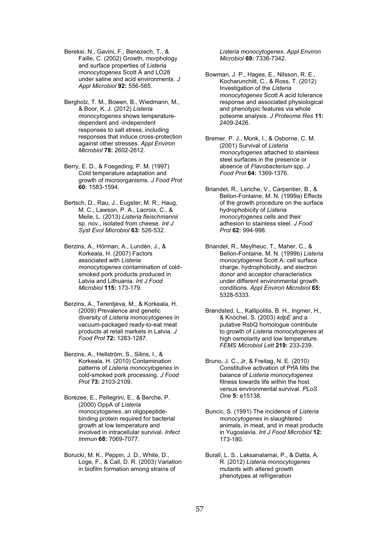Bereksi, N., Gavini, F., Benezech, T., & Faille, C. (2002) Growth, morphology and surface properties of *Listeria monocytogenes* Scott A and LO28 under saline and acid environments. *J Appl Microbiol* **92:** 556-565.

Bergholz, T. M., Bowen, B., Wiedmann, M., & Boor, K. J. (2012) *Listeria monocytogenes* shows temperaturedependent and -independent responses to salt stress, including responses that induce cross-protection against other stresses. *Appl Environ Microbiol* **78:** 2602-2612.

Berry, E. D., & Foegeding, P. M. (1997) Cold temperature adaptation and growth of microorganisms. *J Food Prot*  **60:** 1583-1594.

Bertsch, D., Rau, J., Eugster, M. R., Haug, M. C., Lawson, P. A., Lacroix, C., & Meile, L. (2013) *Listeria fleischmannii* sp. nov., isolated from cheese. *Int J Syst Evol Microbiol* **63:** 526-532.

Berzins, A., Hörman, A., Lundén, J., & Korkeala, H. (2007) Factors associated with *Listeria monocytogenes* contamination of coldsmoked pork products produced in Latvia and Lithuania. *Int J Food Microbiol* **115:** 173-179.

Berzins, A., Terentjeva, M., & Korkeala, H. (2009) Prevalence and genetic diversity of *Listeria monocytogenes* in vacuum-packaged ready-to-eat meat products at retail markets in Latvia. *J Food Prot* **72:** 1283-1287.

Berzins, A., Hellström, S., Silins, I., & Korkeala, H. (2010) Contamination patterns of *Listeria monocytogenes* in cold-smoked pork processing. *J Food Prot* **73:** 2103-2109.

Borezee, E., Pellegrini, E., & Berche, P. (2000) OppA of *Listeria monocytogenes*, an oligopeptidebinding protein required for bacterial growth at low temperature and involved in intracellular survival. *Infect Immun* **68:** 7069-7077.

Borucki, M. K., Peppin, J. D., White, D., Loge, F., & Call, D. R. (2003) Variation in biofilm formation among strains of

*Listeria monocytogenes*. *Appl Environ Microbiol* **69:** 7336-7342.

Bowman, J. P., Hages, E., Nilsson, R. E., Kocharunchitt, C., & Ross, T. (2012) Investigation of the *Listeria monocytogenes* Scott A acid tolerance response and associated physiological and phenotypic features via whole poteome analysis. *J Proteome Res* **11:**  2409-2426.

Bremer, P. J., Monk, I., & Osborne, C. M. (2001) Survival of *Listeria monocytogenes* attached to stainless steel surfaces in the presence or absence of *Flavobacterium* spp. *J Food Prot* **64:** 1369-1376.

Briandet, R., Leriche, V., Carpentier, B., & Bellon-Fontaine, M. N. (1999a) Effects of the growth procedure on the surface hydrophobicity of *Listeria monocytogenes* cells and their adhesion to stainless steel. *J Food Prot* **62:** 994-998.

Briandet, R., Meylheuc, T., Maher, C., & Bellon-Fontaine, M. N. (1999b) *Listeria monocytogenes* Scott A: cell surface charge, hydrophobicity, and electron donor and acceptor characteristics under different environmental growth conditions. *Appl Environ Microbiol* **65:**  5328-5333.

Brøndsted, L., Kallipolitis, B. H., Ingmer, H., & Knöchel, S. (2003) *kdpE* and a putative RsbQ homologue contribute to growth of *Listeria monocytogenes* at high osmolarity and low temperature. *FEMS Microbiol Lett* **219:** 233-239.

Bruno, J. C., Jr, & Freitag, N. E. (2010) Constitutive activation of PrfA tilts the balance of *Listeria monocytogenes* fitness towards life within the host versus environmental survival. *PLoS One* **5:** e15138.

Buncic, S. (1991) The incidence of *Listeria monocytogenes* in slaughtered animals, in meat, and in meat products in Yugoslavia. *Int J Food Microbiol* **12:**  173-180.

Burall, L. S., Laksanalamai, P., & Datta, A. R. (2012) *Listeria monocytogenes* mutants with altered growth phenotypes at refrigeration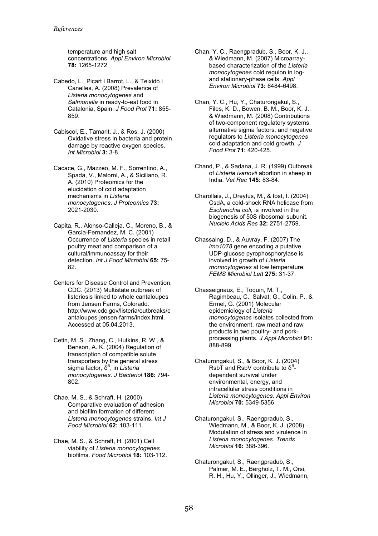temperature and high salt concentrations. *Appl Environ Microbiol*  **78:** 1265-1272.

- Cabedo, L., Picart i Barrot, L., & Teixidó i Canelles, A. (2008) Prevalence of *Listeria monocytogenes* and *Salmonella* in ready-to-eat food in Catalonia, Spain. *J Food Prot* **71:** 855- 859.
- Cabiscol, E., Tamarit, J., & Ros, J. (2000) Oxidative stress in bacteria and protein damage by reactive oxygen species. *Int Microbiol* **3:** 3-8.
- Cacace, G., Mazzeo, M. F., Sorrentino, A., Spada, V., Malorni, A., & Siciliano, R. A. (2010) Proteomics for the elucidation of cold adaptation mechanisms in *Listeria monocytogenes*. *J Proteomics* **73:**  2021-2030.
- Capita, R., Alonso-Calleja, C., Moreno, B., & García-Fernandez, M. C. (2001) Occurrence of *Listeria* species in retail poultry meat and comparison of a cultural/immunoassay for their detection. *Int J Food Microbiol* **65:** 75- 82.
- Centers for Disease Control and Prevention, CDC. (2013) Multistate outbreak of listeriosis linked to whole cantaloupes from Jensen Farms, Colorado. http://www.cdc.gov/listeria/outbreaks/c antaloupes-jensen-farms/index.html. Accessed at 05.04.2013.
- Cetin, M. S., Zhang, C., Hutkins, R. W., & Benson, A. K. (2004) Regulation of transcription of compatible solute transporters by the general stress sigma factor, δ<sup>в</sup>, in *Listeria monocytogenes*. *J Bacteriol* **186:** 794- 802.
- Chae, M. S., & Schraft, H. (2000) Comparative evaluation of adhesion and biofilm formation of different *Listeria monocytogenes* strains. *Int J Food Microbiol* **62:** 103-111.
- Chae, M. S., & Schraft, H. (2001) Cell viability of *Listeria monocytogenes* biofilms. *Food Microbiol* **18:** 103-112.
- Chan, Y. C., Raengpradub, S., Boor, K. J., & Wiedmann, M. (2007) Microarraybased characterization of the *Listeria monocytogenes* cold regulon in logand stationary-phase cells. *Appl Environ Microbiol* **73:** 6484-6498.
- Chan, Y. C., Hu, Y., Chaturongakul, S., Files, K. D., Bowen, B. M., Boor, K. J., & Wiedmann, M. (2008) Contributions of two-component regulatory systems, alternative sigma factors, and negative regulators to *Listeria monocytogenes*  cold adaptation and cold growth. *J Food Prot* **71:** 420-425.
- Chand, P., & Sadana, J. R. (1999) Outbreak of *Listeria ivanovii* abortion in sheep in India. *Vet Rec* **145:** 83-84.
- Charollais, J., Dreyfus, M., & Iost, I. (2004) CsdA, a cold-shock RNA helicase from *Escherichia coli,* is involved in the biogenesis of 50S ribosomal subunit. *Nucleic Acids Res* **32:** 2751-2759.
- Chassaing, D., & Auvray, F. (2007) The *lmo1078* gene encoding a putative UDP-glucose pyrophosphorylase is involved in growth of *Listeria monocytogenes* at low temperature. *FEMS Microbiol Lett* **275:** 31-37.
- Chasseignaux, E., Toquin, M. T., Ragimbeau, C., Salvat, G., Colin, P., & Ermel, G. (2001) Molecular epidemiology of *Listeria monocytogenes* isolates collected from the environment, raw meat and raw products in two poultry- and porkprocessing plants. *J Appl Microbiol* **91:**  888-899.
- Chaturongakul, S., & Boor, K. J. (2004) RsbT and RsbV contribute to  $\delta^B$ dependent survival under environmental, energy, and intracellular stress conditions in *Listeria monocytogenes*. *Appl Environ Microbiol* **70:** 5349-5356.
- Chaturongakul, S., Raengpradub, S., Wiedmann, M., & Boor, K. J. (2008) Modulation of stress and virulence in *Listeria monocytogenes*. *Trends Microbiol* **16:** 388-396.
- Chaturongakul, S., Raengpradub, S., Palmer, M. E., Bergholz, T. M., Orsi, R. H., Hu, Y., Ollinger, J., Wiedmann,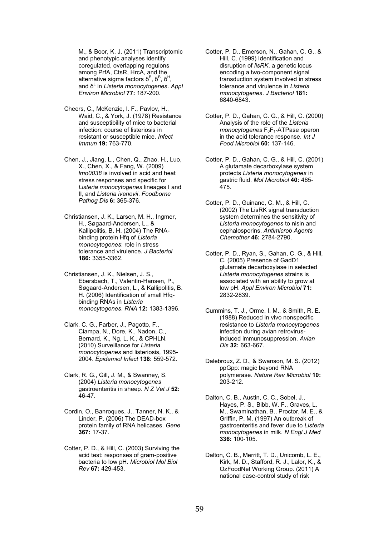M., & Boor, K. J. (2011) Transcriptomic and phenotypic analyses identify coregulated, overlapping regulons among PrfA, CtsR, HrcA, and the alternative sigma factors δ $^{\text{\tiny{\textsf{B}}}}$ , δ $^{\text{\tiny{\textsf{B}}}}$ , δ $^{\text{\tiny{\textsf{H}}}}$ alternative sigma factors δ<sup>ь</sup>, δ<sup>ь</sup>, δ'<sup>-</sup>,<br>and δ<sup>L</sup> in *Listeria monocytogenes. Appl Environ Microbiol* **77:** 187-200.

- Cheers, C., McKenzie, I. F., Pavlov, H., Waid, C., & York, J. (1978) Resistance and susceptibility of mice to bacterial infection: course of listeriosis in resistant or susceptible mice. *Infect Immun* **19:** 763-770.
- Chen, J., Jiang, L., Chen, Q., Zhao, H., Luo, X., Chen, X., & Fang, W. (2009) *lmo0038* is involved in acid and heat stress responses and specific for *Listeria monocytogenes* lineages I and II, and *Listeria ivanovii*. *Foodborne Pathog Dis* **6:** 365-376.
- Christiansen, J. K., Larsen, M. H., Ingmer, H., Søgaard-Andersen, L., & Kallipolitis, B. H. (2004) The RNAbinding protein Hfq of *Listeria monocytogenes*: role in stress tolerance and virulence. *J Bacteriol*  **186:** 3355-3362.
- Christiansen, J. K., Nielsen, J. S., Ebersbach, T., Valentin-Hansen, P., Søgaard-Andersen, L., & Kallipolitis, B. H. (2006) Identification of small Hfqbinding RNAs in *Listeria monocytogenes*. *RNA* **12:** 1383-1396.
- Clark, C. G., Farber, J., Pagotto, F., Ciampa, N., Dore, K., Nadon, C., Bernard, K., Ng, L. K., & CPHLN. (2010) Surveillance for *Listeria monocytogenes* and listeriosis, 1995- 2004. *Epidemiol Infect* **138:** 559-572.
- Clark, R. G., Gill, J. M., & Swanney, S. (2004) *Listeria monocytogenes* gastroenteritis in sheep. *N Z Vet J* **52:**  46-47.
- Cordin, O., Banroques, J., Tanner, N. K., & Linder, P. (2006) The DEAD-box protein family of RNA helicases. *Gene*  **367:** 17-37.
- Cotter, P. D., & Hill, C. (2003) Surviving the acid test: responses of gram-positive bacteria to low pH. *Microbiol Mol Biol Rev* **67:** 429-453.
- Cotter, P. D., Emerson, N., Gahan, C. G., & Hill, C. (1999) Identification and disruption of *lisRK*, a genetic locus encoding a two-component signal transduction system involved in stress tolerance and virulence in *Listeria monocytogenes*. *J Bacteriol* **181:**  6840-6843.
- Cotter, P. D., Gahan, C. G., & Hill, C. (2000) Analysis of the role of the *Listeria monocytogenes*  $F_0F_1$ -ATPase operon in the acid tolerance response. *Int J Food Microbiol* **60:** 137-146.
- Cotter, P. D., Gahan, C. G., & Hill, C. (2001) A glutamate decarboxylase system protects *Listeria monocytogenes* in gastric fluid. *Mol Microbiol* **40:** 465- 475.
- Cotter, P. D., Guinane, C. M., & Hill, C. (2002) The LisRK signal transduction system determines the sensitivity of *Listeria monocytogenes* to nisin and cephalosporins. *Antimicrob Agents Chemother* **46:** 2784-2790.
- Cotter, P. D., Ryan, S., Gahan, C. G., & Hill, C. (2005) Presence of GadD1 glutamate decarboxylase in selected *Listeria monocytogenes* strains is associated with an ability to grow at low pH. *Appl Environ Microbiol* **71:**  2832-2839.
- Cummins, T. J., Orme, I. M., & Smith, R. E. (1988) Reduced in vivo nonspecific resistance to *Listeria monocytogenes* infection during avian retrovirusinduced immunosuppression. *Avian Dis* **32:** 663-667.
- Dalebroux, Z. D., & Swanson, M. S. (2012) ppGpp: magic beyond RNA polymerase. *Nature Rev Microbiol* **10:**  203-212.
- Dalton, C. B., Austin, C. C., Sobel, J., Hayes, P. S., Bibb, W. F., Graves, L. M., Swaminathan, B., Proctor, M. E., & Griffin, P. M. (1997) An outbreak of gastroenteritis and fever due to *Listeria monocytogenes* in milk. *N Engl J Med*  **336:** 100-105.
- Dalton, C. B., Merritt, T. D., Unicomb, L. E., Kirk, M. D., Stafford, R. J., Lalor, K., & OzFoodNet Working Group. (2011) A national case-control study of risk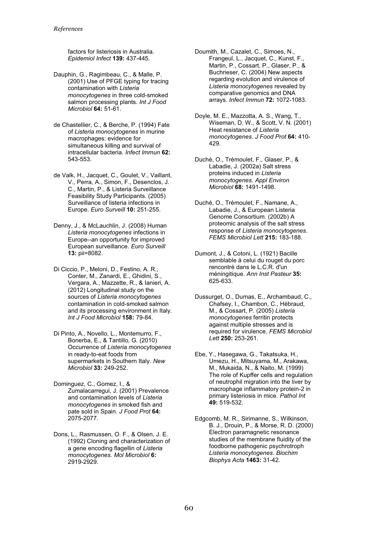factors for listeriosis in Australia. *Epidemiol Infect* **139:** 437-445.

- Dauphin, G., Ragimbeau, C., & Malle, P. (2001) Use of PFGE typing for tracing contamination with *Listeria monocytogenes* in three cold-smoked salmon processing plants. *Int J Food Microbiol* **64:** 51-61.
- de Chastellier, C., & Berche, P. (1994) Fate of *Listeria monocytogenes* in murine macrophages: evidence for simultaneous killing and survival of intracellular bacteria. *Infect Immun* **62:**  543-553.
- de Valk, H., Jacquet, C., Goulet, V., Vaillant, V., Perra, A., Simon, F., Desenclos, J. C., Martin, P., & Listeria Surveillance Feasibility Study Participants. (2005) Surveillance of listeria infections in Europe. *Euro Surveill* **10:** 251-255.
- Denny, J., & McLauchlin, J. (2008) Human *Listeria monocytogenes* infections in Europe--an opportunity for improved European surveillance. *Euro Surveill*  **13:** pii=8082.
- Di Ciccio, P., Meloni, D., Festino, A. R., Conter, M., Zanardi, E., Ghidini, S., Vergara, A., Mazzette, R., & Ianieri, A. (2012) Longitudinal study on the sources of *Listeria monocytogenes* contamination in cold-smoked salmon and its processing environment in Italy. *Int J Food Microbiol* **158:** 79-84.
- Di Pinto, A., Novello, L., Montemurro, F., Bonerba, E., & Tantillo, G. (2010) Occurrence of *Listeria monocytogenes* in ready-to-eat foods from supermarkets in Southern Italy. *New Microbiol* **33:** 249-252.
- Dominguez, C., Gomez, I., & Zumalacarregui, J. (2001) Prevalence and contamination levels of *Listeria monocytogenes* in smoked fish and pate sold in Spain. *J Food Prot* **64:**  2075-2077.
- Dons, L., Rasmussen, O. F., & Olsen, J. E. (1992) Cloning and characterization of a gene encoding flagellin of *Listeria monocytogenes*. *Mol Microbiol* **6:**  2919-2929.

Doumith, M., Cazalet, C., Simoes, N., Frangeul, L., Jacquet, C., Kunst, F., Martin, P., Cossart, P., Glaser, P., & Buchrieser, C. (2004) New aspects regarding evolution and virulence of *Listeria monocytogenes* revealed by comparative genomics and DNA arrays. *Infect Immun* **72:** 1072-1083.

- Doyle, M. E., Mazzotta, A. S., Wang, T., Wiseman, D. W., & Scott, V. N. (2001) Heat resistance of *Listeria monocytogenes*. *J Food Prot* **64:** 410- 429.
- Duché, O., Trémoulet, F., Glaser, P., & Labadie, J. (2002a) Salt stress proteins induced in *Listeria monocytogenes*. *Appl Environ Microbiol* **68:** 1491-1498.
- Duché, O., Trémoulet, F., Namane, A., Labadie, J., & European Listeria Genome Consortium. (2002b) A proteomic analysis of the salt stress response of *Listeria monocytogenes*. *FEMS Microbiol Lett* **215:** 183-188.
- Dumont, J., & Cotoni, L. (1921) Bacille semblable à celui du rouget du porc rencontré dans le L.C.R. d'un méningitique. *Ann Inst Pasteur* **35:**  625-633.
- Dussurget, O., Dumas, E., Archambaud, C., Chafsey, I., Chambon, C., Hébraud, M., & Cossart, P. (2005) *Listeria monocytogenes* ferritin protects against multiple stresses and is required for virulence. *FEMS Microbiol Lett* **250:** 253-261.
- Ebe, Y., Hasegawa, G., Takatsuka, H., Umezu, H., Mitsuyama, M., Arakawa, M., Mukaida, N., & Naito, M. (1999) The role of Kupffer cells and regulation of neutrophil migration into the liver by macrophage inflammatory protein-2 in primary listeriosis in mice. *Pathol Int*  **49:** 519-532.
- Edgcomb, M. R., Sirimanne, S., Wilkinson, B. J., Drouin, P., & Morse, R. D. (2000) Electron paramagnetic resonance studies of the membrane fluidity of the foodborne pathogenic psychrotroph *Listeria monocytogenes*. *Biochim Biophys Acta* **1463:** 31-42.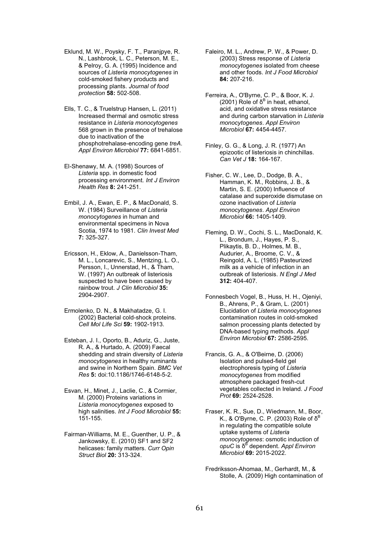- Eklund, M. W., Poysky, F. T., Paranjpye, R. N., Lashbrook, L. C., Peterson, M. E., & Pelroy, G. A. (1995) Incidence and sources of *Listeria monocytogenes* in cold-smoked fishery products and processing plants. *Journal of food protection* **58:** 502-508.
- Ells, T. C., & Truelstrup Hansen, L. (2011) Increased thermal and osmotic stress resistance in *Listeria monocytogenes* 568 grown in the presence of trehalose due to inactivation of the phosphotrehalase-encoding gene *treA*. *Appl Environ Microbiol* **77:** 6841-6851.
- El-Shenawy, M. A. (1998) Sources of *Listeria* spp. in domestic food processing environment. *Int J Environ Health Res* **8:** 241-251.
- Embil, J. A., Ewan, E. P., & MacDonald, S. W. (1984) Surveillance of *Listeria monocytogenes* in human and environmental specimens in Nova Scotia, 1974 to 1981. *Clin Invest Med*  **7:** 325-327.
- Ericsson, H., Eklow, A., Danielsson-Tham, M. L., Loncarevic, S., Mentzing, L. O., Persson, I., Unnerstad, H., & Tham, W. (1997) An outbreak of listeriosis suspected to have been caused by rainbow trout. *J Clin Microbiol* **35:**  2904-2907.
- Ermolenko, D. N., & Makhatadze, G. I. (2002) Bacterial cold-shock proteins. *Cell Mol Life Sci* **59:** 1902-1913.
- Esteban, J. I., Oporto, B., Aduriz, G., Juste, R. A., & Hurtado, A. (2009) Faecal shedding and strain diversity of *Listeria monocytogenes* in healthy ruminants and swine in Northern Spain. *BMC Vet Res* **5:** doi:10.1186/1746-6148-5-2.
- Esvan, H., Minet, J., Laclie, C., & Cormier, M. (2000) Proteins variations in *Listeria monocytogenes* exposed to high salinities. *Int J Food Microbiol* **55:**  151-155.
- Fairman-Williams, M. E., Guenther, U. P., & Jankowsky, E. (2010) SF1 and SF2 helicases: family matters. *Curr Opin Struct Biol* **20:** 313-324.
- Faleiro, M. L., Andrew, P. W., & Power, D. (2003) Stress response of *Listeria monocytogenes* isolated from cheese and other foods. *Int J Food Microbiol*  **84:** 207-216.
- Ferreira, A., O'Byrne, C. P., & Boor, K. J. (2001) Role of  $δ<sup>B</sup>$  in heat, ethanol, acid, and oxidative stress resistance and during carbon starvation in *Listeria monocytogenes*. *Appl Environ Microbiol* **67:** 4454-4457.
- Finley, G. G., & Long, J. R. (1977) An epizootic of listeriosis in chinchillas. *Can Vet J* **18:** 164-167.
- Fisher, C. W., Lee, D., Dodge, B. A., Hamman, K. M., Robbins, J. B., & Martin, S. E. (2000) Influence of catalase and superoxide dismutase on ozone inactivation of *Listeria monocytogenes*. *Appl Environ Microbiol* **66:** 1405-1409.
- Fleming, D. W., Cochi, S. L., MacDonald, K. L., Brondum, J., Hayes, P. S., Plikaytis, B. D., Holmes, M. B., Audurier, A., Broome, C. V., & Reingold, A. L. (1985) Pasteurized milk as a vehicle of infection in an outbreak of listeriosis. *N Engl J Med*  **312:** 404-407.
- Fonnesbech Vogel, B., Huss, H. H., Ojeniyi, B., Ahrens, P., & Gram, L. (2001) Elucidation of *Listeria monocytogenes* contamination routes in cold-smoked salmon processing plants detected by DNA-based typing methods. *Appl Environ Microbiol* **67:** 2586-2595.

Francis, G. A., & O'Beirne, D. (2006) Isolation and pulsed-field gel electrophoresis typing of *Listeria monocytogenes* from modified atmosphere packaged fresh-cut vegetables collected in Ireland. *J Food Prot* **69:** 2524-2528.

- Fraser, K. R., Sue, D., Wiedmann, M., Boor, K., & O'Byrne, C. P. (2003) Role of  $\delta^E$ in regulating the compatible solute uptake systems of *Listeria monocytogenes*: osmotic induction of *opuC* is δ<sup>B</sup> dependent. *Appl Environ Microbiol* **69:** 2015-2022.
- Fredriksson-Ahomaa, M., Gerhardt, M., & Stolle, A. (2009) High contamination of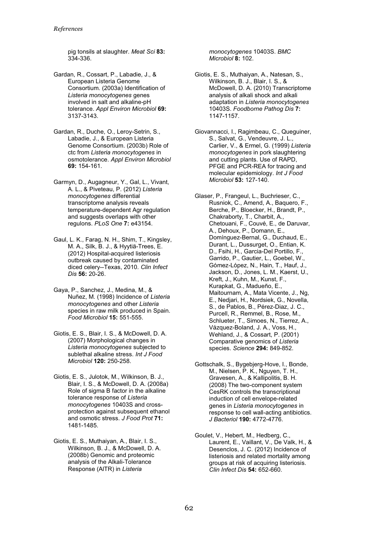pig tonsils at slaughter. *Meat Sci* **83:**  334-336.

- Gardan, R., Cossart, P., Labadie, J., & European Listeria Genome Consortium. (2003a) Identification of *Listeria monocytogenes* genes involved in salt and alkaline-pH tolerance. *Appl Environ Microbiol* **69:**  3137-3143.
- Gardan, R., Duche, O., Leroy-Setrin, S., Labadie, J., & European Listeria Genome Consortium. (2003b) Role of ctc from *Listeria monocytogenes* in osmotolerance. *Appl Environ Microbiol*  **69:** 154-161.
- Garmyn, D., Augagneur, Y., Gal, L., Vivant, A. L., & Piveteau, P. (2012) *Listeria monocytogenes* differential transcriptome analysis reveals temperature-dependent Agr regulation and suggests overlaps with other regulons. *PLoS One* **7:** e43154.
- Gaul, L. K., Farag, N. H., Shim, T., Kingsley, M. A., Silk, B. J., & Hyytiä-Trees, E. (2012) Hospital-acquired listeriosis outbreak caused by contaminated diced celery--Texas, 2010. *Clin Infect Dis* **56:** 20-26.
- Gaya, P., Sanchez, J., Medina, M., & Nuñez, M. (1998) Incidence of *Listeria monocytogenes* and other *Listeria* species in raw milk produced in Spain. *Food Microbiol* **15:** 551-555.
- Giotis, E. S., Blair, I. S., & McDowell, D. A. (2007) Morphological changes in *Listeria monocytogenes* subjected to sublethal alkaline stress. *Int J Food Microbiol* **120:** 250-258.
- Giotis, E. S., Julotok, M., Wilkinson, B. J., Blair, I. S., & McDowell, D. A. (2008a) Role of sigma B factor in the alkaline tolerance response of *Listeria monocytogenes* 10403S and crossprotection against subsequent ethanol and osmotic stress. *J Food Prot* **71:**  1481-1485.
- Giotis, E. S., Muthaiyan, A., Blair, I. S., Wilkinson, B. J., & McDowell, D. A. (2008b) Genomic and proteomic analysis of the Alkali-Tolerance Response (AlTR) in *Listeria*

*monocytogenes* 10403S. *BMC Microbiol* **8:** 102.

- Giotis, E. S., Muthaiyan, A., Natesan, S., Wilkinson, B. J., Blair, I. S., & McDowell, D. A. (2010) Transcriptome analysis of alkali shock and alkali adaptation in *Listeria monocytogenes* 10403S. *Foodborne Pathog Dis* **7:**  1147-1157.
- Giovannacci, I., Ragimbeau, C., Queguiner, S., Salvat, G., Vendeuvre, J. L., Carlier, V., & Ermel, G. (1999) *Listeria monocytogenes* in pork slaughtering and cutting plants. Use of RAPD, PFGE and PCR-REA for tracing and molecular epidemiology. *Int J Food Microbiol* **53:** 127-140.
- Glaser, P., Frangeul, L., Buchrieser, C., Rusniok, C., Amend, A., Baquero, F., Berche, P., Bloecker, H., Brandt, P., Chakraborty, T., Charbit, A., Chetouani, F., Couvé, E., de Daruvar, A., Dehoux, P., Domann, E., Domínguez-Bernal, G., Duchaud, E., Durant, L., Dussurget, O., Entian, K. D., Fsihi, H., Garcia-Del Portillo, F., Garrido, P., Gautier, L., Goebel, W., Gómez-López, N., Hain, T., Hauf, J., Jackson, D., Jones, L. M., Kaerst, U., Kreft, J., Kuhn, M., Kunst, F., Kurapkat, G., Madueño, E., Maitournam, A., Mata Vicente, J., Ng, E., Nedjari, H., Nordsiek, G., Novella, S., de Pablos, B., Pérez-Diaz, J. C., Purcell, R., Remmel, B., Rose, M., Schlueter, T., Simoes, N., Tierrez, A., Vázquez-Boland, J. A., Voss, H., Wehland, J., & Cossart, P. (2001) Comparative genomics of *Listeria* species. *Science* **294:** 849-852.
- Gottschalk, S., Bygebjerg-Hove, I., Bonde, M., Nielsen, P. K., Nguyen, T. H., Gravesen, A., & Kallipolitis, B. H. (2008) The two-component system CesRK controls the transcriptional induction of cell envelope-related genes in *Listeria monocytogenes* in response to cell wall-acting antibiotics. *J Bacteriol* **190:** 4772-4776.
- Goulet, V., Hebert, M., Hedberg, C., Laurent, E., Vaillant, V., De Valk, H., & Desenclos, J. C. (2012) Incidence of listeriosis and related mortality among groups at risk of acquiring listeriosis. *Clin Infect Dis* **54:** 652-660.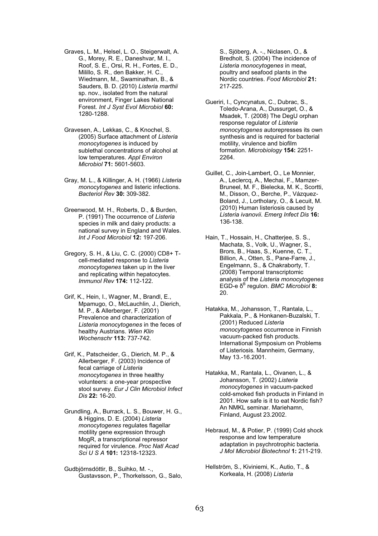Graves, L. M., Helsel, L. O., Steigerwalt, A. G., Morey, R. E., Daneshvar, M. I., Roof, S. E., Orsi, R. H., Fortes, E. D., Milillo, S. R., den Bakker, H. C., Wiedmann, M., Swaminathan, B., & Sauders, B. D. (2010) *Listeria marthii*  sp. nov., isolated from the natural environment, Finger Lakes National Forest. *Int J Syst Evol Microbiol* **60:**  1280-1288.

- Gravesen, A., Lekkas, C., & Knochel, S. (2005) Surface attachment of *Listeria monocytogenes* is induced by sublethal concentrations of alcohol at low temperatures. *Appl Environ Microbiol* **71:** 5601-5603.
- Gray, M. L., & Killinger, A. H. (1966) *Listeria monocytogenes* and listeric infections. *Bacteriol Rev* **30:** 309-382.
- Greenwood, M. H., Roberts, D., & Burden, P. (1991) The occurrence of *Listeria* species in milk and dairy products: a national survey in England and Wales. *Int J Food Microbiol* **12:** 197-206.
- Gregory, S. H., & Liu, C. C. (2000) CD8+ Tcell-mediated response to *Listeria monocytogenes* taken up in the liver and replicating within hepatocytes. *Immunol Rev* **174:** 112-122.
- Grif, K., Hein, I., Wagner, M., Brandl, E., Mpamugo, O., McLauchlin, J., Dierich, M. P., & Allerberger, F. (2001) Prevalence and characterization of *Listeria monocytogenes* in the feces of healthy Austrians. *Wien Klin Wochenschr* **113:** 737-742.

Grif, K., Patscheider, G., Dierich, M. P., & Allerberger, F. (2003) Incidence of fecal carriage of *Listeria monocytogenes* in three healthy volunteers: a one-year prospective stool survey. *Eur J Clin Microbiol Infect Dis* **22:** 16-20.

Grundling, A., Burrack, L. S., Bouwer, H. G., & Higgins, D. E. (2004) *Listeria monocytogenes* regulates flagellar motility gene expression through MogR, a transcriptional repressor required for virulence. *Proc Natl Acad Sci U S A* **101:** 12318-12323.

Gudbjörnsdóttir, B., Suihko, M. -., Gustavsson, P., Thorkelsson, G., Salo,

S., Sjöberg, A. -., Niclasen, O., & Bredholt, S. (2004) The incidence of *Listeria monocytogenes* in meat, poultry and seafood plants in the Nordic countries. *Food Microbiol* **21:**  217-225.

- Gueriri, I., Cyncynatus, C., Dubrac, S., Toledo-Arana, A., Dussurget, O., & Msadek, T. (2008) The DegU orphan response regulator of *Listeria monocytogenes* autorepresses its own synthesis and is required for bacterial motility, virulence and biofilm formation. *Microbiology* **154:** 2251- 2264.
- Guillet, C., Join-Lambert, O., Le Monnier, A., Leclercq, A., Mechai, F., Mamzer-Bruneel, M. F., Bielecka, M. K., Scortti, M., Disson, O., Berche, P., Vázquez-Boland, J., Lortholary, O., & Lecuit, M. (2010) Human listeriosis caused by *Listeria ivanovii*. *Emerg Infect Dis* **16:**  136-138.
- Hain, T., Hossain, H., Chatterjee, S. S., Machata, S., Volk, U., Wagner, S., Brors, B., Haas, S., Kuenne, C. T., Billion, A., Otten, S., Pane-Farre, J., Engelmann, S., & Chakraborty, T. (2008) Temporal transcriptomic analysis of the *Listeria monocytogenes*  EGD-e δ<sup>B</sup> regulon. *BMC Microbiol* **8:**  20.

Hatakka, M., Johansson, T., Rantala, L., Pakkala, P., & Honkanen-Buzalski, T. (2001) Reduced *Listeria monocytogenes* occurrence in Finnish vacuum-packed fish products. International Symposium on Problems of Listeriosis. Mannheim, Germany, May 13.-16.2001.

Hatakka, M., Rantala, L., Oivanen, L., & Johansson, T. (2002) *Listeria monocytogenes* in vacuum-packed cold-smoked fish products in Finland in 2001. How safe is it to eat Nordic fish? An NMKL seminar. Mariehamn, Finland, August 23.2002.

Hebraud, M., & Potier, P. (1999) Cold shock response and low temperature adaptation in psychrotrophic bacteria. *J Mol Microbiol Biotechnol* **1:** 211-219.

Hellström, S., Kiviniemi, K., Autio, T., & Korkeala, H. (2008) *Listeria*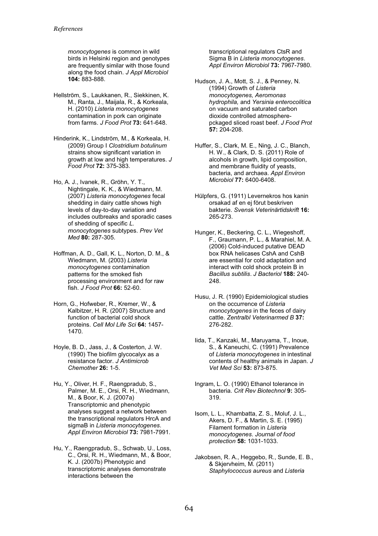*monocytogenes* is common in wild birds in Helsinki region and genotypes are frequently similar with those found along the food chain. *J Appl Microbiol*  **104:** 883-888.

- Hellström, S., Laukkanen, R., Siekkinen, K. M., Ranta, J., Maijala, R., & Korkeala, H. (2010) *Listeria monocytogenes* contamination in pork can originate from farms. *J Food Prot* **73:** 641-648.
- Hinderink, K., Lindström, M., & Korkeala, H. (2009) Group I *Clostridium botulinum* strains show significant variation in growth at low and high temperatures. *J Food Prot* **72:** 375-383.
- Ho, A. J., Ivanek, R., Gröhn, Y. T., Nightingale, K. K., & Wiedmann, M. (2007) *Listeria monocytogenes* fecal shedding in dairy cattle shows high levels of day-to-day variation and includes outbreaks and sporadic cases of shedding of specific *L. monocytogenes* subtypes. *Prev Vet Med* **80:** 287-305.
- Hoffman, A. D., Gall, K. L., Norton, D. M., & Wiedmann, M. (2003) *Listeria monocytogenes* contamination patterns for the smoked fish processing environment and for raw fish. *J Food Prot* **66:** 52-60.
- Horn, G., Hofweber, R., Kremer, W., & Kalbitzer, H. R. (2007) Structure and function of bacterial cold shock proteins. *Cell Mol Life Sci* **64:** 1457-  $1470.$
- Hoyle, B. D., Jass, J., & Costerton, J. W. (1990) The biofilm glycocalyx as a resistance factor. *J Antimicrob Chemother* **26:** 1-5.
- Hu, Y., Oliver, H. F., Raengpradub, S., Palmer, M. E., Orsi, R. H., Wiedmann, M., & Boor, K. J. (2007a) Transcriptomic and phenotypic analyses suggest a network between the transcriptional regulators HrcA and sigmaB in *Listeria monocytogenes*. *Appl Environ Microbiol* **73:** 7981-7991.
- Hu, Y., Raengpradub, S., Schwab, U., Loss, C., Orsi, R. H., Wiedmann, M., & Boor, K. J. (2007b) Phenotypic and transcriptomic analyses demonstrate interactions between the

transcriptional regulators CtsR and Sigma B in *Listeria monocytogenes*. *Appl Environ Microbiol* **73:** 7967-7980.

- Hudson, J. A., Mott, S. J., & Penney, N. (1994) Growth of *Listeria monocytogenes, Aeromonas hydrophila,* and *Yersinia enterocolitica* on vacuum and saturated carbon dioxide controlled atmospherepckaged sliced roast beef. *J Food Prot*  **57:** 204-208.
- Huffer, S., Clark, M. E., Ning, J. C., Blanch, H. W., & Clark, D. S. (2011) Role of alcohols in growth, lipid composition, and membrane fluidity of yeasts, bacteria, and archaea. *Appl Environ Microbiol* **77:** 6400-6408.
- Hülpfers, G. (1911) Levernekros hos kanin orsakad af en ej förut beskriven bakterie. *Svensk Veterinärtidskrift* **16:**  265-273.
- Hunger, K., Beckering, C. L., Wiegeshoff, F., Graumann, P. L., & Marahiel, M. A. (2006) Cold-induced putative DEAD box RNA helicases CshA and CshB are essential for cold adaptation and interact with cold shock protein B in *Bacillus subtilis*. *J Bacteriol* **188:** 240- 248.
- Husu, J. R. (1990) Epidemiological studies on the occurrence of *Listeria monocytogenes* in the feces of dairy cattle. *Zentralbl Veterinarmed B* **37:**  276-282.
- Iida, T., Kanzaki, M., Maruyama, T., Inoue, S., & Kaneuchi, C. (1991) Prevalence of *Listeria monocytogenes* in intestinal contents of healthy animals in Japan. *J Vet Med Sci* **53:** 873-875.
- Ingram, L. O. (1990) Ethanol tolerance in bacteria. *Crit Rev Biotechnol* **9:** 305- 319.
- Isom, L. L., Khambatta, Z. S., Moluf, J. L., Akers, D. F., & Martin, S. E. (1995) Filament formation in *Listeria monocytogenes*. *Journal of food protection* **58:** 1031-1033.
- Jakobsen, R. A., Heggebo, R., Sunde, E. B., & Skjervheim, M. (2011) *Staphylococcus aureus* and *Listeria*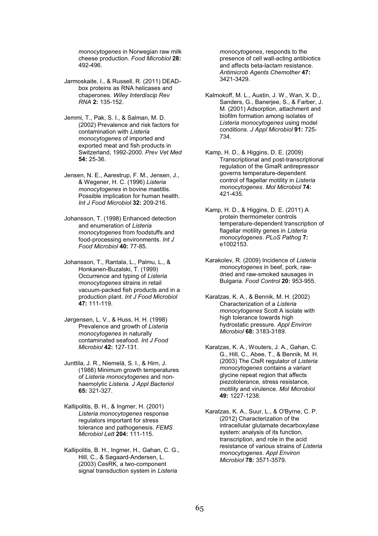*monocytogenes* in Norwegian raw milk cheese production. *Food Microbiol* **28:**  492-496.

- Jarmoskaite, I., & Russell, R. (2011) DEADbox proteins as RNA helicases and chaperones. *Wiley Interdiscip Rev RNA* **2:** 135-152.
- Jemmi, T., Pak, S. I., & Salman, M. D. (2002) Prevalence and risk factors for contamination with *Listeria monocytogenes* of imported and exported meat and fish products in Switzerland, 1992-2000. *Prev Vet Med*  **54:** 25-36.
- Jensen, N. E., Aarestrup, F. M., Jensen, J., & Wegener, H. C. (1996) *Listeria monocytogenes* in bovine mastitis. Possible implication for human health. *Int J Food Microbiol* **32:** 209-216.
- Johansson, T. (1998) Enhanced detection and enumeration of *Listeria monocytogenes* from foodstuffs and food-processing environments. *Int J Food Microbiol* **40:** 77-85.
- Johansson, T., Rantala, L., Palmu, L., & Honkanen-Buzalski, T. (1999) Occurrence and typing of *Listeria monocytogenes* strains in retail vacuum-packed fish products and in a production plant. *Int J Food Microbiol*  **47:** 111-119.
- Jørgensen, L. V., & Huss, H. H. (1998) Prevalence and growth of *Listeria monocytogenes* in naturally contaminated seafood. *Int J Food Microbiol* **42:** 127-131.
- Junttila, J. R., Niemelä, S. I., & Hirn, J. (1988) Minimum growth temperatures of *Listeria monocytogenes* and nonhaemolytic *Listeria*. *J Appl Bacteriol*  **65:** 321-327.
- Kallipolitis, B. H., & Ingmer, H. (2001) *Listeria monocytogenes* response regulators important for stress tolerance and pathogenesis. *FEMS Microbiol Lett* **204:** 111-115.
- Kallipolitis, B. H., Ingmer, H., Gahan, C. G., Hill, C., & Søgaard-Andersen, L. (2003) CesRK, a two-component signal transduction system in *Listeria*

*monocytogenes*, responds to the presence of cell wall-acting antibiotics and affects beta-lactam resistance. *Antimicrob Agents Chemother* **47:**  3421-3429.

- Kalmokoff, M. L., Austin, J. W., Wan, X. D., Sanders, G., Banerjee, S., & Farber, J. M. (2001) Adsorption, attachment and biofilm formation among isolates of *Listeria monocytogenes* using model conditions. *J Appl Microbiol* **91:** 725- 734.
- Kamp, H. D., & Higgins, D. E. (2009) Transcriptional and post-transcriptional regulation of the GmaR antirepressor governs temperature-dependent control of flagellar motility in *Listeria monocytogenes*. *Mol Microbiol* **74:**  421-435.
- Kamp, H. D., & Higgins, D. E. (2011) A protein thermometer controls temperature-dependent transcription of flagellar motility genes in *Listeria monocytogenes*. *PLoS Pathog* **7:**  e1002153.
- Karakolev, R. (2009) Incidence of *Listeria monocytogenes* in beef, pork, rawdried and raw-smoked sausages in Bulgaria. *Food Control* **20:** 953-955.
- Karatzas, K. A., & Bennik, M. H. (2002) Characterization of a *Listeria monocytogenes* Scott A isolate with high tolerance towards high hydrostatic pressure. *Appl Environ Microbiol* **68:** 3183-3189.
- Karatzas, K. A., Wouters, J. A., Gahan, C. G., Hill, C., Abee, T., & Bennik, M. H. (2003) The CtsR regulator of *Listeria monocytogenes* contains a variant glycine repeat region that affects piezotolerance, stress resistance, motility and virulence. *Mol Microbiol*  **49:** 1227-1238.
- Karatzas, K. A., Suur, L., & O'Byrne, C. P. (2012) Characterization of the intracellular glutamate decarboxylase system: analysis of its function, transcription, and role in the acid resistance of various strains of *Listeria monocytogenes*. *Appl Environ Microbiol* **78:** 3571-3579.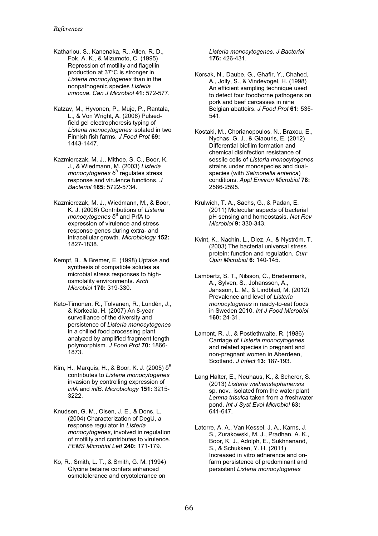- Kathariou, S., Kanenaka, R., Allen, R. D., Fok, A. K., & Mizumoto, C. (1995) Repression of motility and flagellin production at 37°C is stronger in *Listeria monocytogenes* than in the nonpathogenic species *Listeria innocua*. *Can J Microbiol* **41:** 572-577.
- Katzav, M., Hyvonen, P., Muje, P., Rantala, L., & Von Wright, A. (2006) Pulsedfield gel electrophoresis typing of *Listeria monocytogenes* isolated in two Finnish fish farms. *J Food Prot* **69:**  1443-1447.
- Kazmierczak, M. J., Mithoe, S. C., Boor, K. J., & Wiedmann, M. (2003) *Listeria*  monocytogenes δ<sup>B</sup> regulates stress response and virulence functions. *J Bacteriol* **185:** 5722-5734.
- Kazmierczak, M. J., Wiedmann, M., & Boor, K. J. (2006) Contributions of *Listeria monocytogenes* δ<sup>B</sup> and PrfA to expression of virulence and stress response genes during extra- and intracellular growth. *Microbiology* **152:**  1827-1838.
- Kempf, B., & Bremer, E. (1998) Uptake and synthesis of compatible solutes as microbial stress responses to highosmolality environments. *Arch Microbiol* **170:** 319-330.
- Keto-Timonen, R., Tolvanen, R., Lundén, J., & Korkeala, H. (2007) An 8-year surveillance of the diversity and persistence of *Listeria monocytogenes* in a chilled food processing plant analyzed by amplified fragment length polymorphism. *J Food Prot* **70:** 1866- 1873.
- Kim, H., Marquis, H., & Boor, K. J. (2005)  $δ<sup>B</sup>$ contributes to *Listeria monocytogenes* invasion by controlling expression of *inlA* and *inlB*. *Microbiology* **151:** 3215- 3222.
- Knudsen, G. M., Olsen, J. E., & Dons, L. (2004) Characterization of DegU, a response regulator in *Listeria monocytogenes*, involved in regulation of motility and contributes to virulence. *FEMS Microbiol Lett* **240:** 171-179.
- Ko, R., Smith, L. T., & Smith, G. M. (1994) Glycine betaine confers enhanced osmotolerance and cryotolerance on

*Listeria monocytogenes*. *J Bacteriol*  **176:** 426-431.

- Korsak, N., Daube, G., Ghafir, Y., Chahed, A., Jolly, S., & Vindevogel, H. (1998) An efficient sampling technique used to detect four foodborne pathogens on pork and beef carcasses in nine Belgian abattoirs. *J Food Prot* **61:** 535- 541.
- Kostaki, M., Chorianopoulos, N., Braxou, E., Nychas, G. J., & Giaouris, E. (2012) Differential biofilm formation and chemical disinfection resistance of sessile cells of *Listeria monocytogenes* strains under monospecies and dualspecies (with *Salmonella enterica*) conditions. *Appl Environ Microbiol* **78:**  2586-2595.
- Krulwich, T. A., Sachs, G., & Padan, E. (2011) Molecular aspects of bacterial pH sensing and homeostasis. *Nat Rev Microbiol* **9:** 330-343.
- Kvint, K., Nachin, L., Diez, A., & Nyström, T. (2003) The bacterial universal stress protein: function and regulation. *Curr Opin Microbiol* **6:** 140-145.
- Lambertz, S. T., Nilsson, C., Bradenmark, A., Sylven, S., Johansson, A., Jansson, L. M., & Lindblad, M. (2012) Prevalence and level of *Listeria monocytogenes* in ready-to-eat foods in Sweden 2010. *Int J Food Microbiol*  **160:** 24-31.
- Lamont, R. J., & Postlethwaite, R. (1986) Carriage of *Listeria monocytogenes* and related species in pregnant and non-pregnant women in Aberdeen, Scotland. *J Infect* **13:** 187-193.
- Lang Halter, E., Neuhaus, K., & Scherer, S. (2013) *Listeria weihenstephanensis*  sp. nov., isolated from the water plant *Lemna trisulca* taken from a freshwater pond. *Int J Syst Evol Microbiol* **63:**  641-647.
- Latorre, A. A., Van Kessel, J. A., Karns, J. S., Zurakowski, M. J., Pradhan, A. K., Boor, K. J., Adolph, E., Sukhnanand, S., & Schukken, Y. H. (2011) Increased in vitro adherence and onfarm persistence of predominant and persistent *Listeria monocytogenes*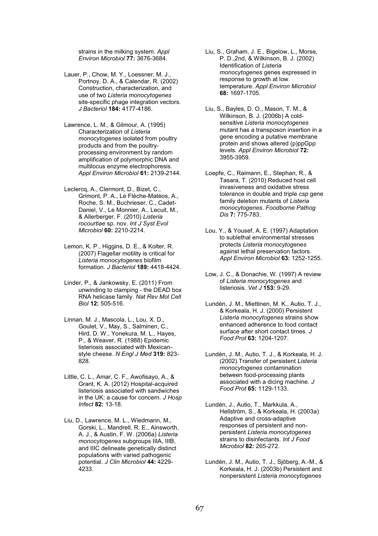strains in the milking system. *Appl Environ Microbiol* **77:** 3676-3684.

- Lauer, P., Chow, M. Y., Loessner, M. J., Portnoy, D. A., & Calendar, R. (2002) Construction, characterization, and use of two *Listeria monocytogenes* site-specific phage integration vectors. *J Bacteriol* **184:** 4177-4186.
- Lawrence, L. M., & Gilmour, A. (1995) Characterization of *Listeria monocytogenes* isolated from poultry products and from the poultryprocessing environment by random amplification of polymorphic DNA and multilocus enzyme electrophoresis. *Appl Environ Microbiol* **61:** 2139-2144.
- Leclercq, A., Clermont, D., Bizet, C., Grimont, P. A., Le Flèche-Matéos, A., Roche, S. M., Buchrieser, C., Cadet-Daniel, V., Le Monnier, A., Lecuit, M., & Allerberger, F. (2010) *Listeria rocourtiae* sp. nov. *Int J Syst Evol Microbiol* **60:** 2210-2214.
- Lemon, K. P., Higgins, D. E., & Kolter, R. (2007) Flagellar motility is critical for *Listeria monocytogenes* biofilm formation. *J Bacteriol* **189:** 4418-4424.
- Linder, P., & Jankowsky, E. (2011) From unwinding to clamping - the DEAD box RNA helicase family. *Nat Rev Mol Cell Biol* **12:** 505-516.
- Linnan, M. J., Mascola, L., Lou, X. D., Goulet, V., May, S., Salminen, C., Hird, D. W., Yonekura, M. L., Hayes, P., & Weaver, R. (1988) Epidemic listeriosis associated with Mexicanstyle cheese. *N Engl J Med* **319:** 823- 828.
- Little, C. L., Amar, C. F., Awofisayo, A., & Grant, K. A. (2012) Hospital-acquired listeriosis associated with sandwiches in the UK: a cause for concern. *J Hosp Infect* **82:** 13-18.
- Liu, D., Lawrence, M. L., Wiedmann, M., Gorski, L., Mandrell, R. E., Ainsworth, A. J., & Austin, F. W. (2006a) *Listeria monocytogenes* subgroups IIIA, IIIB, and IIIC delineate genetically distinct populations with varied pathogenic potential. *J Clin Microbiol* **44:** 4229- 4233.
- Liu, S., Graham, J. E., Bigelow, L., Morse, P. D.,2nd, & Wilkinson, B. J. (2002) Identification of *Listeria monocytogenes* genes expressed in response to growth at low temperature. *Appl Environ Microbiol*  **68:** 1697-1705.
- Liu, S., Bayles, D. O., Mason, T. M., & Wilkinson, B. J. (2006b) A coldsensitive *Listeria monocytogenes* mutant has a transposon insertion in a gene encoding a putative membrane protein and shows altered (p)ppGpp levels. *Appl Environ Microbiol* **72:**  3955-3959.
- Loepfe, C., Raimann, E., Stephan, R., & Tasara, T. (2010) Reduced host cell invasiveness and oxidative stress tolerance in double and triple *csp* gene family deletion mutants of *Listeria monocytogenes*. *Foodborne Pathog Dis* **7:** 775-783.
- Lou, Y., & Yousef, A. E. (1997) Adaptation to sublethal environmental stresses protects *Listeria monocytogenes* against lethal preservation factors. *Appl Environ Microbiol* **63:** 1252-1255.
- Low, J. C., & Donachie, W. (1997) A review of *Listeria monocytogenes* and listeriosis. *Vet J* **153:** 9-29.
- Lundén, J. M., Miettinen, M. K., Autio, T. J., & Korkeala, H. J. (2000) Persistent *Listeria monocytogenes* strains show enhanced adherence to food contact surface after short contact times. *J Food Prot* **63:** 1204-1207.
- Lundén, J. M., Autio, T. J., & Korkeala, H. J. (2002) Transfer of persistent *Listeria monocytogenes* contamination between food-processing plants associated with a dicing machine. *J Food Prot* **65:** 1129-1133.
- Lundén, J., Autio, T., Markkula, A., Hellström, S., & Korkeala, H. (2003a) Adaptive and cross-adaptive responses of persistent and nonpersistent *Listeria monocytogenes* strains to disinfectants. *Int J Food Microbiol* **82:** 265-272.
- Lundén, J. M., Autio, T. J., Sjöberg, A.-M., & Korkeala, H. J. (2003b) Persistent and nonpersistent *Listeria monocytogenes*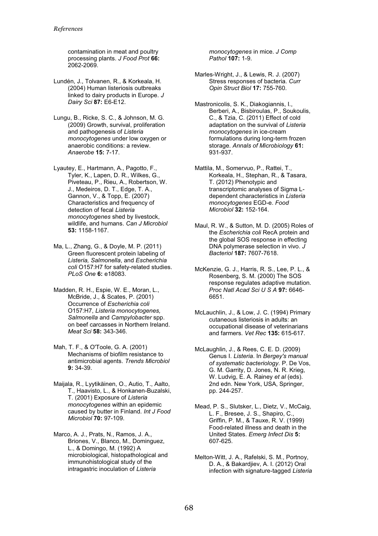contamination in meat and poultry processing plants. *J Food Prot* **66:**  2062-2069.

- Lundén, J., Tolvanen, R., & Korkeala, H. (2004) Human listeriosis outbreaks linked to dairy products in Europe. *J Dairy Sci* **87:** E6-E12.
- Lungu, B., Ricke, S. C., & Johnson, M. G. (2009) Growth, survival, proliferation and pathogenesis of *Listeria monocytogenes* under low oxygen or anaerobic conditions: a review. *Anaerobe* **15:** 7-17.
- Lyautey, E., Hartmann, A., Pagotto, F., Tyler, K., Lapen, D. R., Wilkes, G., Piveteau, P., Rieu, A., Robertson, W. J., Medeiros, D. T., Edge, T. A., Gannon, V., & Topp, E. (2007) Characteristics and frequency of detection of fecal *Listeria monocytogenes* shed by livestock, wildlife, and humans. *Can J Microbiol*  **53:** 1158-1167.
- Ma, L., Zhang, G., & Doyle, M. P. (2011) Green fluorescent protein labeling of *Listeria, Salmonella*, and *Escherichia coli* O157:H7 for safety-related studies. *PLoS One* **6:** e18083.
- Madden, R. H., Espie, W. E., Moran, L., McBride, J., & Scates, P. (2001) Occurrence of *Escherichia coli* O157:H7, *Listeria monocytogenes, Salmonella* and *Campylobacter* spp. on beef carcasses in Northern Ireland. *Meat Sci* **58:** 343-346.
- Mah, T. F., & O'Toole, G. A. (2001) Mechanisms of biofilm resistance to antimicrobial agents. *Trends Microbiol*  **9:** 34-39.
- Maijala, R., Lyytikäinen, O., Autio, T., Aalto, T., Haavisto, L., & Honkanen-Buzalski, T. (2001) Exposure of *Listeria monocytogenes* within an epidemic caused by butter in Finland. *Int J Food Microbiol* **70:** 97-109.
- Marco, A. J., Prats, N., Ramos, J. A., Briones, V., Blanco, M., Dominguez, L., & Domingo, M. (1992) A microbiological, histopathological and immunohistological study of the intragastric inoculation of *Listeria*

*monocytogenes* in mice. *J Comp Pathol* **107:** 1-9.

- Marles-Wright, J., & Lewis, R. J. (2007) Stress responses of bacteria. *Curr Opin Struct Biol* **17:** 755-760.
- Mastronicolis, S. K., Diakogiannis, I., Berberi, A., Bisbiroulas, P., Soukoulis, C., & Tzia, C. (2011) Effect of cold adaptation on the survival of *Listeria monocytogenes* in ice-cream formulations during long-term frozen storage. *Annals of Microbiology* **61:**  931-937.
- Mattila, M., Somervuo, P., Rattei, T., Korkeala, H., Stephan, R., & Tasara, T. (2012) Phenotypic and transcriptomic analyses of Sigma Ldependent characteristics in *Listeria monocytogenes* EGD-e. *Food Microbiol* **32:** 152-164.
- Maul, R. W., & Sutton, M. D. (2005) Roles of the *Escherichia coli* RecA protein and the global SOS response in effecting DNA polymerase selection in vivo. *J Bacteriol* **187:** 7607-7618.
- McKenzie, G. J., Harris, R. S., Lee, P. L., & Rosenberg, S. M. (2000) The SOS response regulates adaptive mutation. *Proc Natl Acad Sci U S A* **97:** 6646- 6651.
- McLauchlin, J., & Low, J. C. (1994) Primary cutaneous listeriosis in adults: an occupational disease of veterinarians and farmers. *Vet Rec* **135:** 615-617.
- McLaughlin, J., & Rees, C. E. D. (2009) Genus I. *Listeria*. In *Bergey's manual of systematic bacteriology.* P. De Vos, G. M. Garrity, D. Jones, N. R. Krieg, W. Ludvig, E. A. Rainey *et al* (eds). 2nd edn. New York, USA, Springer, pp. 244-257.
- Mead, P. S., Slutsker, L., Dietz, V., McCaig, L. F., Bresee, J. S., Shapiro, C., Griffin, P. M., & Tauxe, R. V. (1999) Food-related illness and death in the United States. *Emerg Infect Dis* **5:**  607-625.
- Melton-Witt, J. A., Rafelski, S. M., Portnoy, D. A., & Bakardjiev, A. I. (2012) Oral infection with signature-tagged *Listeria*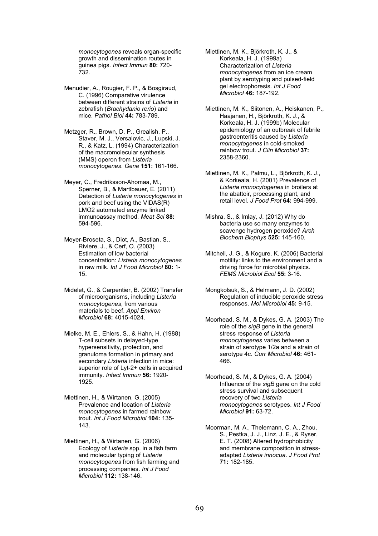*monocytogenes* reveals organ-specific growth and dissemination routes in guinea pigs. *Infect Immun* **80:** 720- 732.

- Menudier, A., Rougier, F. P., & Bosgiraud, C. (1996) Comparative virulence between different strains of *Listeria* in zebrafish (*Brachydanio rerio*) and mice. *Pathol Biol* **44:** 783-789.
- Metzger, R., Brown, D. P., Grealish, P., Staver, M. J., Versalovic, J., Lupski, J. R., & Katz, L. (1994) Characterization of the macromolecular synthesis (MMS) operon from *Listeria monocytogenes*. *Gene* **151:** 161-166.

Meyer, C., Fredriksson-Ahomaa, M., Sperner, B., & Martlbauer, E. (2011) Detection of *Listeria monocytogenes* in pork and beef using the VIDAS(R) LMO2 automated enzyme linked immunoassay method. *Meat Sci* **88:**  594-596.

- Meyer-Broseta, S., Diot, A., Bastian, S., Riviere, J., & Cerf, O. (2003) Estimation of low bacterial concentration: *Listeria monocytogenes* in raw milk. *Int J Food Microbiol* **80:** 1- 15.
- Midelet, G., & Carpentier, B. (2002) Transfer of microorganisms, including *Listeria monocytogenes*, from various materials to beef. *Appl Environ Microbiol* **68:** 4015-4024.
- Mielke, M. E., Ehlers, S., & Hahn, H. (1988) T-cell subsets in delayed-type hypersensitivity, protection, and granuloma formation in primary and secondary *Listeria* infection in mice: superior role of Lyt-2+ cells in acquired immunity. *Infect Immun* **56:** 1920- 1925.
- Miettinen, H., & Wirtanen, G. (2005) Prevalence and location of *Listeria monocytogenes* in farmed rainbow trout. *Int J Food Microbiol* **104:** 135- 143.
- Miettinen, H., & Wirtanen, G. (2006) Ecology of *Listeria* spp. in a fish farm and molecular typing of *Listeria monocytogenes* from fish farming and processing companies. *Int J Food Microbiol* **112:** 138-146.

Miettinen, M. K., Björkroth, K. J., & Korkeala, H. J. (1999a) Characterization of *Listeria monocytogenes* from an ice cream plant by serotyping and pulsed-field gel electrophoresis. *Int J Food Microbiol* **46:** 187-192.

Miettinen, M. K., Siitonen, A., Heiskanen, P., Haajanen, H., Björkroth, K. J., & Korkeala, H. J. (1999b) Molecular epidemiology of an outbreak of febrile gastroenteritis caused by *Listeria monocytogenes* in cold-smoked rainbow trout. *J Clin Microbiol* **37:**  2358-2360.

Miettinen, M. K., Palmu, L., Björkroth, K. J., & Korkeala, H. (2001) Prevalence of *Listeria monocytogenes* in broilers at the abattoir, processing plant, and retail level. *J Food Prot* **64:** 994-999.

- Mishra, S., & Imlay, J. (2012) Why do bacteria use so many enzymes to scavenge hydrogen peroxide? *Arch Biochem Biophys* **525:** 145-160.
- Mitchell, J. G., & Kogure, K. (2006) Bacterial motility: links to the environment and a driving force for microbial physics. *FEMS Microbiol Ecol* **55:** 3-16.
- Mongkolsuk, S., & Helmann, J. D. (2002) Regulation of inducible peroxide stress responses. *Mol Microbiol* **45:** 9-15.
- Moorhead, S. M., & Dykes, G. A. (2003) The role of the *sigB* gene in the general stress response of *Listeria monocytogenes* varies between a strain of serotype 1/2a and a strain of serotype 4c. *Curr Microbiol* **46:** 461- 466.
- Moorhead, S. M., & Dykes, G. A. (2004) Influence of the *sigB* gene on the cold stress survival and subsequent recovery of two *Listeria monocytogenes* serotypes. *Int J Food Microbiol* **91:** 63-72.
- Moorman, M. A., Thelemann, C. A., Zhou, S., Pestka, J. J., Linz, J. E., & Ryser, E. T. (2008) Altered hydrophobicity and membrane composition in stressadapted *Listeria innocua*. *J Food Prot*  **71:** 182-185.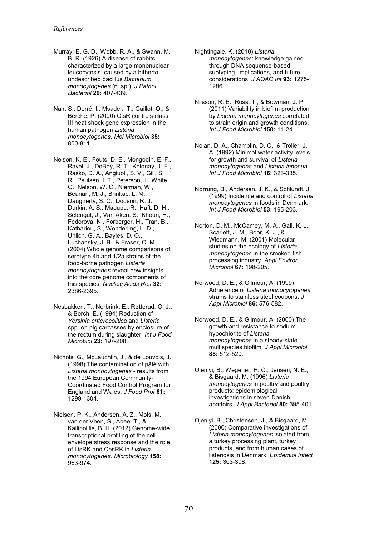- Murray, E. G. D., Webb, R. A., & Swann, M. B. R. (1926) A disease of rabbits characterized by a large mononuclear leucocytosis, caused by a hitherto undescribed bacillus *Bacterium monocytogenes* (n. sp.). *J Pathol Bacteriol* **29:** 407-439.
- Nair, S., Derré, I., Msadek, T., Gaillot, O., & Berche, P. (2000) CtsR controls class III heat shock gene expression in the human pathogen *Listeria monocytogenes*. *Mol Microbiol* **35:**  800-811.
- Nelson, K. E., Fouts, D. E., Mongodin, E. F., Ravel, J., DeBoy, R. T., Kolonay, J. F., Rasko, D. A., Angiuoli, S. V., Gill, S. R., Paulsen, I. T., Peterson, J., White, O., Nelson, W. C., Nierman, W., Beanan, M. J., Brinkac, L. M., Daugherty, S. C., Dodson, R. J., Durkin, A. S., Madupu, R., Haft, D. H., Selengut, J., Van Aken, S., Khouri, H., Fedorova, N., Forberger, H., Tran, B., Kathariou, S., Wonderling, L. D., Uhlich, G. A., Bayles, D. O., Luchansky, J. B., & Fraser, C. M. (2004) Whole genome comparisons of serotype 4b and 1/2a strains of the food-borne pathogen *Listeria monocytogenes* reveal new insights into the core genome components of this species. *Nucleic Acids Res* **32:**  2386-2395.
- Nesbakken, T., Nerbrink, E., Røtterud, O. J., & Borch, E. (1994) Reduction of *Yersinia enterocolitica* and *Listeria* spp. on pig carcasses by enclosure of the rectum during slaughter. *Int J Food Microbiol* **23:** 197-208.
- Nichols, G., McLauchlin, J., & de Louvois, J. (1998) The contamination of pâté with *Listeria monocytogenes* - results from the 1994 European Community-Coordinated Food Control Program for England and Wales. *J Food Prot* **61:**  1299-1304.
- Nielsen, P. K., Andersen, A. Z., Mols, M., van der Veen, S., Abee, T., & Kallipolitis, B. H. (2012) Genome-wide transcriptional profiling of the cell envelope stress response and the role of LisRK and CesRK in *Listeria monocytogenes*. *Microbiology* **158:**  963-974.
- Nightingale, K. (2010) *Listeria monocytogenes*: knowledge gained through DNA sequence-based subtyping, implications, and future considerations. *J AOAC Int* **93:** 1275- 1286.
- Nilsson, R. E., Ross, T., & Bowman, J. P. (2011) Variability in biofilm production by *Listeria monocytogenes* correlated to strain origin and growth conditions. *Int J Food Microbiol* **150:** 14-24.
- Nolan, D. A., Chamblin, D. C., & Troller, J. A. (1992) Minimal water activity levels for growth and survival of *Listeria monocytogenes* and *Listeria innocua*. *Int J Food Microbiol* **16:** 323-335.
- Nørrung, B., Andersen, J. K., & Schlundt, J. (1999) Incidence and control of *Listeria monocytogenes* in foods in Denmark. *Int J Food Microbiol* **53:** 195-203.
- Norton, D. M., McCamey, M. A., Gall, K. L., Scarlett, J. M., Boor, K. J., & Wiedmann, M. (2001) Molecular studies on the ecology of *Listeria monocytogenes* in the smoked fish processing industry. *Appl Environ Microbiol* **67:** 198-205.
- Norwood, D. E., & Gilmour, A. (1999) Adherence of *Listeria monocytogenes* strains to stainless steel coupons. *J Appl Microbiol* **86:** 576-582.
- Norwood, D. E., & Gilmour, A. (2000) The growth and resistance to sodium hypochlorite of *Listeria monocytogenes* in a steady-state multispecies biofilm. *J Appl Microbiol*  **88:** 512-520.
- Ojeniyi, B., Wegener, H. C., Jensen, N. E., & Bisgaard, M. (1996) *Listeria monocytogenes* in poultry and poultry products: epidemiological investigations in seven Danish abattoirs. *J Appl Bacteriol* **80:** 395-401.
- Ojeniyi, B., Christensen, J., & Bisgaard, M. (2000) Comparative investigations of *Listeria monocytogenes* isolated from a turkey processing plant, turkey products, and from human cases of listeriosis in Denmark. *Epidemiol Infect*  **125:** 303-308.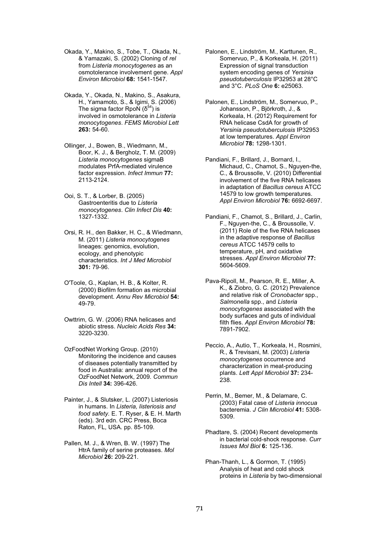- Okada, Y., Makino, S., Tobe, T., Okada, N., & Yamazaki, S. (2002) Cloning of *rel* from *Listeria monocytogenes* as an osmotolerance involvement gene. *Appl Environ Microbiol* **68:** 1541-1547.
- Okada, Y., Okada, N., Makino, S., Asakura, H., Yamamoto, S., & Igimi, S. (2006) The sigma factor RpoN  $(\delta^{54})$  is involved in osmotolerance in *Listeria monocytogenes*. *FEMS Microbiol Lett*  **263:** 54-60.
- Ollinger, J., Bowen, B., Wiedmann, M., Boor, K. J., & Bergholz, T. M. (2009) *Listeria monocytogenes* sigmaB modulates PrfA-mediated virulence factor expression. *Infect Immun* **77:**  2113-2124.
- Ooi, S. T., & Lorber, B. (2005) Gastroenteritis due to *Listeria monocytogenes*. *Clin Infect Dis* **40:**  1327-1332.
- Orsi, R. H., den Bakker, H. C., & Wiedmann, M. (2011) *Listeria monocytogenes* lineages: genomics, evolution, ecology, and phenotypic characteristics. *Int J Med Microbiol*  **301:** 79-96.
- O'Toole, G., Kaplan, H. B., & Kolter, R. (2000) Biofilm formation as microbial development. *Annu Rev Microbiol* **54:**  49-79.
- Owttrim, G. W. (2006) RNA helicases and abiotic stress. *Nucleic Acids Res* **34:**  3220-3230.
- OzFoodNet Working Group. (2010) Monitoring the incidence and causes of diseases potentially transmitted by food in Australia: annual report of the OzFoodNet Network, 2009. *Commun Dis Intell* **34:** 396-426.
- Painter, J., & Slutsker, L. (2007) Listeriosis in humans. In *Listeria, listeriosis and food safety.* E. T. Ryser, & E. H. Marth (eds). 3rd edn. CRC Press, Boca Raton, FL, USA. pp. 85-109.
- Pallen, M. J., & Wren, B. W. (1997) The HtrA family of serine proteases. *Mol Microbiol* **26:** 209-221.
- Palonen, E., Lindström, M., Karttunen, R., Somervuo, P., & Korkeala, H. (2011) Expression of signal transduction system encoding genes of *Yersinia pseudotuberculosis* IP32953 at 28°C and 3°C. *PLoS One* **6:** e25063.
- Palonen, E., Lindström, M., Somervuo, P., Johansson, P., Björkroth, J., & Korkeala, H. (2012) Requirement for RNA helicase CsdA for growth of *Yersinia pseudotuberculosis* IP32953 at low temperatures. *Appl Environ Microbiol* **78:** 1298-1301.
- Pandiani, F., Brillard, J., Bornard, I., Michaud, C., Chamot, S., Nguyen-the, C., & Broussolle, V. (2010) Differential involvement of the five RNA helicases in adaptation of *Bacillus cereus* ATCC 14579 to low growth temperatures. *Appl Environ Microbiol* **76:** 6692-6697.
- Pandiani, F., Chamot, S., Brillard, J., Carlin, F., Nguyen-the, C., & Broussolle, V. (2011) Role of the five RNA helicases in the adaptive response of *Bacillus cereus* ATCC 14579 cells to temperature, pH, and oxidative stresses. *Appl Environ Microbiol* **77:**  5604-5609.
- Pava-Ripoll, M., Pearson, R. E., Miller, A. K., & Ziobro, G. C. (2012) Prevalence and relative risk of *Cronobacter* spp., *Salmonella* spp., and *Listeria monocytogenes* associated with the body surfaces and guts of individual filth flies. *Appl Environ Microbiol* **78:**  7891-7902.
- Peccio, A., Autio, T., Korkeala, H., Rosmini, R., & Trevisani, M. (2003) *Listeria monocytogenes* occurrence and characterization in meat-producing plants. *Lett Appl Microbiol* **37:** 234- 238.
- Perrin, M., Bemer, M., & Delamare, C. (2003) Fatal case of *Listeria innocua* bacteremia. *J Clin Microbiol* **41:** 5308- 5309.
- Phadtare, S. (2004) Recent developments in bacterial cold-shock response. *Curr Issues Mol Biol* **6:** 125-136.
- Phan-Thanh, L., & Gormon, T. (1995) Analysis of heat and cold shock proteins in *Listeria* by two-dimensional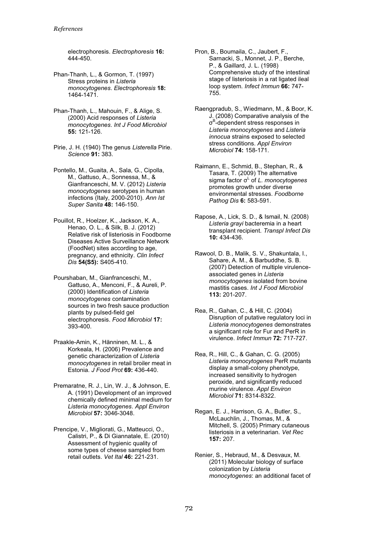electrophoresis. *Electrophoresis* **16:**  444-450.

- Phan-Thanh, L., & Gormon, T. (1997) Stress proteins in *Listeria monocytogenes*. *Electrophoresis* **18:**  1464-1471.
- Phan-Thanh, L., Mahouin, F., & Alige, S. (2000) Acid responses of *Listeria monocytogenes*. *Int J Food Microbiol*  **55:** 121-126.
- Pirie, J. H. (1940) The genus *Listerella* Pirie. *Science* **91:** 383.
- Pontello, M., Guaita, A., Sala, G., Cipolla, M., Gattuso, A., Sonnessa, M., & Gianfranceschi, M. V. (2012) *Listeria monocytogenes* serotypes in human infections (Italy, 2000-2010). *Ann Ist Super Sanita* **48:** 146-150.
- Pouillot, R., Hoelzer, K., Jackson, K. A., Henao, O. L., & Silk, B. J. (2012) Relative risk of listeriosis in Foodborne Diseases Active Surveillance Network (FoodNet) sites according to age, pregnancy, and ethnicity. *Clin Infect Dis* **54(S5):** S405-410.
- Pourshaban, M., Gianfranceschi, M., Gattuso, A., Menconi, F., & Aureli, P. (2000) Identification of *Listeria monocytogenes* contamination sources in two fresh sauce production plants by pulsed-field gel electrophoresis. *Food Microbiol* **17:**  393-400.
- Praakle-Amin, K., Hänninen, M. L., & Korkeala, H. (2006) Prevalence and genetic characterization of *Listeria monocytogenes* in retail broiler meat in Estonia. *J Food Prot* **69:** 436-440.
- Premaratne, R. J., Lin, W. J., & Johnson, E. A. (1991) Development of an improved chemically defined minimal medium for *Listeria monocytogenes*. *Appl Environ Microbiol* **57:** 3046-3048.
- Prencipe, V., Migliorati, G., Matteucci, O., Calistri, P., & Di Giannatale, E. (2010) Assessment of hygienic quality of some types of cheese sampled from retail outlets. *Vet Ital* **46:** 221-231.
- Pron, B., Boumaila, C., Jaubert, F., Sarnacki, S., Monnet, J. P., Berche, P., & Gaillard, J. L. (1998) Comprehensive study of the intestinal stage of listeriosis in a rat ligated ileal loop system. *Infect Immun* **66:** 747- 755.
- Raengpradub, S., Wiedmann, M., & Boor, K. J. (2008) Comparative analysis of the σ<sup>B</sup>-dependent stress responses in *Listeria monocytogenes* and *Listeria innocua* strains exposed to selected stress conditions. *Appl Environ Microbiol* **74:** 158-171.
- Raimann, E., Schmid, B., Stephan, R., & Tasara, T. (2009) The alternative sigma factor σ<sup>L</sup> of *L. monocytogenes* promotes growth under diverse environmental stresses. *Foodborne Pathog Dis* **6:** 583-591.
- Rapose, A., Lick, S. D., & Ismail, N. (2008) *Listeria grayi* bacteremia in a heart transplant recipient. *Transpl Infect Dis*  **10:** 434-436.
- Rawool, D. B., Malik, S. V., Shakuntala, I., Sahare, A. M., & Barbuddhe, S. B. (2007) Detection of multiple virulenceassociated genes in *Listeria monocytogenes* isolated from bovine mastitis cases. *Int J Food Microbiol*  **113:** 201-207.
- Rea, R., Gahan, C., & Hill, C. (2004) Disruption of putative regulatory loci in *Listeria monocytogenes* demonstrates a significant role for Fur and PerR in virulence. *Infect Immun* **72:** 717-727.
- Rea, R., Hill, C., & Gahan, C. G. (2005) *Listeria monocytogenes* PerR mutants display a small-colony phenotype, increased sensitivity to hydrogen peroxide, and significantly reduced murine virulence. *Appl Environ Microbiol* **71:** 8314-8322.
- Regan, E. J., Harrison, G. A., Butler, S., McLauchlin, J., Thomas, M., & Mitchell, S. (2005) Primary cutaneous listeriosis in a veterinarian. *Vet Rec*  **157:** 207.
- Renier, S., Hebraud, M., & Desvaux, M. (2011) Molecular biology of surface colonization by *Listeria monocytogenes*: an additional facet of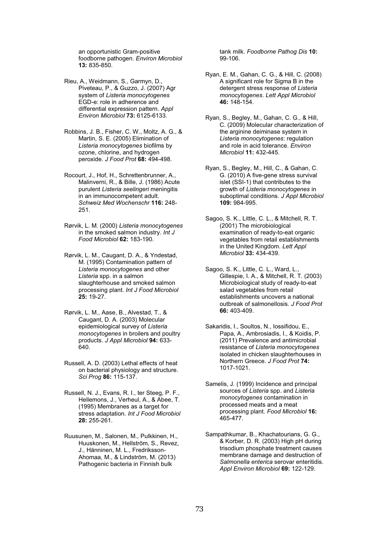an opportunistic Gram-positive foodborne pathogen. *Environ Microbiol*  **13:** 835-850.

- Rieu, A., Weidmann, S., Garmyn, D., Piveteau, P., & Guzzo, J. (2007) Agr system of *Listeria monocytogenes* EGD-e: role in adherence and differential expression pattern. *Appl Environ Microbiol* **73:** 6125-6133.
- Robbins, J. B., Fisher, C. W., Moltz, A. G., & Martin, S. E. (2005) Elimination of *Listeria monocytogenes* biofilms by ozone, chlorine, and hydrogen peroxide. *J Food Prot* **68:** 494-498.
- Rocourt, J., Hof, H., Schrettenbrunner, A., Malinverni, R., & Bille, J. (1986) Acute purulent *Listeria seelingeri* meningitis in an immunocompetent adult. *Schweiz Med Wochenschr* **116:** 248- 251.
- Rørvik, L. M. (2000) *Listeria monocytogenes* in the smoked salmon industry. *Int J Food Microbiol* **62:** 183-190.
- Rørvik, L. M., Caugant, D. A., & Yndestad, M. (1995) Contamination pattern of *Listeria monocytogenes* and other *Listeria* spp. in a salmon slaughterhouse and smoked salmon processing plant. *Int J Food Microbiol*  **25:** 19-27.
- Rørvik, L. M., Aase, B., Alvestad, T., & Caugant, D. A. (2003) Molecular epidemiological survey of *Listeria monocytogenes* in broilers and poultry products. *J Appl Microbiol* **94:** 633- 640.
- Russell, A. D. (2003) Lethal effects of heat on bacterial physiology and structure. *Sci Prog* **86:** 115-137.
- Russell, N. J., Evans, R. I., ter Steeg, P. F., Hellemons, J., Verheul, A., & Abee, T. (1995) Membranes as a target for stress adaptation. *Int J Food Microbiol*  **28:** 255-261.
- Ruusunen, M., Salonen, M., Pulkkinen, H., Huuskonen, M., Hellström, S., Revez, J., Hänninen, M. L., Fredriksson-Ahomaa, M., & Lindström, M. (2013) Pathogenic bacteria in Finnish bulk

tank milk. *Foodborne Pathog Dis* **10:**  99-106.

- Ryan, E. M., Gahan, C. G., & Hill, C. (2008) A significant role for Sigma B in the detergent stress response of *Listeria monocytogenes*. *Lett Appl Microbiol*  **46:** 148-154.
- Ryan, S., Begley, M., Gahan, C. G., & Hill, C. (2009) Molecular characterization of the arginine deiminase system in *Listeria monocytogenes*: regulation and role in acid tolerance. *Environ Microbiol* **11:** 432-445.
- Ryan, S., Begley, M., Hill, C., & Gahan, C. G. (2010) A five-gene stress survival islet (SSI-1) that contributes to the growth of *Listeria monocytogenes* in suboptimal conditions. *J Appl Microbiol*  **109:** 984-995.
- Sagoo, S. K., Little, C. L., & Mitchell, R. T. (2001) The microbiological examination of ready-to-eat organic vegetables from retail establishments in the United Kingdom. *Lett Appl Microbiol* **33:** 434-439.
- Sagoo, S. K., Little, C. L., Ward, L., Gillespie, I. A., & Mitchell, R. T. (2003) Microbiological study of ready-to-eat salad vegetables from retail establishments uncovers a national outbreak of salmonellosis. *J Food Prot*  **66:** 403-409.
- Sakaridis, I., Soultos, N., Iossifidou, E., Papa, A., Ambrosiadis, I., & Koidis, P. (2011) Prevalence and antimicrobial resistance of *Listeria monocytogenes* isolated in chicken slaughterhouses in Northern Greece. *J Food Prot* **74:**  1017-1021.
- Samelis, J. (1999) Incidence and principal sources of *Listeria* spp. and *Listeria monocytogenes* contamination in processed meats and a meat processing plant. *Food Microbiol* **16:**  465-477.
- Sampathkumar, B., Khachatourians, G. G., & Korber, D. R. (2003) High pH during trisodium phosphate treatment causes membrane damage and destruction of *Salmonella enterica* serovar enteritidis. *Appl Environ Microbiol* **69:** 122-129.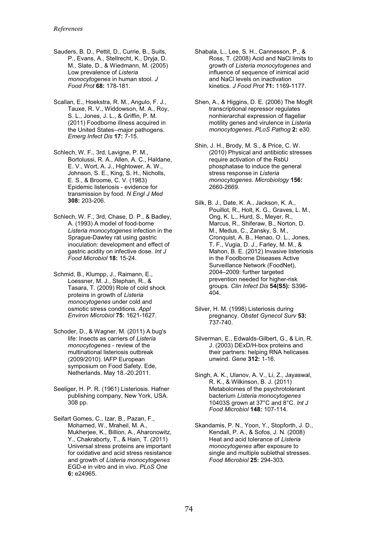- Sauders, B. D., Pettit, D., Currie, B., Suits, P., Evans, A., Stellrecht, K., Dryja, D. M., Slate, D., & Wiedmann, M. (2005) Low prevalence of *Listeria monocytogenes* in human stool. *J Food Prot* **68:** 178-181.
- Scallan, E., Hoekstra, R. M., Angulo, F. J., Tauxe, R. V., Widdowson, M. A., Roy, S. L., Jones, J. L., & Griffin, P. M. (2011) Foodborne illness acquired in the United States--major pathogens. *Emerg Infect Dis* **17:** 7-15.
- Schlech, W. F., 3rd, Lavigne, P. M., Bortolussi, R. A., Allen, A. C., Haldane, E. V., Wort, A. J., Hightower, A. W., Johnson, S. E., King, S. H., Nicholls, E. S., & Broome, C. V. (1983) Epidemic listeriosis - evidence for transmission by food. *N Engl J Med*  **308:** 203-206.
- Schlech, W. F., 3rd, Chase, D. P., & Badley, A. (1993) A model of food-borne *Listeria monocytogenes* infection in the Sprague-Dawley rat using gastric inoculation: development and effect of gastric acidity on infective dose. *Int J Food Microbiol* **18:** 15-24.
- Schmid, B., Klumpp, J., Raimann, E., Loessner, M. J., Stephan, R., & Tasara, T. (2009) Role of cold shock proteins in growth of *Listeria monocytogenes* under cold and osmotic stress conditions. *Appl Environ Microbiol* **75:** 1621-1627.
- Schoder, D., & Wagner, M. (2011) A bug's life: Insects as carriers of *Listeria monocytogenes* - review of the multinational listeriosis outbreak (2009/2010). IAFP European symposium on Food Safety. Ede, Netherlands. May 18.-20.2011.
- Seeliger, H. P. R. (1961) Listeriosis. Hafner publishing company, New York, USA. 308 pp.
- Seifart Gomes, C., Izar, B., Pazan, F., Mohamed, W., Mraheil, M. A., Mukherjee, K., Billion, A., Aharonowitz, Y., Chakraborty, T., & Hain, T. (2011) Universal stress proteins are important for oxidative and acid stress resistance and growth of *Listeria monocytogenes* EGD-e in vitro and in vivo. *PLoS One*  **6:** e24965.
- Shabala, L., Lee, S. H., Cannesson, P., & Ross, T. (2008) Acid and NaCl limits to growth of *Listeria monocytogenes* and influence of sequence of inimical acid and NaCl levels on inactivation kinetics. *J Food Prot* **71:** 1169-1177.
- Shen, A., & Higgins, D. E. (2006) The MogR transcriptional repressor regulates nonhierarchal expression of flagellar motility genes and virulence in *Listeria monocytogenes*. *PLoS Pathog* **2:** e30.
- Shin, J. H., Brody, M. S., & Price, C. W. (2010) Physical and antibiotic stresses require activation of the RsbU phosphatase to induce the general stress response in *Listeria monocytogenes*. *Microbiology* **156:**  2660-2669.
- Silk, B. J., Date, K. A., Jackson, K. A., Pouillot, R., Holt, K. G., Graves, L. M., Ong, K. L., Hurd, S., Meyer, R., Marcus, R., Shiferaw, B., Norton, D. M., Medus, C., Zansky, S. M., Cronquist, A. B., Henao, O. L., Jones, T. F., Vugia, D. J., Farley, M. M., & Mahon, B. E. (2012) Invasive listeriosis in the Foodborne Diseases Active Surveillance Network (FoodNet), 2004–2009: further targeted prevention needed for higher-risk groups. *Clin Infect Dis* **54(S5):** S396- 404.
- Silver, H. M. (1998) Listeriosis during pregnancy. *Obstet Gynecol Surv* **53:**  737-740.
- Silverman, E., Edwalds-Gilbert, G., & Lin, R. J. (2003) DExD/H-box proteins and their partners: helping RNA helicases unwind. *Gene* **312:** 1-16.
- Singh, A. K., Ulanov, A. V., Li, Z., Jayaswal, R. K., & Wilkinson, B. J. (2011) Metabolomes of the psychrotolerant bacterium *Listeria monocytogenes* 10403S grown at 37°C and 8°C. *Int J Food Microbiol* **148:** 107-114.
- Skandamis, P. N., Yoon, Y., Stopforth, J. D., Kendall, P. A., & Sofos, J. N. (2008) Heat and acid tolerance of *Listeria monocytogenes* after exposure to single and multiple sublethal stresses. *Food Microbiol* **25:** 294-303.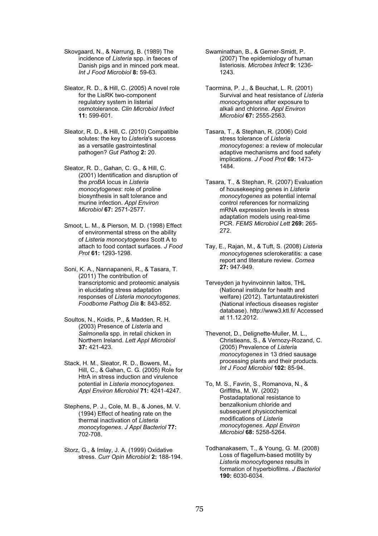Skovgaard, N., & Nørrung, B. (1989) The incidence of *Listeria* spp. in faeces of Danish pigs and in minced pork meat. *Int J Food Microbiol* **8:** 59-63.

Sleator, R. D., & Hill, C. (2005) A novel role for the LisRK two-component regulatory system in listerial osmotolerance. *Clin Microbiol Infect*  **11:** 599-601.

Sleator, R. D., & Hill, C. (2010) Compatible solutes: the key to *Listeria*'s success as a versatile gastrointestinal pathogen? *Gut Pathog* **2:** 20.

Sleator, R. D., Gahan, C. G., & Hill, C. (2001) Identification and disruption of the *proBA* locus in *Listeria monocytogenes*: role of proline biosynthesis in salt tolerance and murine infection. *Appl Environ Microbiol* **67:** 2571-2577.

- Smoot, L. M., & Pierson, M. D. (1998) Effect of environmental stress on the ability of *Listeria monocytogenes* Scott A to attach to food contact surfaces. *J Food Prot* **61:** 1293-1298.
- Soni, K. A., Nannapaneni, R., & Tasara, T. (2011) The contribution of transcriptomic and proteomic analysis in elucidating stress adaptation responses of *Listeria monocytogenes*. *Foodborne Pathog Dis* **8:** 843-852.
- Soultos, N., Koidis, P., & Madden, R. H. (2003) Presence of *Listeria* and *Salmonella* spp. in retail chicken in Northern Ireland. *Lett Appl Microbiol*  **37:** 421-423.

Stack, H. M., Sleator, R. D., Bowers, M., Hill, C., & Gahan, C. G. (2005) Role for HtrA in stress induction and virulence potential in *Listeria monocytogenes*. *Appl Environ Microbiol* **71:** 4241-4247.

- Stephens, P. J., Cole, M. B., & Jones, M. V. (1994) Effect of heating rate on the thermal inactivation of *Listeria monocytogenes*. *J Appl Bacteriol* **77:**  702-708.
- Storz, G., & Imlay, J. A. (1999) Oxidative stress. *Curr Opin Microbiol* **2:** 188-194.
- Swaminathan, B., & Gerner-Smidt, P. (2007) The epidemiology of human listeriosis. *Microbes Infect* **9:** 1236- 1243.
- Taormina, P. J., & Beuchat, L. R. (2001) Survival and heat resistance of *Listeria monocytogenes* after exposure to alkali and chlorine. *Appl Environ Microbiol* **67:** 2555-2563.
- Tasara, T., & Stephan, R. (2006) Cold stress tolerance of *Listeria monocytogenes*: a review of molecular adaptive mechanisms and food safety implications. *J Food Prot* **69:** 1473- 1484.

Tasara, T., & Stephan, R. (2007) Evaluation of housekeeping genes in *Listeria monocytogenes* as potential internal control references for normalizing mRNA expression levels in stress adaptation models using real-time PCR. *FEMS Microbiol Lett* **269:** 265- 272.

Tay, E., Rajan, M., & Tuft, S. (2008) *Listeria monocytogenes* sclerokeratitis: a case report and literature review. *Cornea*  **27:** 947-949.

Terveyden ja hyvinvoinnin laitos, THL (National institute for health and welfare) (2012). Tartuntatautirekisteri (National infectious diseases register database). http://www3.ktl.fi/ Accessed at 11.12.2012.

Thevenot, D., Delignette-Muller, M. L., Christieans, S., & Vernozy-Rozand, C. (2005) Prevalence of *Listeria monocytogenes* in 13 dried sausage processing plants and their products. *Int J Food Microbiol* **102:** 85-94.

To, M. S., Favrin, S., Romanova, N., & Griffiths, M. W. (2002) Postadaptational resistance to benzalkonium chloride and subsequent physicochemical modifications of *Listeria monocytogenes*. *Appl Environ Microbiol* **68:** 5258-5264.

Todhanakasem, T., & Young, G. M. (2008) Loss of flagellum-based motility by *Listeria monocytogenes* results in formation of hyperbiofilms. *J Bacteriol*  **190:** 6030-6034.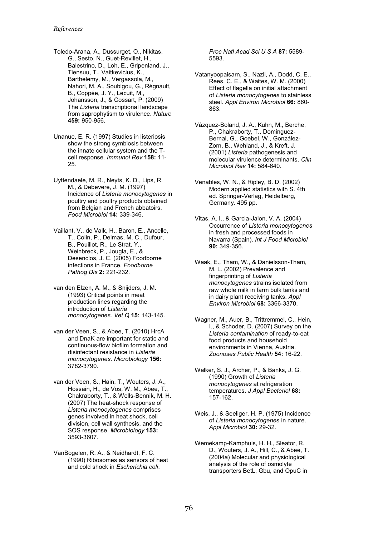- Toledo-Arana, A., Dussurget, O., Nikitas, G., Sesto, N., Guet-Revillet, H., Balestrino, D., Loh, E., Gripenland, J., Tiensuu, T., Vaitkevicius, K., Barthelemy, M., Vergassola, M., Nahori, M. A., Soubigou, G., Régnault, B., Coppée, J. Y., Lecuit, M., Johansson, J., & Cossart, P. (2009) The *Listeria* transcriptional landscape from saprophytism to virulence. *Nature*  **459:** 950-956.
- Unanue, E. R. (1997) Studies in listeriosis show the strong symbiosis between the innate cellular system and the Tcell response. *Immunol Rev* **158:** 11- 25.
- Uyttendaele, M. R., Neyts, K. D., Lips, R. M., & Debevere, J. M. (1997) Incidence of *Listeria monocytogenes* in poultry and poultry products obtained from Belgian and French abbatoirs. *Food Microbiol* **14:** 339-346.
- Vaillant, V., de Valk, H., Baron, E., Ancelle, T., Colin, P., Delmas, M. C., Dufour, B., Pouillot, R., Le Strat, Y., Weinbreck, P., Jougla, E., & Desenclos, J. C. (2005) Foodborne infections in France. *Foodborne Pathog Dis* **2:** 221-232.
- van den Elzen, A. M., & Snijders, J. M. (1993) Critical points in meat production lines regarding the introduction of *Listeria monocytogenes*. *Vet Q* **15:** 143-145.
- van der Veen, S., & Abee, T. (2010) HrcA and DnaK are important for static and continuous-flow biofilm formation and disinfectant resistance in *Listeria monocytogenes*. *Microbiology* **156:**  3782-3790.
- van der Veen, S., Hain, T., Wouters, J. A., Hossain, H., de Vos, W. M., Abee, T., Chakraborty, T., & Wells-Bennik, M. H. (2007) The heat-shock response of *Listeria monocytogenes* comprises genes involved in heat shock, cell division, cell wall synthesis, and the SOS response. *Microbiology* **153:**  3593-3607.
- VanBogelen, R. A., & Neidhardt, F. C. (1990) Ribosomes as sensors of heat and cold shock in *Escherichia coli*.

*Proc Natl Acad Sci U S A* **87:** 5589- 5593.

- Vatanyoopaisarn, S., Nazli, A., Dodd, C. E., Rees, C. E., & Waites, W. M. (2000) Effect of flagella on initial attachment of *Listeria monocytogenes* to stainless steel. *Appl Environ Microbiol* **66:** 860- 863.
- Vázquez-Boland, J. A., Kuhn, M., Berche, P., Chakraborty, T., Dominguez-Bernal, G., Goebel, W., González-Zorn, B., Wehland, J., & Kreft, J. (2001) *Listeria* pathogenesis and molecular virulence determinants. *Clin Microbiol Rev* **14:** 584-640.
- Venables, W. N., & Ripley, B. D. (2002) Modern applied statistics with S. 4th ed. Springer-Verlag, Heidelberg, Germany. 495 pp.
- Vitas, A. I., & Garcia-Jalon, V. A. (2004) Occurrence of *Listeria monocytogenes* in fresh and processed foods in Navarra (Spain). *Int J Food Microbiol*  **90:** 349-356.
- Waak, E., Tham, W., & Danielsson-Tham, M. L. (2002) Prevalence and fingerprinting of *Listeria monocytogenes* strains isolated from raw whole milk in farm bulk tanks and in dairy plant receiving tanks. *Appl Environ Microbiol* **68:** 3366-3370.
- Wagner, M., Auer, B., Trittremmel, C., Hein, I., & Schoder, D. (2007) Survey on the *Listeria contamination* of ready-to-eat food products and household environments in Vienna, Austria. *Zoonoses Public Health* **54:** 16-22.
- Walker, S. J., Archer, P., & Banks, J. G. (1990) Growth of *Listeria monocytogenes* at refrigeration temperatures. *J Appl Bacteriol* **68:**  157-162.
- Weis, J., & Seeliger, H. P. (1975) Incidence of *Listeria monocytogenes* in nature. *Appl Microbiol* **30:** 29-32.
- Wemekamp-Kamphuis, H. H., Sleator, R. D., Wouters, J. A., Hill, C., & Abee, T. (2004a) Molecular and physiological analysis of the role of osmolyte transporters BetL, Gbu, and OpuC in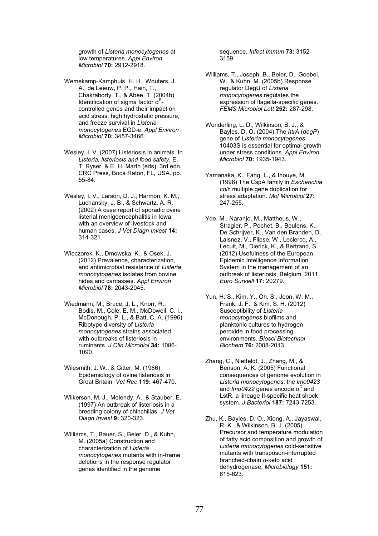growth of *Listeria monocytogenes* at low temperatures. *Appl Environ Microbiol* **70:** 2912-2918.

- Wemekamp-Kamphuis, H. H., Wouters, J. A., de Leeuw, P. P., Hain, T., Chakraborty, T., & Abee, T. (2004b) Identification of sigma factor  $\sigma^B$ controlled genes and their impact on acid stress, high hydrostatic pressure, and freeze survival in *Listeria monocytogenes* EGD-e. *Appl Environ Microbiol* **70:** 3457-3466.
- Wesley, I. V. (2007) Listeriosis in animals. In *Listeria, listeriosis and food safety.* E. T. Ryser, & E. H. Marth (eds). 3rd edn. CRC Press, Boca Raton, FL, USA. pp. 55-84.
- Wesley, I. V., Larson, D. J., Harmon, K. M., Luchansky, J. B., & Schwartz, A. R. (2002) A case report of sporadic ovine listerial menigoencephalitis in Iowa with an overview of livestock and human cases. *J Vet Diagn Invest* **14:**  314-321.
- Wieczorek, K., Dmowska, K., & Osek, J. (2012) Prevalence, characterization, and antimicrobial resistance of *Listeria monocytogenes* isolates from bovine hides and carcasses. *Appl Environ Microbiol* **78:** 2043-2045.
- Wiedmann, M., Bruce, J. L., Knorr, R., Bodis, M., Cole, E. M., McDowell, C. I., McDonough, P. L., & Batt, C. A. (1996) Ribotype diversity of *Listeria monocytogenes* strains associated with outbreaks of listeriosis in ruminants. *J Clin Microbiol* **34:** 1086- 1090.
- Wilesmith, J. W., & Gitter, M. (1986) Epidemiology of ovine listeriosis in Great Britain. *Vet Rec* **119:** 467-470.
- Wilkerson, M. J., Melendy, A., & Stauber, E. (1997) An outbreak of listeriosis in a breeding colony of chinchillas. *J Vet Diagn Invest* **9:** 320-323.
- Williams, T., Bauer, S., Beier, D., & Kuhn, M. (2005a) Construction and characterization of *Listeria monocytogenes* mutants with in-frame deletions in the response regulator genes identified in the genome

sequence. *Infect Immun* **73:** 3152- 3159.

- Williams, T., Joseph, B., Beier, D., Goebel, W., & Kuhn, M. (2005b) Response regulator DegU of *Listeria monocytogenes* regulates the expression of flagella-specific genes. *FEMS Microbiol Lett* **252:** 287-298.
- Wonderling, L. D., Wilkinson, B. J., & Bayles, D. O. (2004) The *htrA* (*degP*) gene of *Listeria monocytogenes* 10403S is essential for optimal growth under stress conditions. *Appl Environ Microbiol* **70:** 1935-1943.
- Yamanaka, K., Fang, L., & Inouye, M. (1998) The CspA family in *Escherichia coli*: multiple gene duplication for stress adaptation. *Mol Microbiol* **27:**  247-255.
- Yde, M., Naranjo, M., Mattheus, W., Stragier, P., Pochet, B., Beulens, K., De Schrijver, K., Van den Branden, D., Laisnez, V., Flipse, W., Leclercq, A., Lecuit, M., Dierick, K., & Bertrand, S. (2012) Usefulness of the European Epidemic Intelligence Information System in the management of an outbreak of listeriosis, Belgium, 2011. *Euro Surveill* **17:** 20279.
- Yun, H. S., Kim, Y., Oh, S., Jeon, W. M., Frank, J. F., & Kim, S. H. (2012) Susceptibility of *Listeria monocytogenes* biofilms and planktonic cultures to hydrogen peroxide in food processing environments. *Biosci Biotechnol Biochem* **76:** 2008-2013.
- Zhang, C., Nietfeldt, J., Zhang, M., & Benson, A. K. (2005) Functional consequences of genome evolution in *Listeria monocytogenes*: the *lmo0423* and *lmo0422* genes encode σ<sup>c</sup> and LstR, a lineage II-specific heat shock system. *J Bacteriol* **187:** 7243-7253.
- Zhu, K., Bayles, D. O., Xiong, A., Jayaswal, R. K., & Wilkinson, B. J. (2005) Precursor and temperature modulation of fatty acid composition and growth of *Listeria monocytogenes* cold-sensitive mutants with transposon-interrupted branched-chain *α*-keto acid dehydrogenase. *Microbiology* **151:**  615-623.